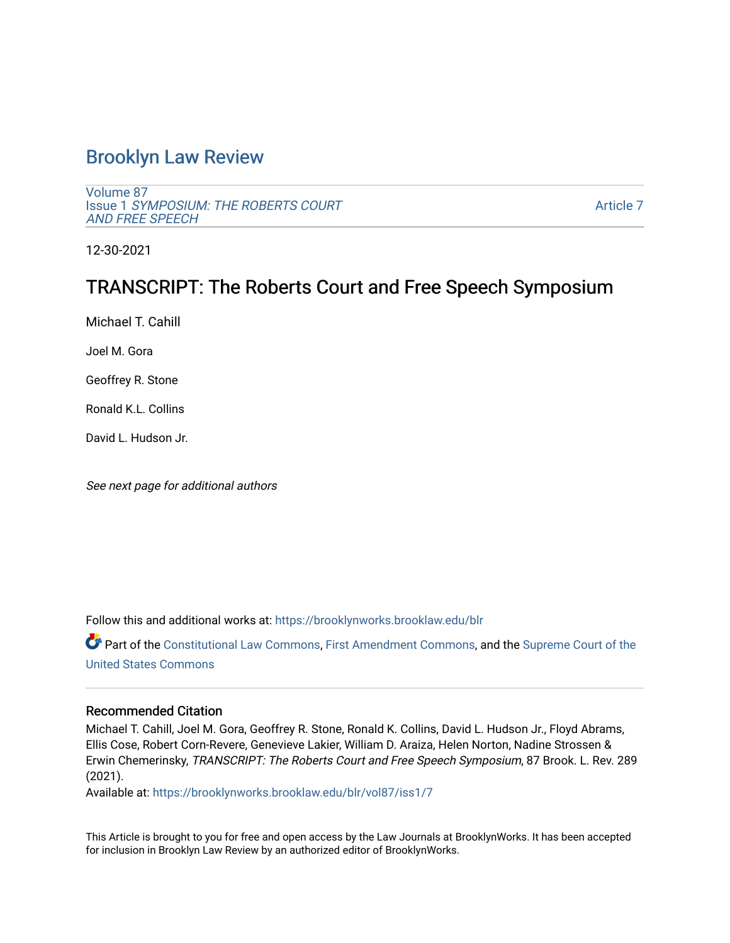# [Brooklyn Law Review](https://brooklynworks.brooklaw.edu/blr)

[Volume 87](https://brooklynworks.brooklaw.edu/blr/vol87) Issue 1 [SYMPOSIUM: THE ROBERTS COURT](https://brooklynworks.brooklaw.edu/blr/vol87/iss1) [AND FREE SPEECH](https://brooklynworks.brooklaw.edu/blr/vol87/iss1) 

[Article 7](https://brooklynworks.brooklaw.edu/blr/vol87/iss1/7) 

12-30-2021

# TRANSCRIPT: The Roberts Court and Free Speech Symposium

Michael T. Cahill

Joel M. Gora

Geoffrey R. Stone

Ronald K.L. Collins

David L. Hudson Jr.

See next page for additional authors

Follow this and additional works at: [https://brooklynworks.brooklaw.edu/blr](https://brooklynworks.brooklaw.edu/blr?utm_source=brooklynworks.brooklaw.edu%2Fblr%2Fvol87%2Fiss1%2F7&utm_medium=PDF&utm_campaign=PDFCoverPages) 

Part of the [Constitutional Law Commons,](http://network.bepress.com/hgg/discipline/589?utm_source=brooklynworks.brooklaw.edu%2Fblr%2Fvol87%2Fiss1%2F7&utm_medium=PDF&utm_campaign=PDFCoverPages) [First Amendment Commons,](http://network.bepress.com/hgg/discipline/1115?utm_source=brooklynworks.brooklaw.edu%2Fblr%2Fvol87%2Fiss1%2F7&utm_medium=PDF&utm_campaign=PDFCoverPages) and the Supreme Court of the [United States Commons](http://network.bepress.com/hgg/discipline/1350?utm_source=brooklynworks.brooklaw.edu%2Fblr%2Fvol87%2Fiss1%2F7&utm_medium=PDF&utm_campaign=PDFCoverPages) 

#### Recommended Citation

Michael T. Cahill, Joel M. Gora, Geoffrey R. Stone, Ronald K. Collins, David L. Hudson Jr., Floyd Abrams, Ellis Cose, Robert Corn-Revere, Genevieve Lakier, William D. Araiza, Helen Norton, Nadine Strossen & Erwin Chemerinsky, TRANSCRIPT: The Roberts Court and Free Speech Symposium, 87 Brook. L. Rev. 289 (2021).

Available at: [https://brooklynworks.brooklaw.edu/blr/vol87/iss1/7](https://brooklynworks.brooklaw.edu/blr/vol87/iss1/7?utm_source=brooklynworks.brooklaw.edu%2Fblr%2Fvol87%2Fiss1%2F7&utm_medium=PDF&utm_campaign=PDFCoverPages)

This Article is brought to you for free and open access by the Law Journals at BrooklynWorks. It has been accepted for inclusion in Brooklyn Law Review by an authorized editor of BrooklynWorks.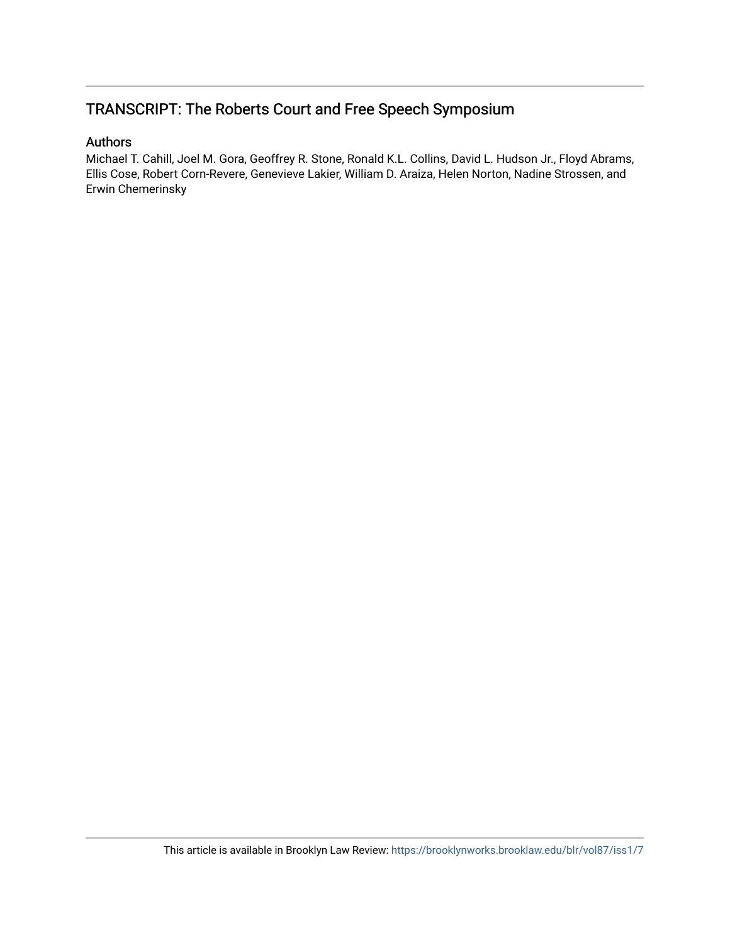# TRANSCRIPT: The Roberts Court and Free Speech Symposium

## Authors

Michael T. Cahill, Joel M. Gora, Geoffrey R. Stone, Ronald K.L. Collins, David L. Hudson Jr., Floyd Abrams, Ellis Cose, Robert Corn-Revere, Genevieve Lakier, William D. Araiza, Helen Norton, Nadine Strossen, and Erwin Chemerinsky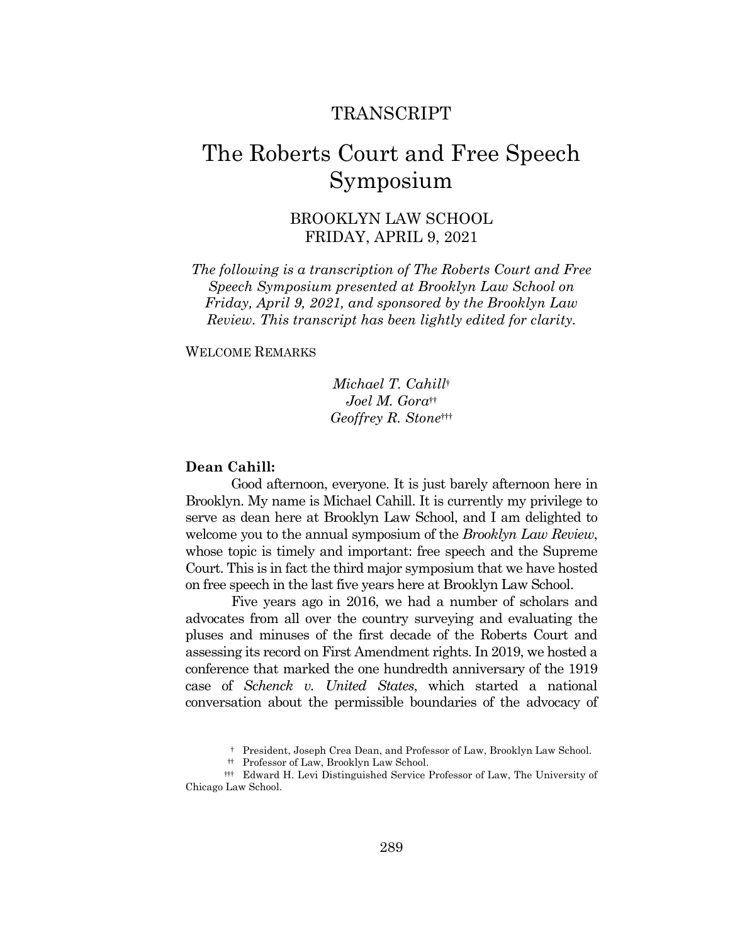# **TRANSCRIPT**

# The Roberts Court and Free Speech Symposium

## **BROOKLYN LAW SCHOOL** FRIDAY, APRIL 9, 2021

The following is a transcription of The Roberts Court and Free Speech Symposium presented at Brooklyn Law School on Friday, April 9, 2021, and sponsored by the Brooklyn Law Review. This transcript has been lightly edited for clarity.

#### **WELCOME REMARKS**

Michael T. Cahill+  $Joel M. Gora<sup>††</sup>$ Geoffrey R. Stonett

#### Dean Cahill:

Good afternoon, everyone. It is just barely afternoon here in Brooklyn. My name is Michael Cahill. It is currently my privilege to serve as dean here at Brooklyn Law School, and I am delighted to welcome you to the annual symposium of the *Brooklyn Law Review*, whose topic is timely and important: free speech and the Supreme Court. This is in fact the third major symposium that we have hosted on free speech in the last five years here at Brooklyn Law School.

Five years ago in 2016, we had a number of scholars and advocates from all over the country surveying and evaluating the pluses and minuses of the first decade of the Roberts Court and assessing its record on First Amendment rights. In 2019, we hosted a conference that marked the one hundredth anniversary of the 1919 case of Schenck v. United States, which started a national conversation about the permissible boundaries of the advocacy of

<sup>†</sup> President, Joseph Crea Dean, and Professor of Law, Brooklyn Law School.

<sup>#</sup> Professor of Law, Brooklyn Law School.

<sup>##</sup> Edward H. Levi Distinguished Service Professor of Law, The University of Chicago Law School.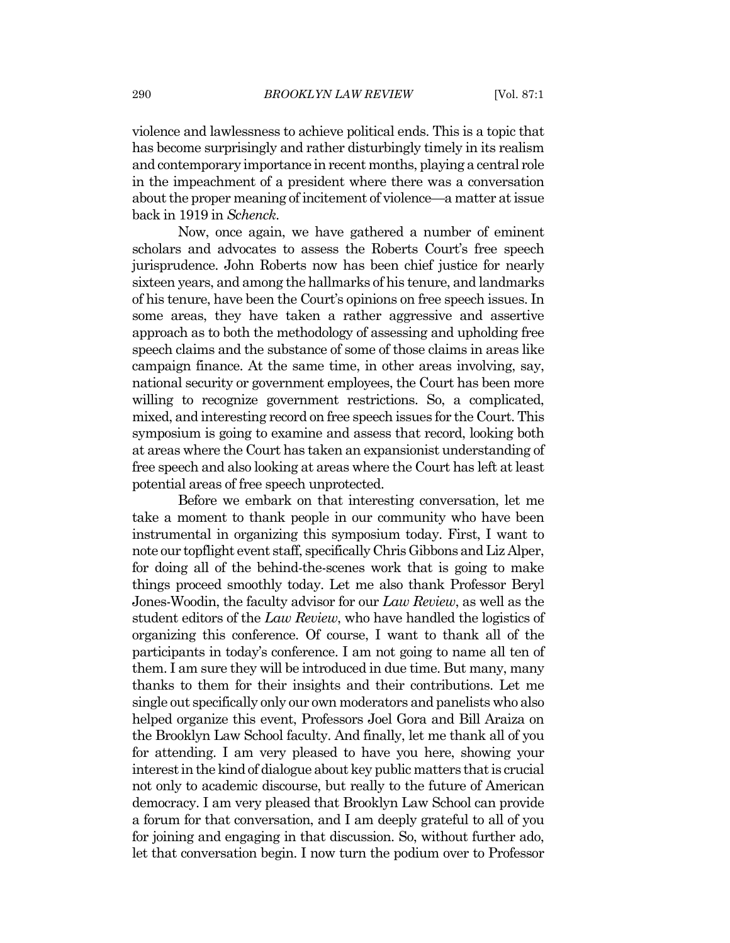violence and lawlessness to achieve political ends. This is a topic that has become surprisingly and rather disturbingly timely in its realism and contemporary importance in recent months, playing a central role in the impeachment of a president where there was a conversation about the proper meaning of incitement of violence—a matter at issue back in 1919 in Schenck.

Now, once again, we have gathered a number of eminent scholars and advocates to assess the Roberts Court's free speech jurisprudence. John Roberts now has been chief justice for nearly sixteen years, and among the hallmarks of his tenure, and landmarks of his tenure, have been the Court's opinions on free speech issues. In some areas, they have taken a rather aggressive and assertive approach as to both the methodology of assessing and upholding free speech claims and the substance of some of those claims in areas like campaign finance. At the same time, in other areas involving, say, national security or government employees, the Court has been more willing to recognize government restrictions. So, a complicated, mixed, and interesting record on free speech issues for the Court. This symposium is going to examine and assess that record, looking both at areas where the Court has taken an expansion ist understanding of free speech and also looking at areas where the Court has left at least potential areas of free speech unprotected.

Before we embark on that interesting conversation, let me take a moment to thank people in our community who have been instrumental in organizing this symposium today. First, I want to note our topflight event staff, specifically Chris Gibbons and Liz Alper, for doing all of the behind-the-scenes work that is going to make things proceed smoothly today. Let me also thank Professor Beryl Jones-Woodin, the faculty advisor for our Law Review, as well as the student editors of the *Law Review*, who have handled the logistics of organizing this conference. Of course, I want to thank all of the participants in today's conference. I am not going to name all ten of them. I am sure they will be introduced in due time. But many, many thanks to them for their insights and their contributions. Let me single out specifically only our own moderators and panelists who also helped organize this event, Professors Joel Gora and Bill Araiza on the Brooklyn Law School faculty. And finally, let me thank all of you for attending. I am very pleased to have you here, showing your interest in the kind of dialogue about key public matters that is crucial not only to academic discourse, but really to the future of American democracy. I am very pleased that Brooklyn Law School can provide a forum for that conversation, and I am deeply grateful to all of you for joining and engaging in that discussion. So, without further ado, let that conversation begin. I now turn the podium over to Professor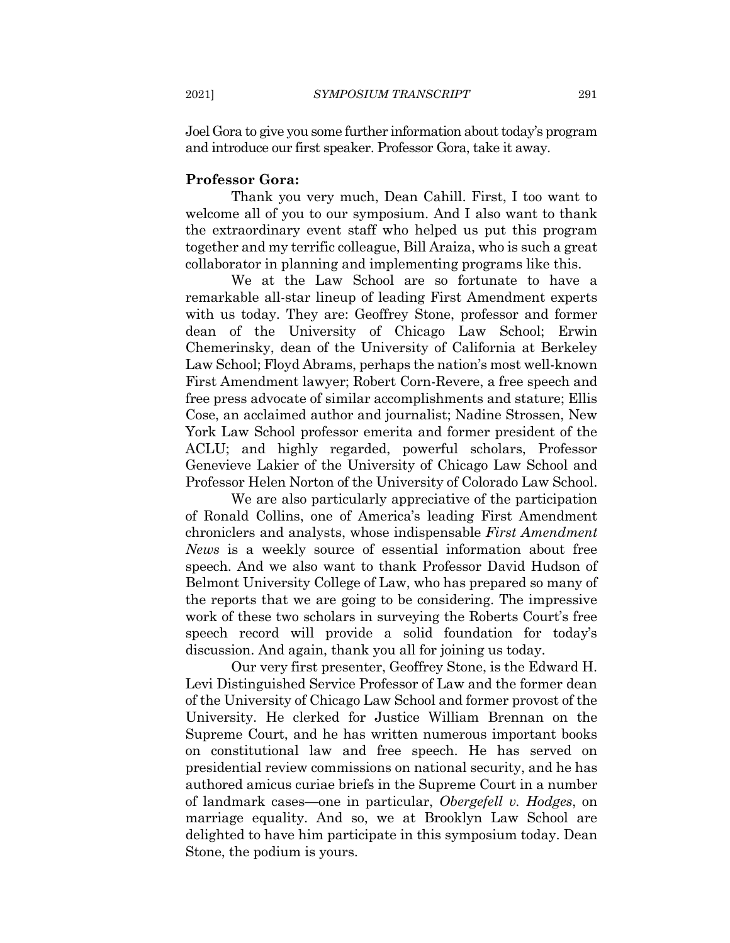Joel Gora to give you some further information about today's program and introduce our first speaker. Professor Gora, take it away.

#### **Professor Gora:**

Thank you very much, Dean Cahill. First, I too want to welcome all of you to our symposium. And I also want to thank the extraordinary event staff who helped us put this program together and my terrific colleague, Bill Araiza, who is such a great collaborator in planning and implementing programs like this.

We at the Law School are so fortunate to have a remarkable all-star lineup of leading First Amendment experts with us today. They are: Geoffrey Stone, professor and former dean of the University of Chicago Law School; Erwin Chemerinsky, dean of the University of California at Berkeley Law School; Floyd Abrams, perhaps the nation's most well-known First Amendment lawyer; Robert Corn-Revere, a free speech and free press advocate of similar accomplishments and stature; Ellis Cose, an acclaimed author and journalist; Nadine Strossen, New York Law School professor emerita and former president of the ACLU; and highly regarded, powerful scholars, Professor Genevieve Lakier of the University of Chicago Law School and Professor Helen Norton of the University of Colorado Law School.

We are also particularly appreciative of the participation of Ronald Collins, one of America's leading First Amendment chroniclers and analysts, whose indispensable First Amendment *News* is a weekly source of essential information about free speech. And we also want to thank Professor David Hudson of Belmont University College of Law, who has prepared so many of the reports that we are going to be considering. The impressive work of these two scholars in surveying the Roberts Court's free speech record will provide a solid foundation for today's discussion. And again, thank you all for joining us today.

Our very first presenter, Geoffrey Stone, is the Edward H. Levi Distinguished Service Professor of Law and the former dean of the University of Chicago Law School and former provost of the University. He clerked for Justice William Brennan on the Supreme Court, and he has written numerous important books on constitutional law and free speech. He has served on presidential review commissions on national security, and he has authored amicus curiae briefs in the Supreme Court in a number of landmark cases—one in particular, *Obergefell v. Hodges*, on marriage equality. And so, we at Brooklyn Law School are delighted to have him participate in this symposium today. Dean Stone, the podium is yours.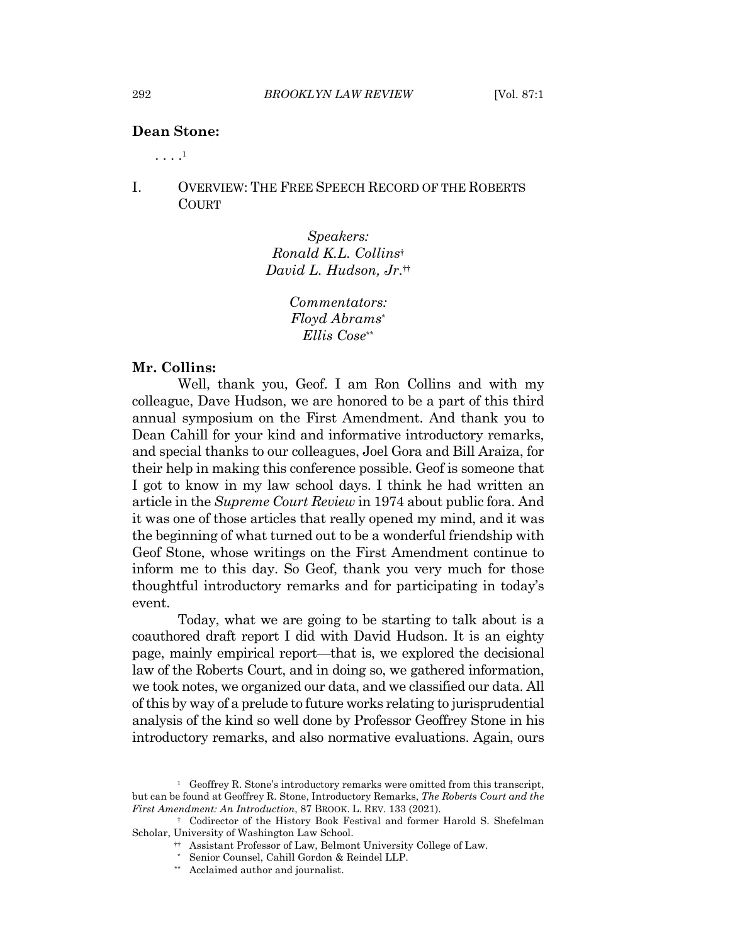### **Dean Stone:**

 $\cdots$ <sup>1</sup>

#### $\mathbf{I}$ **OVERVIEW: THE FREE SPEECH RECORD OF THE ROBERTS COURT**

Speakers: Ronald K.L. Collins<sup>†</sup> David L. Hudson, Jr.#

> Commentators: Floyd Abrams\* Ellis Cose\*\*

#### Mr. Collins:

Well, thank you, Geof. I am Ron Collins and with my colleague, Dave Hudson, we are honored to be a part of this third annual symposium on the First Amendment. And thank you to Dean Cahill for your kind and informative introductory remarks, and special thanks to our colleagues, Joel Gora and Bill Araiza, for their help in making this conference possible. Geof is someone that I got to know in my law school days. I think he had written an article in the *Supreme Court Review* in 1974 about public fora. And it was one of those articles that really opened my mind, and it was the beginning of what turned out to be a wonderful friendship with Geof Stone, whose writings on the First Amendment continue to inform me to this day. So Geof, thank you very much for those thoughtful introductory remarks and for participating in today's event.

Today, what we are going to be starting to talk about is a coauthored draft report I did with David Hudson. It is an eighty page, mainly empirical report—that is, we explored the decisional law of the Roberts Court, and in doing so, we gathered information, we took notes, we organized our data, and we classified our data. All of this by way of a prelude to future works relating to jurisprudential analysis of the kind so well done by Professor Geoffrey Stone in his introductory remarks, and also normative evaluations. Again, ours

292

<sup>&</sup>lt;sup>1</sup> Geoffrey R. Stone's introductory remarks were omitted from this transcript, but can be found at Geoffrey R. Stone, Introductory Remarks, The Roberts Court and the First Amendment: An Introduction, 87 BROOK. L. REV. 133 (2021).

<sup>&</sup>lt;sup>†</sup> Codirector of the History Book Festival and former Harold S. Shefelman Scholar, University of Washington Law School.

<sup>#</sup> Assistant Professor of Law, Belmont University College of Law.

<sup>\*</sup> Senior Counsel, Cahill Gordon & Reindel LLP.

<sup>\*\*</sup> Acclaimed author and journalist.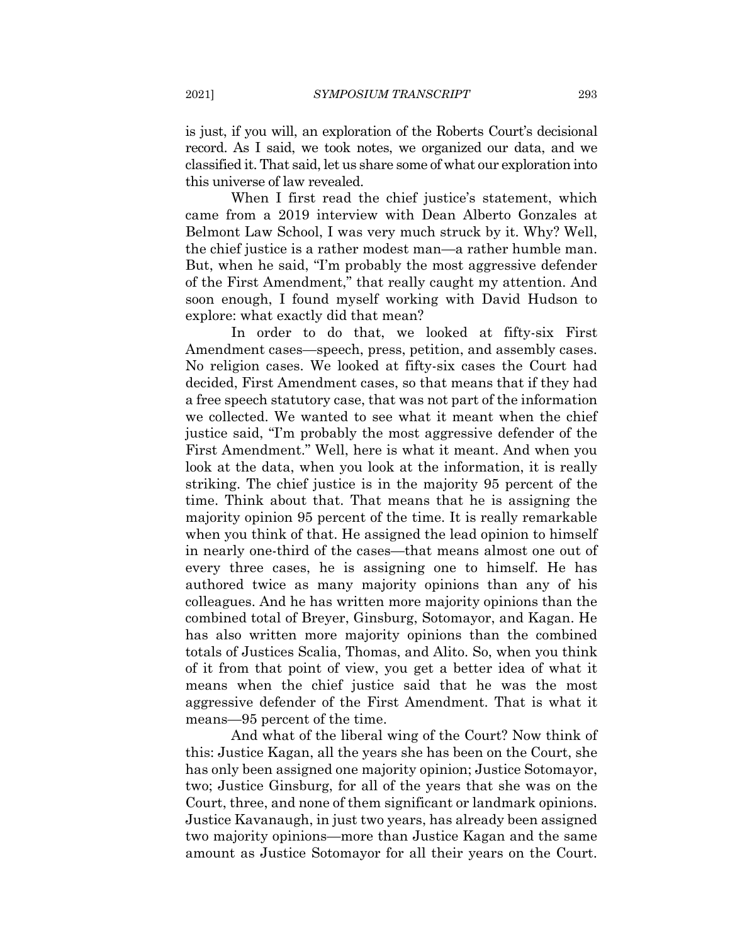is just, if you will, an exploration of the Roberts Court's decisional record. As I said, we took notes, we organized our data, and we classified it. That said, let us share some of what our exploration into this universe of law revealed.

When I first read the chief justice's statement, which came from a 2019 interview with Dean Alberto Gonzales at Belmont Law School, I was very much struck by it. Why? Well, the chief justice is a rather modest man—a rather humble man. But, when he said, "I'm probably the most aggressive defender of the First Amendment," that really caught my attention. And soon enough, I found myself working with David Hudson to explore: what exactly did that mean?

In order to do that, we looked at fifty-six First Amendment cases—speech, press, petition, and assembly cases. No religion cases. We looked at fifty-six cases the Court had decided, First Amendment cases, so that means that if they had a free speech statutory case, that was not part of the information we collected. We wanted to see what it meant when the chief justice said, "I'm probably the most aggressive defender of the First Amendment." Well, here is what it meant. And when you look at the data, when you look at the information, it is really striking. The chief justice is in the majority 95 percent of the time. Think about that. That means that he is assigning the majority opinion 95 percent of the time. It is really remarkable when you think of that. He assigned the lead opinion to himself in nearly one-third of the cases—that means almost one out of every three cases, he is assigning one to himself. He has authored twice as many majority opinions than any of his colleagues. And he has written more majority opinions than the combined total of Breyer, Ginsburg, Sotomayor, and Kagan. He has also written more majority opinions than the combined totals of Justices Scalia, Thomas, and Alito. So, when you think of it from that point of view, you get a better idea of what it means when the chief justice said that he was the most aggressive defender of the First Amendment. That is what it means—95 percent of the time.

And what of the liberal wing of the Court? Now think of this: Justice Kagan, all the years she has been on the Court, she has only been assigned one majority opinion; Justice Sotomayor, two; Justice Ginsburg, for all of the years that she was on the Court, three, and none of them significant or landmark opinions. Justice Kavanaugh, in just two years, has already been assigned two majority opinions—more than Justice Kagan and the same amount as Justice Sotomayor for all their years on the Court.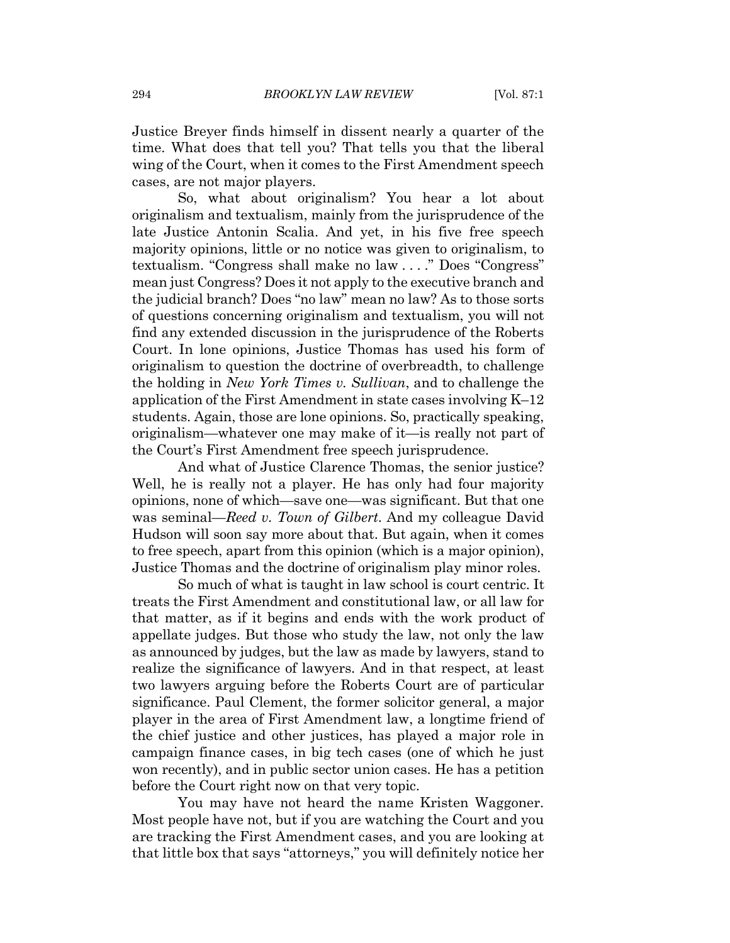Justice Breyer finds himself in dissent nearly a quarter of the time. What does that tell you? That tells you that the liberal wing of the Court, when it comes to the First Amendment speech cases, are not major players.

So, what about originalism? You hear a lot about originalism and textualism, mainly from the jurisprudence of the late Justice Antonin Scalia. And yet, in his five free speech majority opinions, little or no notice was given to originalism, to textualism. "Congress shall make no law ...." Does "Congress" mean just Congress? Does it not apply to the executive branch and the judicial branch? Does "no law" mean no law? As to those sorts of questions concerning originalism and textualism, you will not find any extended discussion in the jurisprudence of the Roberts Court. In lone opinions, Justice Thomas has used his form of originalism to question the doctrine of overbreadth, to challenge the holding in *New York Times v. Sullivan*, and to challenge the application of the First Amendment in state cases involving  $K-12$ students. Again, those are lone opinions. So, practically speaking, originalism—whatever one may make of it—is really not part of the Court's First Amendment free speech jurisprudence.

And what of Justice Clarence Thomas, the senior justice? Well, he is really not a player. He has only had four majority opinions, none of which—save one—was significant. But that one was seminal—Reed v. Town of Gilbert. And my colleague David Hudson will soon say more about that. But again, when it comes to free speech, apart from this opinion (which is a major opinion), Justice Thomas and the doctrine of originalism play minor roles.

So much of what is taught in law school is court centric. It treats the First Amendment and constitutional law, or all law for that matter, as if it begins and ends with the work product of appellate judges. But those who study the law, not only the law as announced by judges, but the law as made by lawyers, stand to realize the significance of lawyers. And in that respect, at least two lawyers arguing before the Roberts Court are of particular significance. Paul Clement, the former solicitor general, a major player in the area of First Amendment law, a longtime friend of the chief justice and other justices, has played a major role in campaign finance cases, in big tech cases (one of which he just won recently), and in public sector union cases. He has a petition before the Court right now on that very topic.

You may have not heard the name Kristen Waggoner. Most people have not, but if you are watching the Court and you are tracking the First Amendment cases, and you are looking at that little box that says "attorneys," you will definitely notice her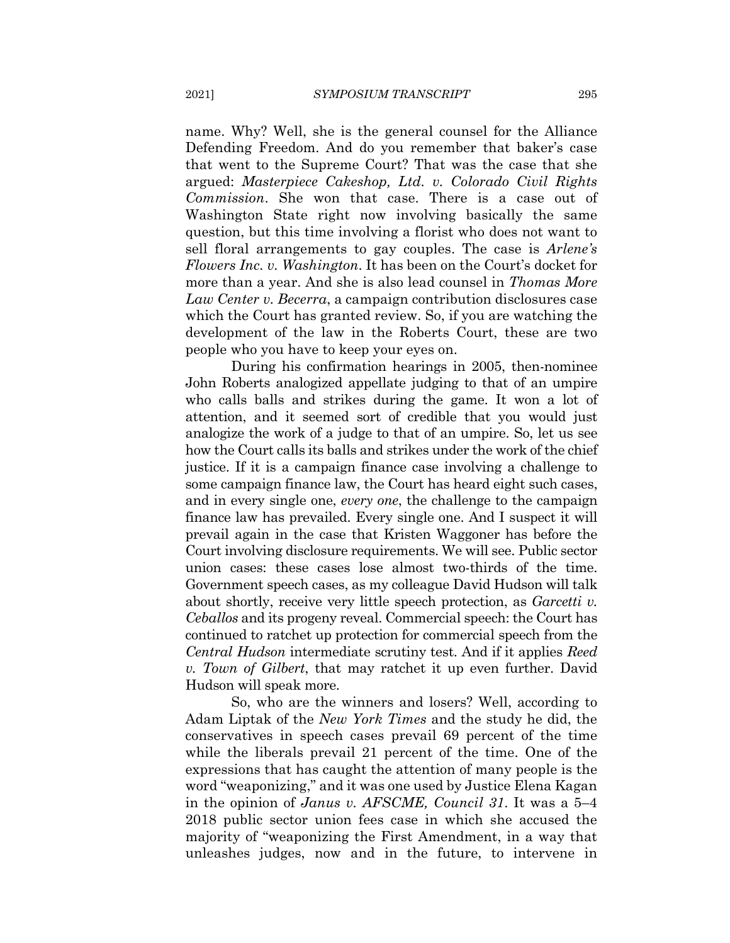name. Why? Well, she is the general counsel for the Alliance Defending Freedom. And do you remember that baker's case that went to the Supreme Court? That was the case that she argued: Masterpiece Cakeshop, Ltd. v. Colorado Civil Rights *Commission*. She won that case. There is a case out of Washington State right now involving basically the same question, but this time involving a florist who does not want to sell floral arrangements to gay couples. The case is *Arlene's Flowers Inc. v. Washington.* It has been on the Court's docket for more than a year. And she is also lead counsel in *Thomas More* Law Center v. Becerra, a campaign contribution disclosures case which the Court has granted review. So, if you are watching the development of the law in the Roberts Court, these are two people who you have to keep your eyes on.

During his confirmation hearings in 2005, then-nominee John Roberts analogized appellate judging to that of an umpire who calls balls and strikes during the game. It won a lot of attention, and it seemed sort of credible that you would just analogize the work of a judge to that of an umpire. So, let us see how the Court calls its balls and strikes under the work of the chief justice. If it is a campaign finance case involving a challenge to some campaign finance law, the Court has heard eight such cases, and in every single one, every one, the challenge to the campaign finance law has prevailed. Every single one. And I suspect it will prevail again in the case that Kristen Waggoner has before the Court involving disclosure requirements. We will see. Public sector union cases: these cases lose almost two-thirds of the time. Government speech cases, as my colleague David Hudson will talk about shortly, receive very little speech protection, as Garcetti v. *Ceballos* and its progeny reveal. Commercial speech: the Court has continued to ratchet up protection for commercial speech from the *Central Hudson* intermediate scrutiny test. And if it applies *Reed* v. Town of Gilbert, that may ratchet it up even further. David Hudson will speak more.

So, who are the winners and losers? Well, according to Adam Liptak of the *New York Times* and the study he did, the conservatives in speech cases prevail 69 percent of the time while the liberals prevail 21 percent of the time. One of the expressions that has caught the attention of many people is the word "weaponizing," and it was one used by Justice Elena Kagan in the opinion of *Janus v. AFSCME*, *Council 31*. It was a 5–4 2018 public sector union fees case in which she accused the majority of "weaponizing the First Amendment, in a way that unleashes judges, now and in the future, to intervene in

2021]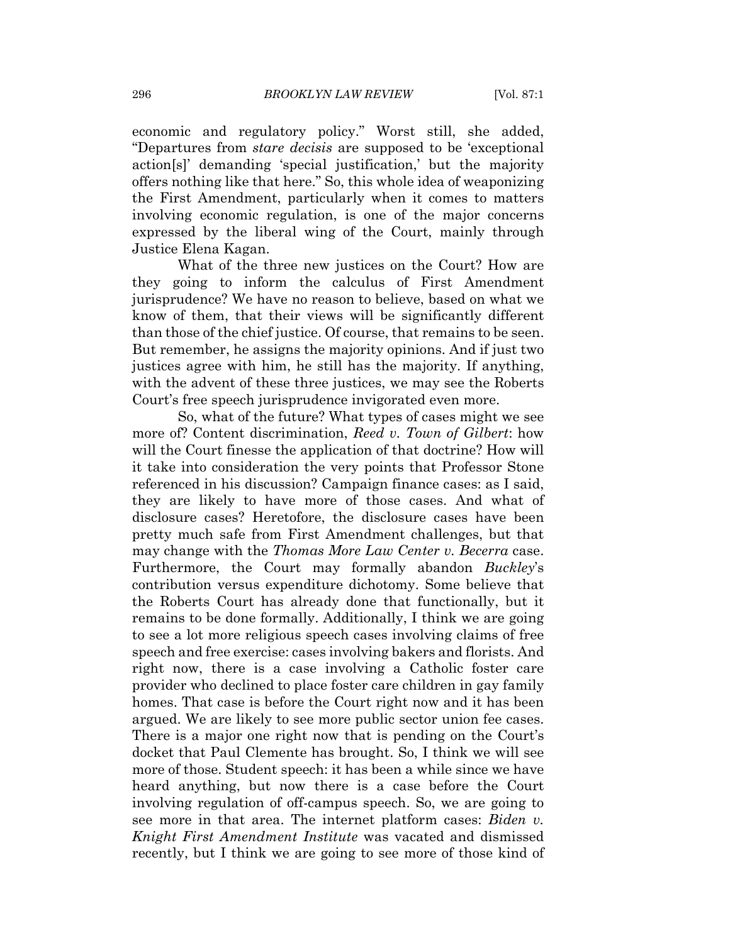economic and regulatory policy." Worst still, she added, "Departures from *stare decisis* are supposed to be 'exceptional action [s]' demanding 'special justification,' but the majority offers nothing like that here." So, this whole idea of weaponizing the First Amendment, particularly when it comes to matters involving economic regulation, is one of the major concerns expressed by the liberal wing of the Court, mainly through Justice Elena Kagan.

What of the three new justices on the Court? How are they going to inform the calculus of First Amendment jurisprudence? We have no reason to believe, based on what we know of them, that their views will be significantly different than those of the chief justice. Of course, that remains to be seen. But remember, he assigns the majority opinions. And if just two justices agree with him, he still has the majority. If anything, with the advent of these three justices, we may see the Roberts Court's free speech jurisprudence invigorated even more.

So, what of the future? What types of cases might we see more of? Content discrimination, Reed v. Town of Gilbert: how will the Court finesse the application of that doctrine? How will it take into consideration the very points that Professor Stone referenced in his discussion? Campaign finance cases: as I said, they are likely to have more of those cases. And what of disclosure cases? Heretofore, the disclosure cases have been pretty much safe from First Amendment challenges, but that may change with the *Thomas More Law Center v. Becerra* case. Furthermore, the Court may formally abandon *Buckley's* contribution versus expenditure dichotomy. Some believe that the Roberts Court has already done that functionally, but it remains to be done formally. Additionally, I think we are going to see a lot more religious speech cases involving claims of free speech and free exercise: cases involving bakers and florists. And right now, there is a case involving a Catholic foster care provider who declined to place foster care children in gay family homes. That case is before the Court right now and it has been argued. We are likely to see more public sector union fee cases. There is a major one right now that is pending on the Court's docket that Paul Clemente has brought. So, I think we will see more of those. Student speech: it has been a while since we have heard anything, but now there is a case before the Court involving regulation of off-campus speech. So, we are going to see more in that area. The internet platform cases: *Biden v.* Knight First Amendment Institute was vacated and dismissed recently, but I think we are going to see more of those kind of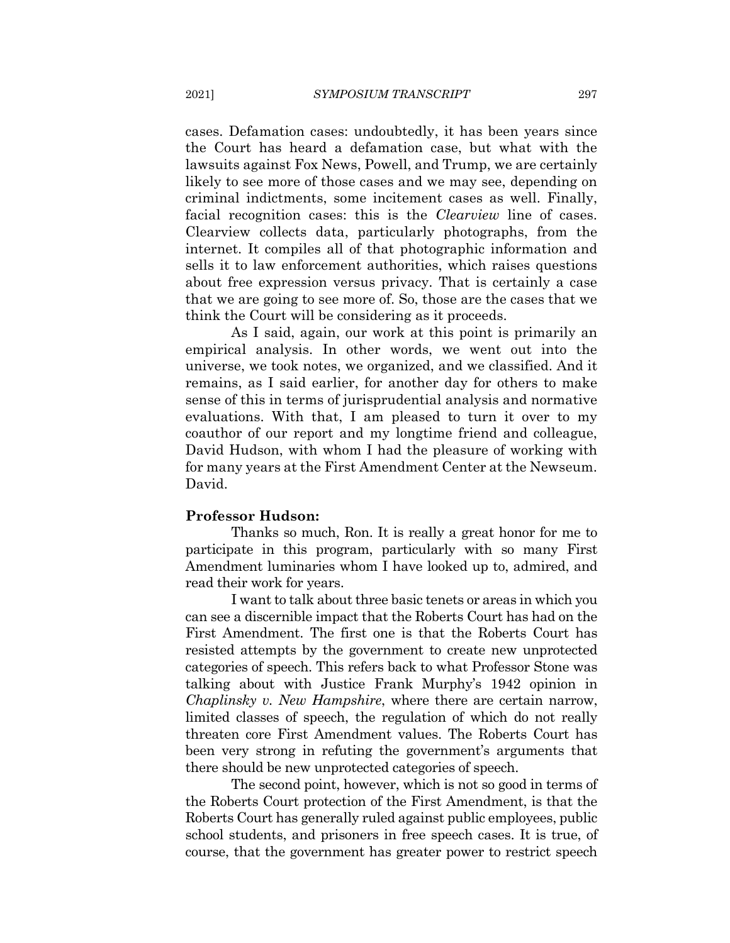cases. Defamation cases: undoubtedly, it has been years since the Court has heard a defamation case, but what with the lawsuits against Fox News, Powell, and Trump, we are certainly likely to see more of those cases and we may see, depending on criminal indictments, some incitement cases as well. Finally, facial recognition cases: this is the *Clearview* line of cases. Clearview collects data, particularly photographs, from the internet. It compiles all of that photographic information and sells it to law enforcement authorities, which raises questions about free expression versus privacy. That is certainly a case that we are going to see more of. So, those are the cases that we think the Court will be considering as it proceeds.

As I said, again, our work at this point is primarily an empirical analysis. In other words, we went out into the universe, we took notes, we organized, and we classified. And it remains, as I said earlier, for another day for others to make sense of this in terms of jurisprudential analysis and normative evaluations. With that, I am pleased to turn it over to my coauthor of our report and my longtime friend and colleague, David Hudson, with whom I had the pleasure of working with for many years at the First Amendment Center at the Newseum. David.

#### **Professor Hudson:**

Thanks so much, Ron. It is really a great honor for me to participate in this program, particularly with so many First Amendment luminaries whom I have looked up to, admired, and read their work for years.

I want to talk about three basic tenets or areas in which you can see a discernible impact that the Roberts Court has had on the First Amendment. The first one is that the Roberts Court has resisted attempts by the government to create new unprotected categories of speech. This refers back to what Professor Stone was talking about with Justice Frank Murphy's 1942 opinion in *Chaplinsky v. New Hampshire,* where there are certain narrow, limited classes of speech, the regulation of which do not really threaten core First Amendment values. The Roberts Court has been very strong in refuting the government's arguments that there should be new unprotected categories of speech.

The second point, however, which is not so good in terms of the Roberts Court protection of the First Amendment, is that the Roberts Court has generally ruled against public employees, public school students, and prisoners in free speech cases. It is true, of course, that the government has greater power to restrict speech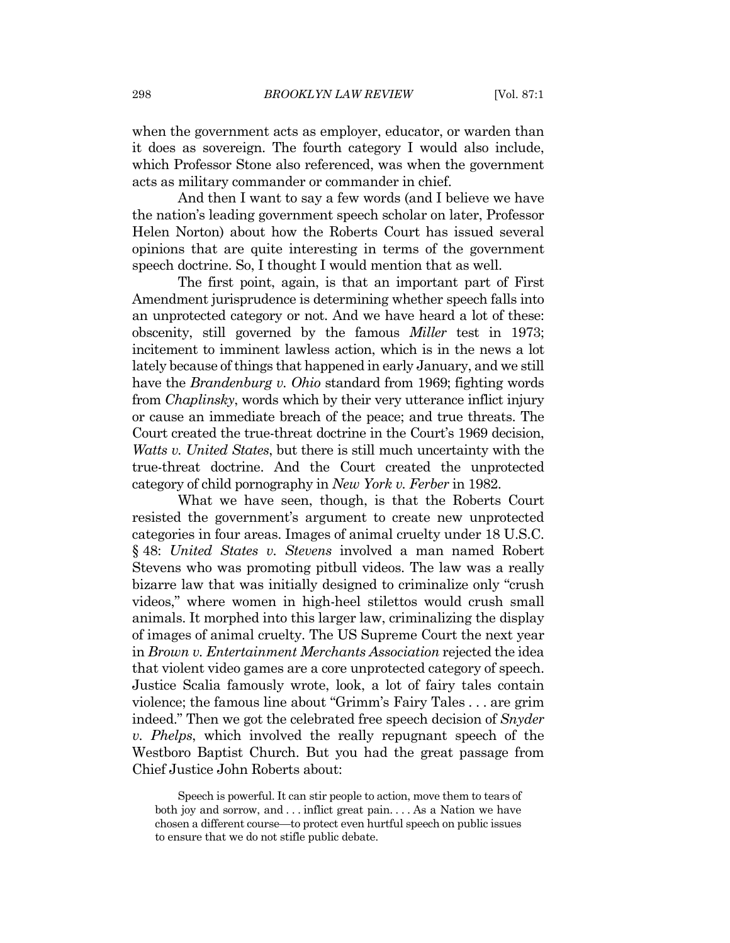when the government acts as employer, educator, or warden than it does as sovereign. The fourth category I would also include, which Professor Stone also referenced, was when the government acts as military commander or commander in chief.

And then I want to say a few words (and I believe we have the nation's leading government speech scholar on later, Professor Helen Norton) about how the Roberts Court has issued several opinions that are quite interesting in terms of the government speech doctrine. So, I thought I would mention that as well.

The first point, again, is that an important part of First Amendment jurisprudence is determining whether speech falls into an unprotected category or not. And we have heard a lot of these: obscenity, still governed by the famous *Miller* test in 1973; incitement to imminent lawless action, which is in the news a lot lately because of things that happened in early January, and we still have the *Brandenburg v. Ohio* standard from 1969; fighting words from *Chaplinsky*, words which by their very utterance inflict injury or cause an immediate breach of the peace; and true threats. The Court created the true-threat doctrine in the Court's 1969 decision. *Watts v. United States, but there is still much uncertainty with the* true-threat doctrine. And the Court created the unprotected category of child pornography in New York v. Ferber in 1982.

What we have seen, though, is that the Roberts Court resisted the government's argument to create new unprotected categories in four areas. Images of animal cruelty under 18 U.S.C. § 48: United States v. Stevens involved a man named Robert Stevens who was promoting pitbull videos. The law was a really bizarre law that was initially designed to criminalize only "crush" videos," where women in high-heel stilettos would crush small animals. It morphed into this larger law, criminalizing the display of images of animal cruelty. The US Supreme Court the next year in Brown v. Entertainment Merchants Association rejected the idea that violent video games are a core unprotected category of speech. Justice Scalia famously wrote, look, a lot of fairy tales contain violence; the famous line about "Grimm's Fairy Tales . . . are grim indeed." Then we got the celebrated free speech decision of Snyder v. Phelps, which involved the really repugnant speech of the Westboro Baptist Church. But you had the great passage from Chief Justice John Roberts about:

Speech is powerful. It can stir people to action, move them to tears of both joy and sorrow, and ... inflict great pain.... As a Nation we have chosen a different course—to protect even hurtful speech on public issues to ensure that we do not stifle public debate.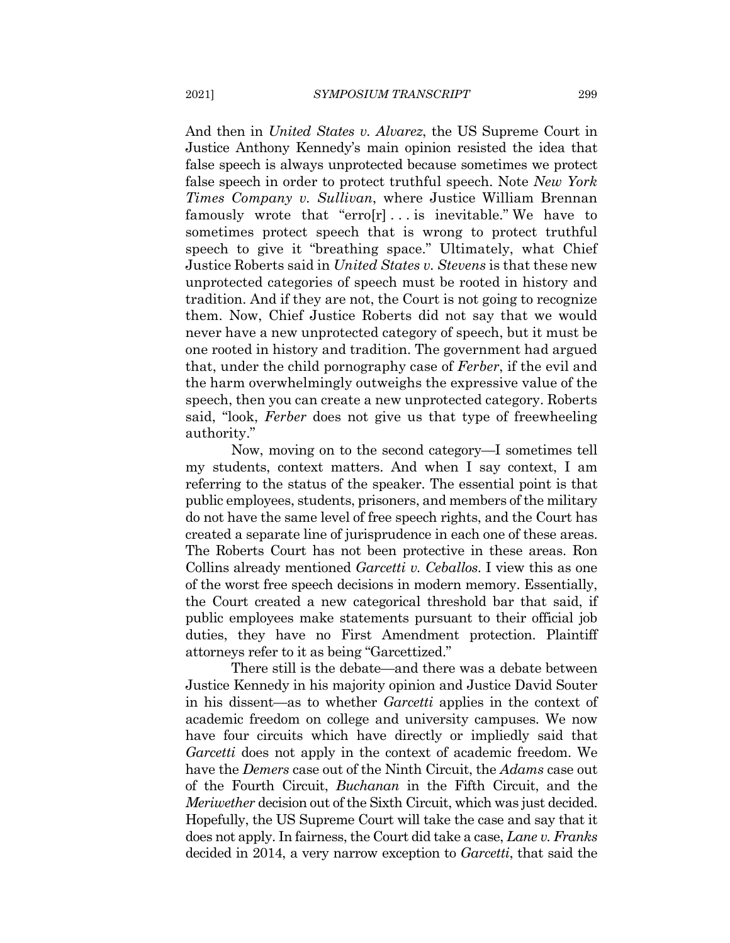2021]

And then in *United States v. Alvarez*, the US Supreme Court in Justice Anthony Kennedy's main opinion resisted the idea that false speech is always unprotected because sometimes we protect false speech in order to protect truthful speech. Note New York *Times Company v. Sullivan*, where Justice William Brennan famously wrote that "erro[r]... is inevitable." We have to sometimes protect speech that is wrong to protect truthful speech to give it "breathing space." Ultimately, what Chief Justice Roberts said in *United States v. Stevens* is that these new unprotected categories of speech must be rooted in history and tradition. And if they are not, the Court is not going to recognize them. Now, Chief Justice Roberts did not say that we would never have a new unprotected category of speech, but it must be one rooted in history and tradition. The government had argued that, under the child pornography case of Ferber, if the evil and the harm overwhelmingly outweighs the expressive value of the speech, then you can create a new unprotected category. Roberts said, "look, Ferber does not give us that type of freewheeling authority."

Now, moving on to the second category—I sometimes tell my students, context matters. And when I say context, I am referring to the status of the speaker. The essential point is that public employees, students, prisoners, and members of the military do not have the same level of free speech rights, and the Court has created a separate line of jurisprudence in each one of these areas. The Roberts Court has not been protective in these areas. Ron Collins already mentioned *Garcetti v. Ceballos*. I view this as one of the worst free speech decisions in modern memory. Essentially, the Court created a new categorical threshold bar that said, if public employees make statements pursuant to their official job duties, they have no First Amendment protection. Plaintiff attorneys refer to it as being "Garcettized."

There still is the debate—and there was a debate between Justice Kennedy in his majority opinion and Justice David Souter in his dissent—as to whether *Garcetti* applies in the context of academic freedom on college and university campuses. We now have four circuits which have directly or impliedly said that Garcetti does not apply in the context of academic freedom. We have the *Demers* case out of the Ninth Circuit, the *Adams* case out of the Fourth Circuit, *Buchanan* in the Fifth Circuit, and the *Meriwether* decision out of the Sixth Circuit, which was just decided. Hopefully, the US Supreme Court will take the case and say that it does not apply. In fairness, the Court did take a case, Lane v. Franks decided in 2014, a very narrow exception to Garcetti, that said the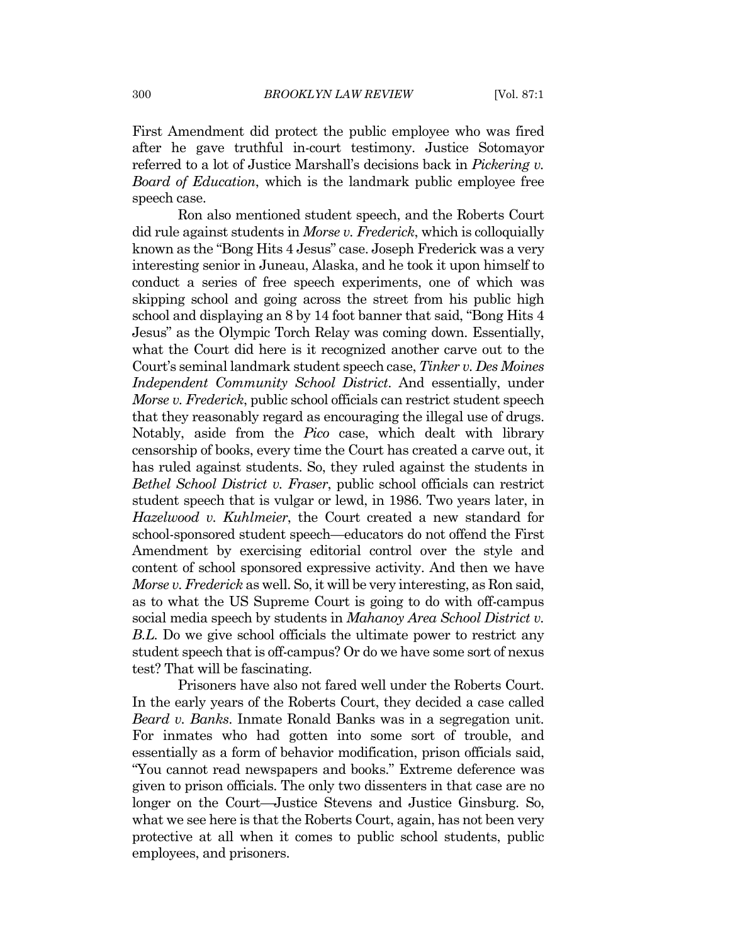First Amendment did protect the public employee who was fired after he gave truthful in-court testimony. Justice Sotomayor referred to a lot of Justice Marshall's decisions back in *Pickering v*. *Board of Education*, which is the landmark public employee free speech case.

Ron also mentioned student speech, and the Roberts Court did rule against students in Morse v. Frederick, which is colloquially known as the "Bong Hits 4 Jesus" case. Joseph Frederick was a very interesting senior in Juneau, Alaska, and he took it upon himself to conduct a series of free speech experiments, one of which was skipping school and going across the street from his public high school and displaying an 8 by 14 foot banner that said, "Bong Hits 4 Jesus" as the Olympic Torch Relay was coming down. Essentially, what the Court did here is it recognized another carve out to the Court's seminal landmark student speech case, Tinker v. Des Moines *Independent Community School District.* And essentially, under Morse v. Frederick, public school officials can restrict student speech that they reasonably regard as encouraging the illegal use of drugs. Notably, aside from the *Pico* case, which dealt with library censorship of books, every time the Court has created a carve out, it has ruled against students. So, they ruled against the students in *Bethel School District v. Fraser, public school officials can restrict* student speech that is vulgar or lewd, in 1986. Two years later, in *Hazelwood v. Kuhlmeier*, the Court created a new standard for school-sponsored student speech—educators do not offend the First Amendment by exercising editorial control over the style and content of school sponsored expressive activity. And then we have *Morse v. Frederick* as well. So, it will be very interesting, as Ron said, as to what the US Supreme Court is going to do with off-campus social media speech by students in Mahanoy Area School District v. B.L. Do we give school officials the ultimate power to restrict any student speech that is off-campus? Or do we have some sort of nexus test? That will be fascinating.

Prisoners have also not fared well under the Roberts Court. In the early years of the Roberts Court, they decided a case called *Beard v. Banks.* Inmate Ronald Banks was in a segregation unit. For inmates who had gotten into some sort of trouble, and essentially as a form of behavior modification, prison officials said, "You cannot read newspapers and books." Extreme deference was given to prison officials. The only two dissenters in that case are no longer on the Court—Justice Stevens and Justice Ginsburg. So, what we see here is that the Roberts Court, again, has not been very protective at all when it comes to public school students, public employees, and prisoners.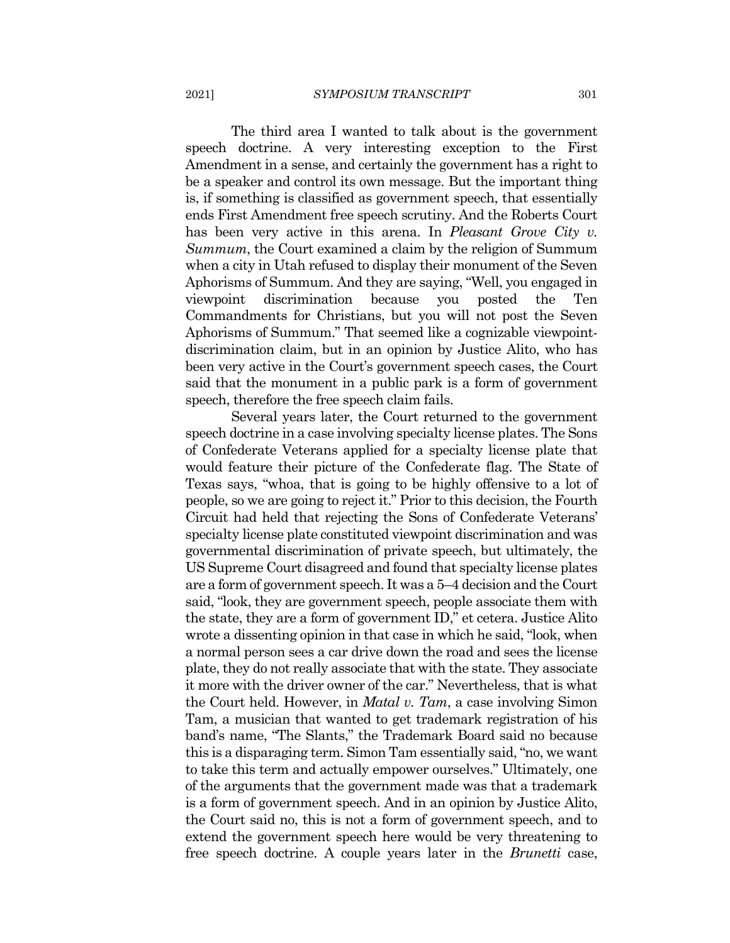2021]

The third area I wanted to talk about is the government speech doctrine. A very interesting exception to the First Amendment in a sense, and certainly the government has a right to be a speaker and control its own message. But the important thing is, if something is classified as government speech, that essentially ends First Amendment free speech scrutiny. And the Roberts Court has been very active in this arena. In *Pleasant Grove City v.* Summum, the Court examined a claim by the religion of Summum when a city in Utah refused to display their monument of the Seven Aphorisms of Summum. And they are saying, "Well, you engaged in discrimination because Ten viewpoint you posted the Commandments for Christians, but you will not post the Seven Aphorisms of Summum." That seemed like a cognizable viewpointdiscrimination claim, but in an opinion by Justice Alito, who has been very active in the Court's government speech cases, the Court said that the monument in a public park is a form of government speech, therefore the free speech claim fails.

Several years later, the Court returned to the government speech doctrine in a case involving specialty license plates. The Sons of Confederate Veterans applied for a specialty license plate that would feature their picture of the Confederate flag. The State of Texas says, "whoa, that is going to be highly offensive to a lot of people, so we are going to reject it." Prior to this decision, the Fourth Circuit had held that rejecting the Sons of Confederate Veterans' specialty license plate constituted viewpoint discrimination and was governmental discrimination of private speech, but ultimately, the US Supreme Court disagreed and found that specialty license plates are a form of government speech. It was a 5–4 decision and the Court said, "look, they are government speech, people associate them with the state, they are a form of government ID," et cetera. Justice Alito wrote a dissenting opinion in that case in which he said, "look, when a normal person sees a car drive down the road and sees the license plate, they do not really associate that with the state. They associate it more with the driver owner of the car." Nevertheless, that is what the Court held. However, in *Matal v. Tam*, a case involving Simon Tam, a musician that wanted to get trademark registration of his band's name, "The Slants," the Trademark Board said no because this is a disparaging term. Simon Tam essentially said, "no, we want to take this term and actually empower ourselves." Ultimately, one of the arguments that the government made was that a trademark is a form of government speech. And in an opinion by Justice Alito, the Court said no, this is not a form of government speech, and to extend the government speech here would be very threatening to free speech doctrine. A couple years later in the *Brunetti* case,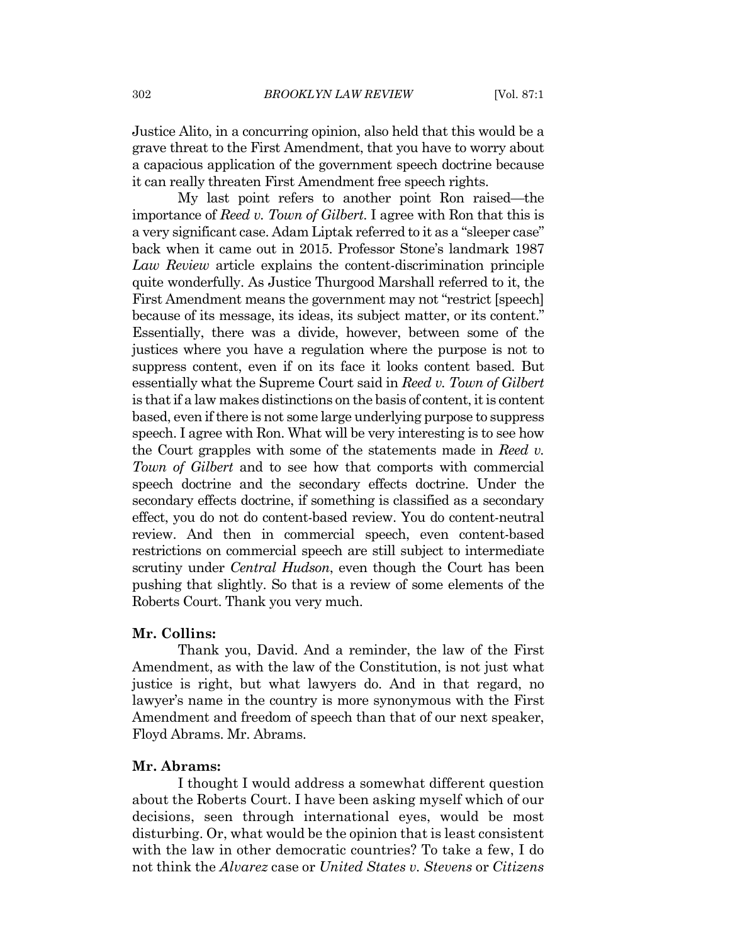Justice Alito, in a concurring opinion, also held that this would be a grave threat to the First Amendment, that you have to worry about a capacious application of the government speech doctrine because it can really threaten First Amendment free speech rights.

My last point refers to another point Ron raised—the importance of Reed v. Town of Gilbert. I agree with Ron that this is a very significant case. Adam Liptak referred to it as a "sleeper case" back when it came out in 2015. Professor Stone's landmark 1987 Law Review article explains the content-discrimination principle quite wonderfully. As Justice Thurgood Marshall referred to it, the First Amendment means the government may not "restrict [speech] because of its message, its ideas, its subject matter, or its content." Essentially, there was a divide, however, between some of the justices where you have a regulation where the purpose is not to suppress content, even if on its face it looks content based. But essentially what the Supreme Court said in Reed v. Town of Gilbert is that if a law makes distinctions on the basis of content, it is content based, even if there is not some large underlying purpose to suppress speech. I agree with Ron. What will be very interesting is to see how the Court grapples with some of the statements made in Reed v. Town of Gilbert and to see how that comports with commercial speech doctrine and the secondary effects doctrine. Under the secondary effects doctrine, if something is classified as a secondary effect, you do not do content-based review. You do content-neutral review. And then in commercial speech, even content-based restrictions on commercial speech are still subject to intermediate scrutiny under *Central Hudson*, even though the Court has been pushing that slightly. So that is a review of some elements of the Roberts Court. Thank you very much.

#### Mr. Collins:

Thank you, David. And a reminder, the law of the First Amendment, as with the law of the Constitution, is not just what justice is right, but what lawyers do. And in that regard, no lawyer's name in the country is more synonymous with the First Amendment and freedom of speech than that of our next speaker, Floyd Abrams. Mr. Abrams.

#### Mr. Abrams:

I thought I would address a somewhat different question about the Roberts Court. I have been asking myself which of our decisions, seen through international eyes, would be most disturbing. Or, what would be the opinion that is least consistent with the law in other democratic countries? To take a few, I do not think the *Alvarez* case or *United States v. Stevens* or *Citizens*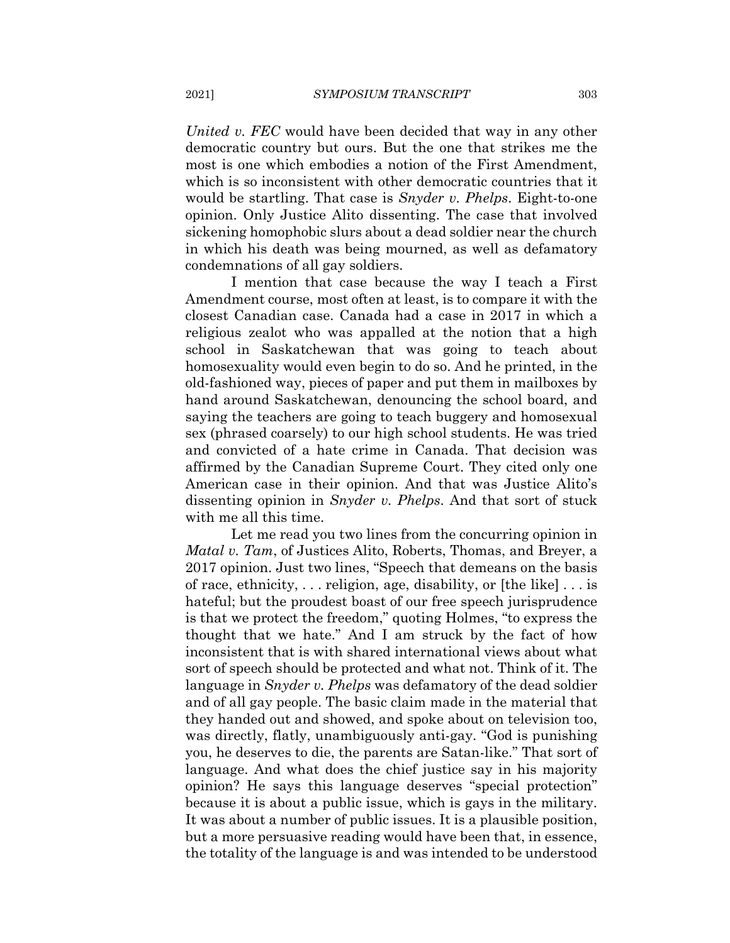United v. FEC would have been decided that way in any other democratic country but ours. But the one that strikes me the most is one which embodies a notion of the First Amendment. which is so inconsistent with other democratic countries that it would be startling. That case is *Snyder v. Phelps*. Eight-to-one opinion. Only Justice Alito dissenting. The case that involved sickening homophobic slurs about a dead soldier near the church in which his death was being mourned, as well as defamatory condemnations of all gay soldiers.

I mention that case because the way I teach a First Amendment course, most often at least, is to compare it with the closest Canadian case. Canada had a case in 2017 in which a religious zealot who was appalled at the notion that a high school in Saskatchewan that was going to teach about homosexuality would even begin to do so. And he printed, in the old-fashioned way, pieces of paper and put them in mailboxes by hand around Saskatchewan, denouncing the school board, and saying the teachers are going to teach buggery and homosexual sex (phrased coarsely) to our high school students. He was tried and convicted of a hate crime in Canada. That decision was affirmed by the Canadian Supreme Court. They cited only one American case in their opinion. And that was Justice Alito's dissenting opinion in Snyder v. Phelps. And that sort of stuck with me all this time.

Let me read you two lines from the concurring opinion in *Matal v. Tam, of Justices Alito, Roberts, Thomas, and Breyer, a* 2017 opinion. Just two lines, "Speech that demeans on the basis of race, ethnicity,  $\dots$  religion, age, disability, or [the like]  $\dots$  is hateful; but the proudest boast of our free speech jurisprudence is that we protect the freedom," quoting Holmes, "to express the thought that we hate." And I am struck by the fact of how inconsistent that is with shared international views about what sort of speech should be protected and what not. Think of it. The language in *Snyder v. Phelps* was defamatory of the dead soldier and of all gay people. The basic claim made in the material that they handed out and showed, and spoke about on television too, was directly, flatly, unambiguously anti-gay. "God is punishing you, he deserves to die, the parents are Satan-like." That sort of language. And what does the chief justice say in his majority opinion? He says this language deserves "special protection" because it is about a public issue, which is gays in the military. It was about a number of public issues. It is a plausible position, but a more persuasive reading would have been that, in essence, the totality of the language is and was intended to be understood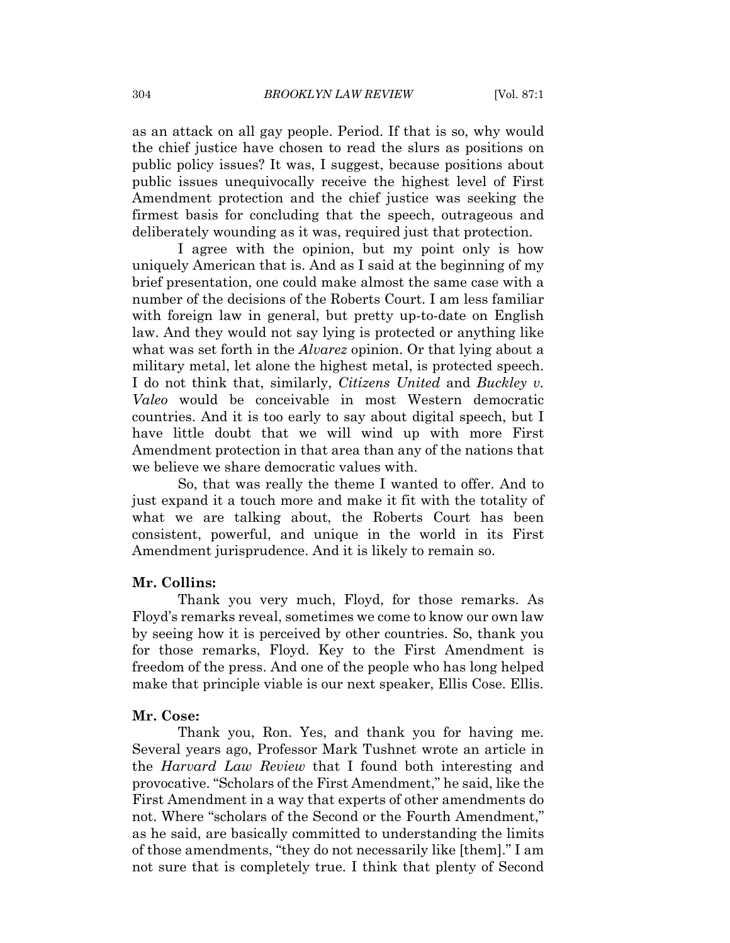as an attack on all gay people. Period. If that is so, why would the chief justice have chosen to read the slurs as positions on public policy issues? It was, I suggest, because positions about public issues unequivocally receive the highest level of First Amendment protection and the chief justice was seeking the firmest basis for concluding that the speech, outrageous and deliberately wounding as it was, required just that protection.

I agree with the opinion, but my point only is how uniquely American that is. And as I said at the beginning of my brief presentation, one could make almost the same case with a number of the decisions of the Roberts Court. I am less familiar with foreign law in general, but pretty up-to-date on English law. And they would not say lying is protected or anything like what was set forth in the *Alvarez* opinion. Or that lying about a military metal, let alone the highest metal, is protected speech. I do not think that, similarly, *Citizens United* and *Buckley v.* Valeo would be conceivable in most Western democratic countries. And it is too early to say about digital speech, but I have little doubt that we will wind up with more First Amendment protection in that area than any of the nations that we believe we share democratic values with.

So, that was really the theme I wanted to offer. And to just expand it a touch more and make it fit with the totality of what we are talking about, the Roberts Court has been consistent, powerful, and unique in the world in its First Amendment jurisprudence. And it is likely to remain so.

#### Mr. Collins:

Thank you very much, Floyd, for those remarks. As Floyd's remarks reveal, sometimes we come to know our own law by seeing how it is perceived by other countries. So, thank you for those remarks, Floyd. Key to the First Amendment is freedom of the press. And one of the people who has long helped make that principle viable is our next speaker, Ellis Cose. Ellis.

#### Mr. Cose:

Thank you, Ron. Yes, and thank you for having me. Several years ago, Professor Mark Tushnet wrote an article in the *Harvard Law Review* that I found both interesting and provocative. "Scholars of the First Amendment," he said, like the First Amendment in a way that experts of other amendments do not. Where "scholars of the Second or the Fourth Amendment," as he said, are basically committed to understanding the limits of those amendments, "they do not necessarily like [them]." I am not sure that is completely true. I think that plenty of Second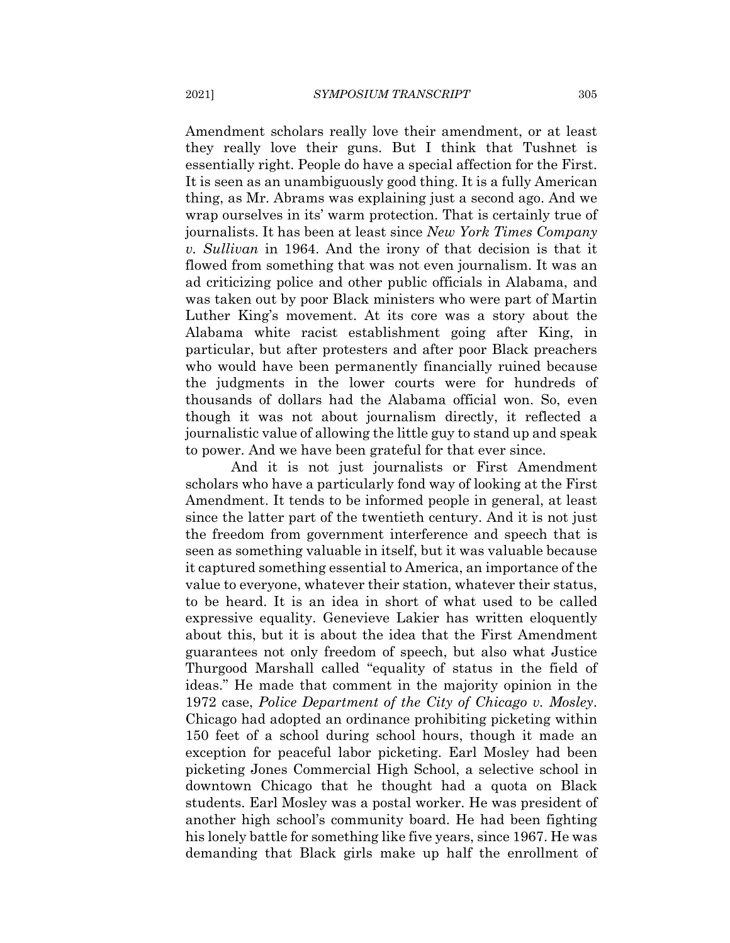Amendment scholars really love their amendment, or at least they really love their guns. But I think that Tushnet is essentially right. People do have a special affection for the First. It is seen as an unambiguously good thing. It is a fully American thing, as Mr. Abrams was explaining just a second ago. And we wrap ourselves in its' warm protection. That is certainly true of journalists. It has been at least since New York Times Company v. Sullivan in 1964. And the irony of that decision is that it flowed from something that was not even journalism. It was an ad criticizing police and other public officials in Alabama, and was taken out by poor Black ministers who were part of Martin Luther King's movement. At its core was a story about the Alabama white racist establishment going after King, in particular, but after protesters and after poor Black preachers who would have been permanently financially ruined because the judgments in the lower courts were for hundreds of thousands of dollars had the Alabama official won. So, even though it was not about journalism directly, it reflected a journalistic value of allowing the little guy to stand up and speak to power. And we have been grateful for that ever since.

And it is not just journalists or First Amendment scholars who have a particularly fond way of looking at the First Amendment. It tends to be informed people in general, at least since the latter part of the twentieth century. And it is not just the freedom from government interference and speech that is seen as something valuable in itself, but it was valuable because it captured something essential to America, an importance of the value to everyone, whatever their station, whatever their status, to be heard. It is an idea in short of what used to be called expressive equality. Genevieve Lakier has written eloquently about this, but it is about the idea that the First Amendment guarantees not only freedom of speech, but also what Justice Thurgood Marshall called "equality of status in the field of ideas." He made that comment in the majority opinion in the 1972 case, Police Department of the City of Chicago v. Mosley. Chicago had adopted an ordinance prohibiting picketing within 150 feet of a school during school hours, though it made an exception for peaceful labor picketing. Earl Mosley had been picketing Jones Commercial High School, a selective school in downtown Chicago that he thought had a quota on Black students. Earl Mosley was a postal worker. He was president of another high school's community board. He had been fighting his lonely battle for something like five years, since 1967. He was demanding that Black girls make up half the enrollment of

2021]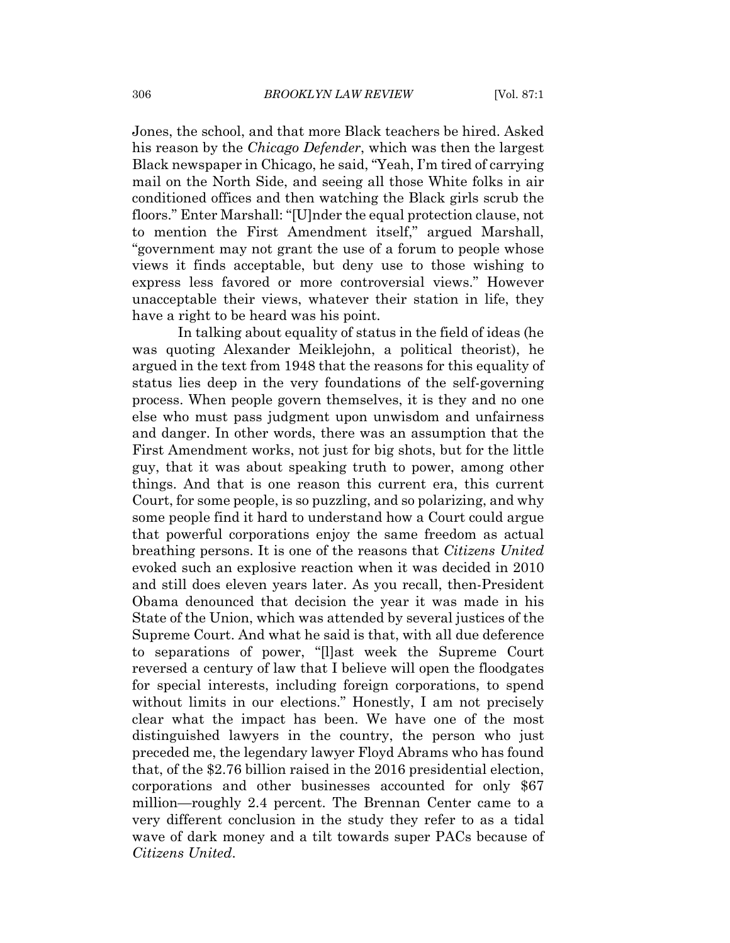Jones, the school, and that more Black teachers be hired. Asked his reason by the *Chicago Defender*, which was then the largest Black newspaper in Chicago, he said, "Yeah, I'm tired of carrying mail on the North Side, and seeing all those White folks in air conditioned offices and then watching the Black girls scrub the floors." Enter Marshall: "[U]nder the equal protection clause, not to mention the First Amendment itself," argued Marshall, "government may not grant the use of a forum to people whose views it finds acceptable, but deny use to those wishing to express less favored or more controversial views." However unacceptable their views, whatever their station in life, they have a right to be heard was his point.

In talking about equality of status in the field of ideas (he was quoting Alexander Meiklejohn, a political theorist), he argued in the text from 1948 that the reasons for this equality of status lies deep in the very foundations of the self-governing process. When people govern themselves, it is they and no one else who must pass judgment upon unwisdom and unfairness and danger. In other words, there was an assumption that the First Amendment works, not just for big shots, but for the little guy, that it was about speaking truth to power, among other things. And that is one reason this current era, this current Court, for some people, is so puzzling, and so polarizing, and why some people find it hard to understand how a Court could argue that powerful corporations enjoy the same freedom as actual breathing persons. It is one of the reasons that Citizens United evoked such an explosive reaction when it was decided in 2010 and still does eleven years later. As you recall, then-President Obama denounced that decision the year it was made in his State of the Union, which was attended by several justices of the Supreme Court. And what he said is that, with all due deference to separations of power, "[I] ast week the Supreme Court reversed a century of law that I believe will open the floodgates for special interests, including foreign corporations, to spend without limits in our elections." Honestly, I am not precisely clear what the impact has been. We have one of the most distinguished lawyers in the country, the person who just preceded me, the legendary lawyer Floyd Abrams who has found that, of the \$2.76 billion raised in the 2016 presidential election, corporations and other businesses accounted for only \$67 million—roughly 2.4 percent. The Brennan Center came to a very different conclusion in the study they refer to as a tidal wave of dark money and a tilt towards super PACs because of Citizens United.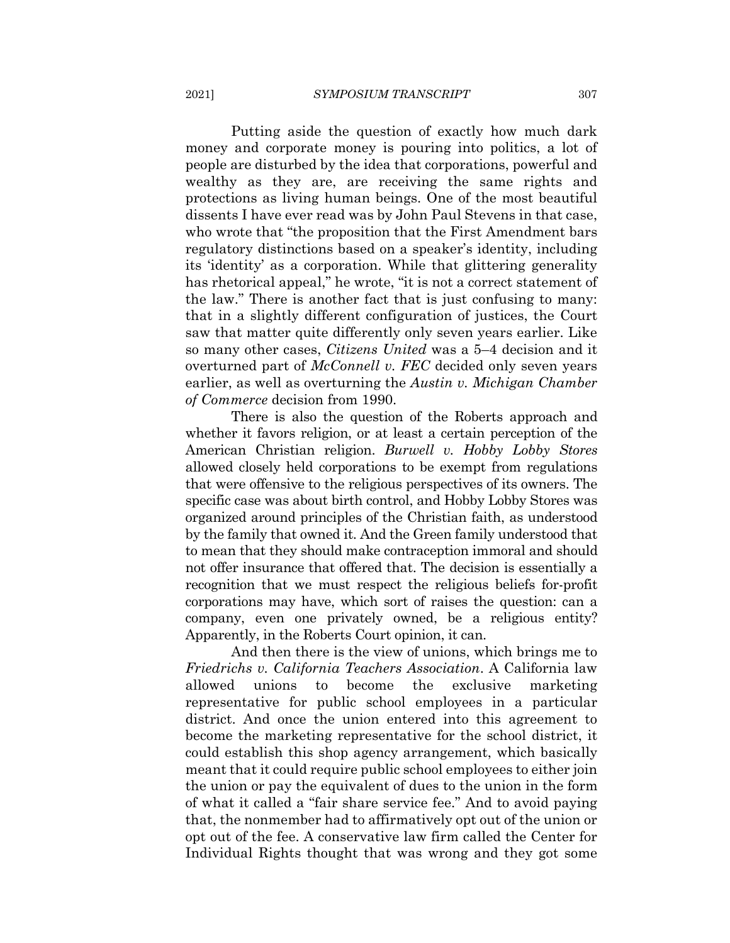Putting aside the question of exactly how much dark money and corporate money is pouring into politics, a lot of people are disturbed by the idea that corporations, powerful and wealthy as they are, are receiving the same rights and protections as living human beings. One of the most beautiful dissents I have ever read was by John Paul Stevens in that case, who wrote that "the proposition that the First Amendment bars" regulatory distinctions based on a speaker's identity, including its 'identity' as a corporation. While that glittering generality has rhetorical appeal," he wrote, "it is not a correct statement of the law." There is another fact that is just confusing to many: that in a slightly different configuration of justices, the Court saw that matter quite differently only seven years earlier. Like so many other cases, *Citizens United* was a 5–4 decision and it overturned part of McConnell v. FEC decided only seven years earlier, as well as overturning the Austin v. Michigan Chamber *of Commerce* decision from 1990.

There is also the question of the Roberts approach and whether it favors religion, or at least a certain perception of the American Christian religion. Burwell v. Hobby Lobby Stores allowed closely held corporations to be exempt from regulations that were offensive to the religious perspectives of its owners. The specific case was about birth control, and Hobby Lobby Stores was organized around principles of the Christian faith, as understood by the family that owned it. And the Green family understood that to mean that they should make contraception immoral and should not offer insurance that offered that. The decision is essentially a recognition that we must respect the religious beliefs for-profit corporations may have, which sort of raises the question: can a company, even one privately owned, be a religious entity? Apparently, in the Roberts Court opinion, it can.

And then there is the view of unions, which brings me to Friedrichs v. California Teachers Association. A California law allowed unions to become the exclusive marketing representative for public school employees in a particular district. And once the union entered into this agreement to become the marketing representative for the school district, it could establish this shop agency arrangement, which basically meant that it could require public school employees to either join the union or pay the equivalent of dues to the union in the form of what it called a "fair share service fee." And to avoid paying that, the nonmember had to affirmatively opt out of the union or opt out of the fee. A conservative law firm called the Center for Individual Rights thought that was wrong and they got some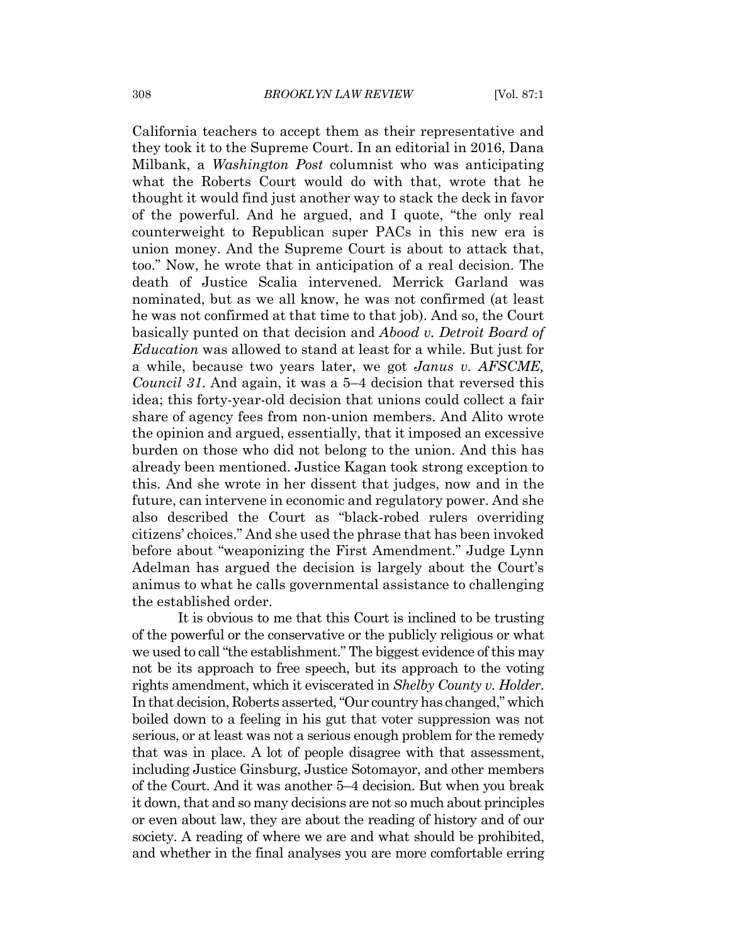California teachers to accept them as their representative and they took it to the Supreme Court. In an editorial in 2016, Dana Milbank, a *Washington Post* columnist who was anticipating what the Roberts Court would do with that, wrote that he thought it would find just another way to stack the deck in favor of the powerful. And he argued, and I quote, "the only real counterweight to Republican super PACs in this new era is union money. And the Supreme Court is about to attack that, too." Now, he wrote that in anticipation of a real decision. The death of Justice Scalia intervened. Merrick Garland was nominated, but as we all know, he was not confirmed (at least he was not confirmed at that time to that job). And so, the Court basically punted on that decision and Abood v. Detroit Board of *Education* was allowed to stand at least for a while. But just for a while, because two years later, we got *Janus v. AFSCME*, *Council 31.* And again, it was a 5–4 decision that reversed this idea; this forty-year-old decision that unions could collect a fair share of agency fees from non-union members. And Alito wrote the opinion and argued, essentially, that it imposed an excessive burden on those who did not belong to the union. And this has already been mentioned. Justice Kagan took strong exception to this. And she wrote in her dissent that judges, now and in the future, can intervene in economic and regulatory power. And she also described the Court as "black-robed rulers overriding" citizens' choices." And she used the phrase that has been invoked before about "weaponizing the First Amendment." Judge Lynn Adelman has argued the decision is largely about the Court's animus to what he calls governmental assistance to challenging the established order.

It is obvious to me that this Court is inclined to be trusting of the powerful or the conservative or the publicty religious or what we used to call "the establishment." The biggest evidence of this may not be its approach to free speech, but its approach to the voting rights amendment, which it eviscerated in Shelby County v. Holder. In that decision, Roberts asserted, "Our country has changed," which boiled down to a feeling in his gut that voter suppression was not serious, or at least was not a serious enough problem for the remedy that was in place. A lot of people disagree with that assessment, including Justice Ginsburg, Justice Sotomayor, and other members of the Court. And it was another 5–4 decision. But when you break it down, that and so many decisions are not so much about principles or even about law, they are about the reading of history and of our society. A reading of where we are and what should be prohibited, and whether in the final analyses you are more comfortable erring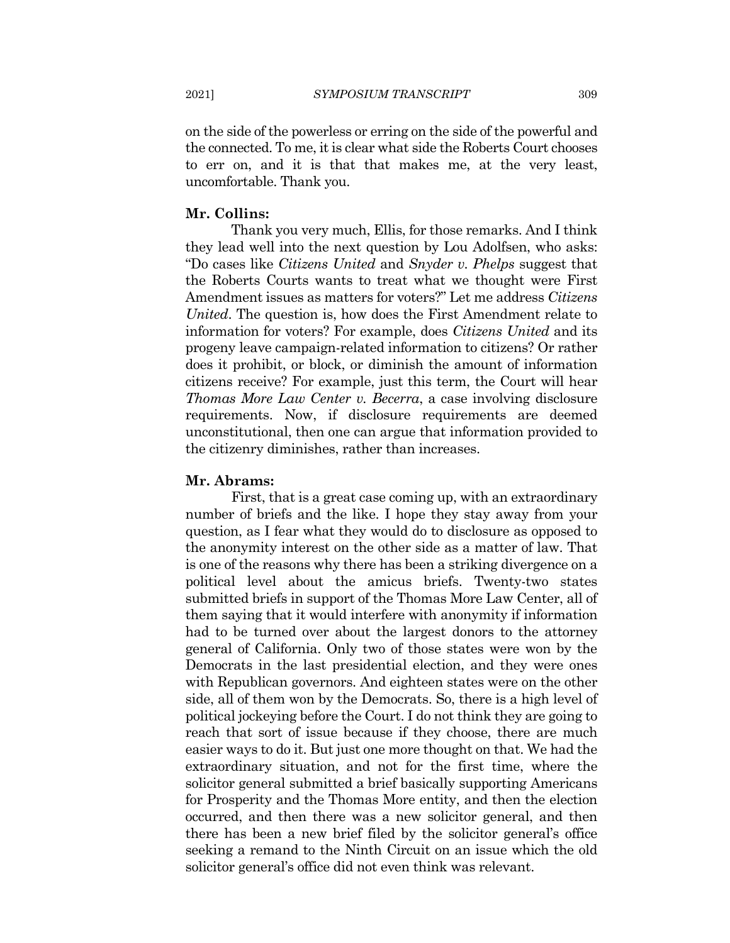on the side of the powerless or erring on the side of the powerful and the connected. To me, it is clear what side the Roberts Court chooses to err on, and it is that that makes me, at the very least, uncomfortable. Thank you.

#### Mr. Collins:

Thank you very much, Ellis, for those remarks. And I think they lead well into the next question by Lou Adolfsen, who asks: "Do cases like Citizens United and Snyder v. Phelps suggest that the Roberts Courts wants to treat what we thought were First Amendment issues as matters for voters?" Let me address Citizens United. The question is, how does the First Amendment relate to information for voters? For example, does *Citizens United* and its progeny leave campaign-related information to citizens? Or rather does it prohibit, or block, or diminish the amount of information citizens receive? For example, just this term, the Court will hear *Thomas More Law Center v. Becerra, a case involving disclosure* requirements. Now, if disclosure requirements are deemed unconstitutional, then one can argue that information provided to the citizenry diminishes, rather than increases.

#### Mr. Abrams:

First, that is a great case coming up, with an extraordinary number of briefs and the like. I hope they stay away from your question, as I fear what they would do to disclosure as opposed to the anonymity interest on the other side as a matter of law. That is one of the reasons why there has been a striking divergence on a political level about the amicus briefs. Twenty-two states submitted briefs in support of the Thomas More Law Center, all of them saying that it would interfere with anonymity if information had to be turned over about the largest donors to the attorney general of California. Only two of those states were won by the Democrats in the last presidential election, and they were ones with Republican governors. And eighteen states were on the other side, all of them won by the Democrats. So, there is a high level of political jockeying before the Court. I do not think they are going to reach that sort of issue because if they choose, there are much easier ways to do it. But just one more thought on that. We had the extraordinary situation, and not for the first time, where the solicitor general submitted a brief basically supporting Americans for Prosperity and the Thomas More entity, and then the election occurred, and then there was a new solicitor general, and then there has been a new brief filed by the solicitor general's office seeking a remand to the Ninth Circuit on an issue which the old solicitor general's office did not even think was relevant.

2021]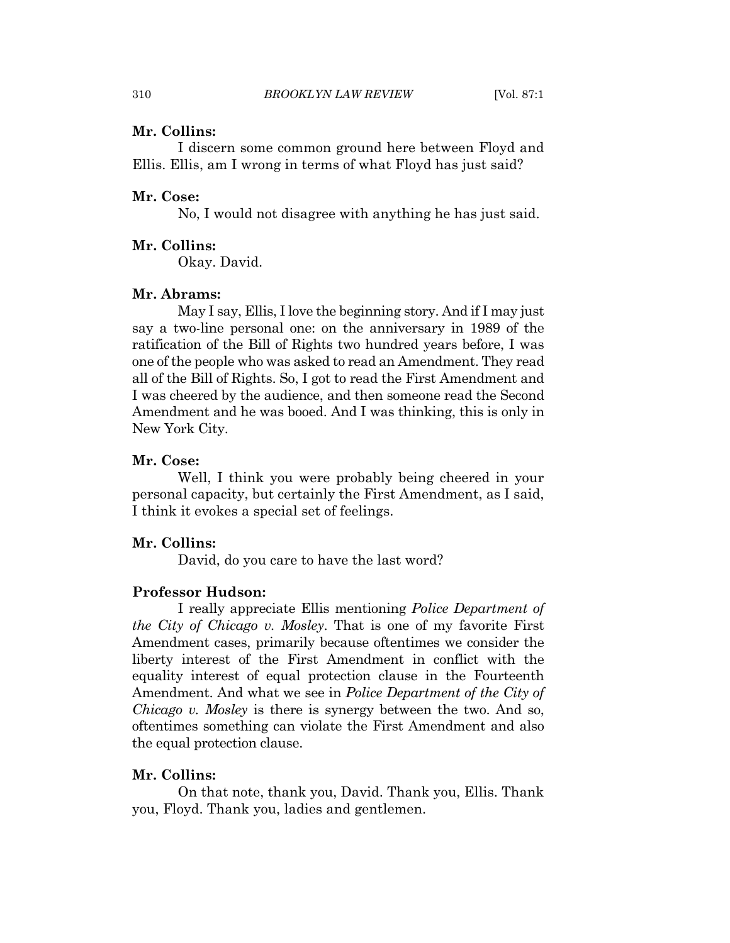#### Mr. Collins:

I discern some common ground here between Floyd and Ellis. Ellis, am I wrong in terms of what Floyd has just said?

#### Mr. Cose:

No, I would not disagree with anything he has just said.

#### Mr. Collins:

Okay. David.

#### Mr. Abrams:

May I say, Ellis, I love the beginning story. And if I may just say a two-line personal one: on the anniversary in 1989 of the ratification of the Bill of Rights two hundred years before, I was one of the people who was asked to read an Amendment. They read all of the Bill of Rights. So, I got to read the First Amendment and I was cheered by the audience, and then someone read the Second Amendment and he was booed. And I was thinking, this is only in New York City.

#### Mr. Cose:

Well, I think you were probably being cheered in your personal capacity, but certainly the First Amendment, as I said, I think it evokes a special set of feelings.

#### Mr. Collins:

David, do you care to have the last word?

#### **Professor Hudson:**

I really appreciate Ellis mentioning *Police Department of the City of Chicago v. Mosley.* That is one of my favorite First Amendment cases, primarily because oftentimes we consider the liberty interest of the First Amendment in conflict with the equality interest of equal protection clause in the Fourteenth Amendment. And what we see in *Police Department of the City of Chicago v. Mosley* is there is synergy between the two. And so, oftentimes something can violate the First Amendment and also the equal protection clause.

### Mr. Collins:

On that note, thank you, David. Thank you, Ellis. Thank you, Floyd. Thank you, ladies and gentlemen.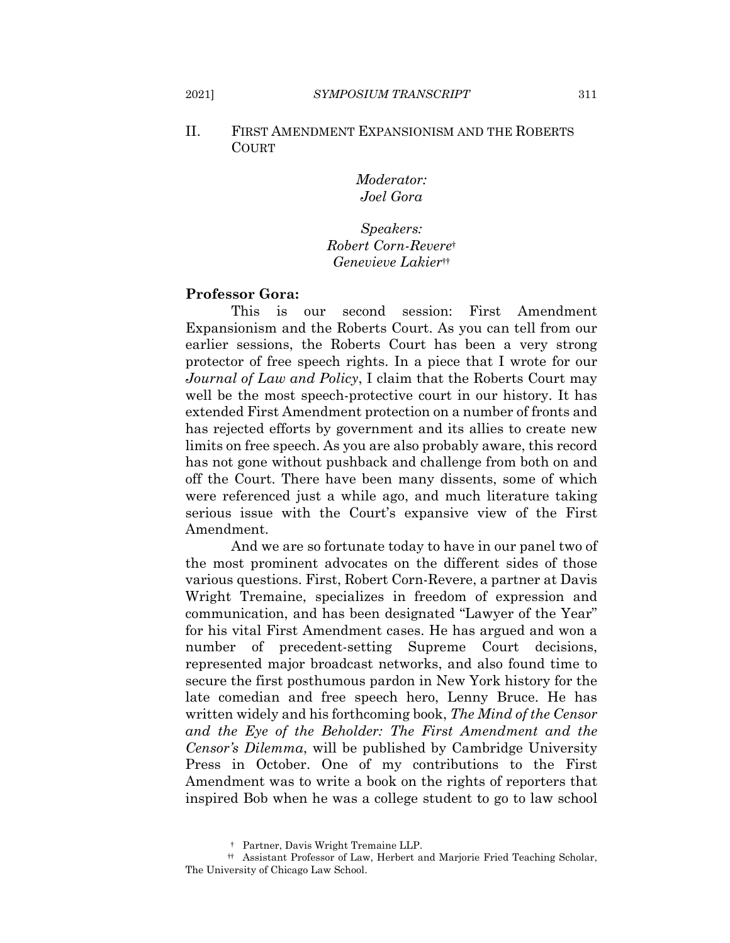#### II. FIRST AMENDMENT EXPANSIONISM AND THE ROBERTS **COURT**

Moderator: Joel Gora

## Speakers: Robert Corn-Reveret Genevieve Lakiertt

#### **Professor Gora:**

This is our second session: First Amendment Expansionism and the Roberts Court. As you can tell from our earlier sessions, the Roberts Court has been a very strong protector of free speech rights. In a piece that I wrote for our Journal of Law and Policy, I claim that the Roberts Court may well be the most speech-protective court in our history. It has extended First Amendment protection on a number of fronts and has rejected efforts by government and its allies to create new limits on free speech. As you are also probably aware, this record has not gone without pushback and challenge from both on and off the Court. There have been many dissents, some of which were referenced just a while ago, and much literature taking serious issue with the Court's expansive view of the First Amendment.

And we are so fortunate today to have in our panel two of the most prominent advocates on the different sides of those various questions. First, Robert Corn-Revere, a partner at Davis Wright Tremaine, specializes in freedom of expression and communication, and has been designated "Lawyer of the Year" for his vital First Amendment cases. He has argued and won a number of precedent-setting Supreme Court decisions, represented major broadcast networks, and also found time to secure the first posthumous pardon in New York history for the late comedian and free speech hero, Lenny Bruce. He has written widely and his forthcoming book, The Mind of the Censor and the Eye of the Beholder: The First Amendment and the *Censor's Dilemma*, will be published by Cambridge University Press in October. One of my contributions to the First Amendment was to write a book on the rights of reporters that inspired Bob when he was a college student to go to law school

2021]

<sup>†</sup> Partner, Davis Wright Tremaine LLP.

<sup>#</sup> Assistant Professor of Law, Herbert and Marjorie Fried Teaching Scholar, The University of Chicago Law School.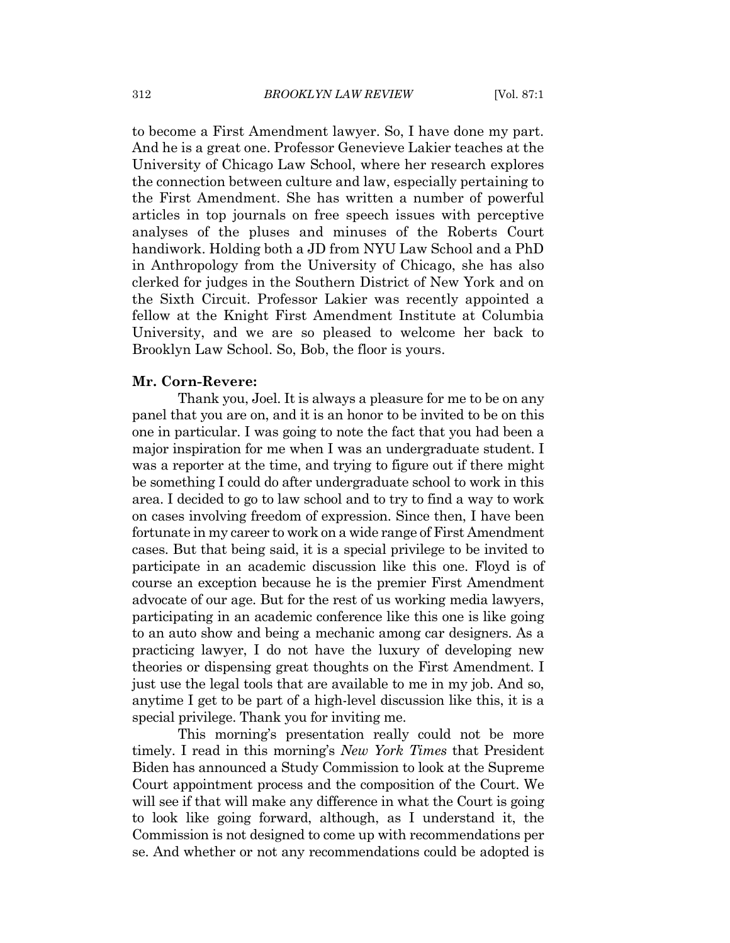to become a First Amendment lawyer. So, I have done my part. And he is a great one. Professor Genevieve Lakier teaches at the University of Chicago Law School, where her research explores the connection between culture and law, especially pertaining to the First Amendment. She has written a number of powerful articles in top journals on free speech issues with perceptive analyses of the pluses and minuses of the Roberts Court handiwork. Holding both a JD from NYU Law School and a PhD in Anthropology from the University of Chicago, she has also clerked for judges in the Southern District of New York and on the Sixth Circuit. Professor Lakier was recently appointed a fellow at the Knight First Amendment Institute at Columbia University, and we are so pleased to welcome her back to Brooklyn Law School. So, Bob, the floor is yours.

#### Mr. Corn-Revere:

Thank you, Joel. It is always a pleasure for me to be on any panel that you are on, and it is an honor to be invited to be on this one in particular. I was going to note the fact that you had been a major inspiration for me when I was an undergraduate student. I was a reporter at the time, and trying to figure out if there might be something I could do after undergraduate school to work in this area. I decided to go to law school and to try to find a way to work on cases involving freedom of expression. Since then, I have been fortunate in my career to work on a wide range of First Amendment cases. But that being said, it is a special privilege to be invited to participate in an academic discussion like this one. Floyd is of course an exception because he is the premier First Amendment advocate of our age. But for the rest of us working media lawyers, participating in an academic conference like this one is like going to an auto show and being a mechanic among car designers. As a practicing lawyer, I do not have the luxury of developing new theories or dispensing great thoughts on the First Amendment. I just use the legal tools that are available to me in my job. And so, anytime I get to be part of a high-level discussion like this, it is a special privilege. Thank you for inviting me.

This morning's presentation really could not be more timely. I read in this morning's *New York Times* that President Biden has announced a Study Commission to look at the Supreme Court appointment process and the composition of the Court. We will see if that will make any difference in what the Court is going to look like going forward, although, as I understand it, the Commission is not designed to come up with recommendations per se. And whether or not any recommendations could be adopted is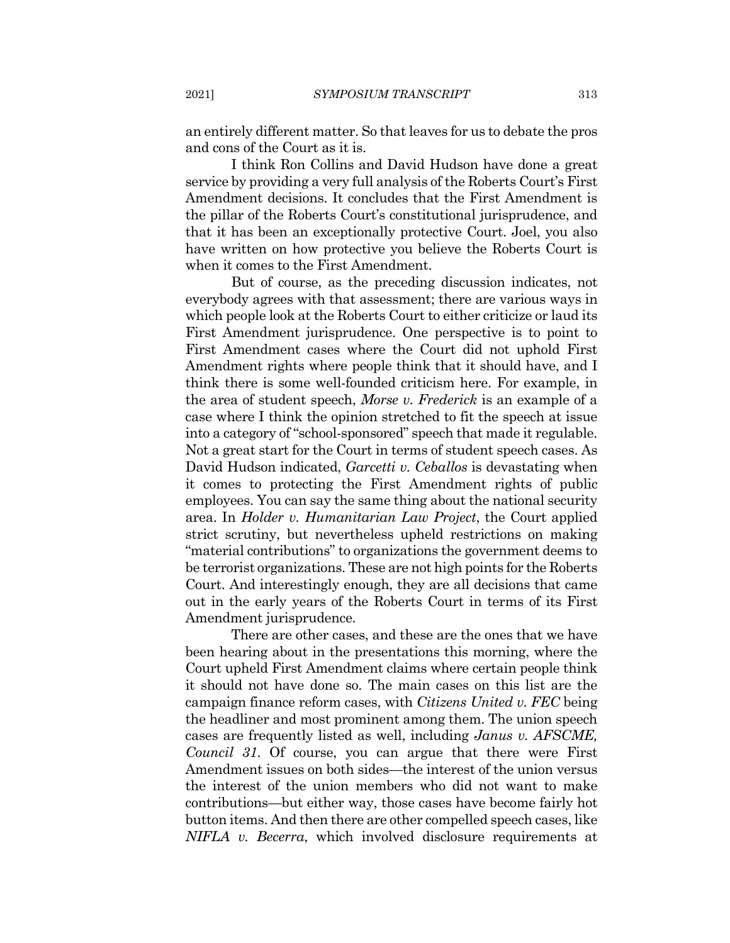an entirely different matter. So that leaves for us to debate the pros and cons of the Court as it is.

I think Ron Collins and David Hudson have done a great service by providing a very full analysis of the Roberts Court's First Amendment decisions. It concludes that the First Amendment is the pillar of the Roberts Court's constitutional jurisprudence, and that it has been an exceptionally protective Court. Joel, you also have written on how protective you believe the Roberts Court is when it comes to the First Amendment.

But of course, as the preceding discussion indicates, not everybody agrees with that assessment; there are various ways in which people look at the Roberts Court to either criticize or laud its First Amendment jurisprudence. One perspective is to point to First Amendment cases where the Court did not uphold First Amendment rights where people think that it should have, and I think there is some well-founded criticism here. For example, in the area of student speech, Morse v. Frederick is an example of a case where I think the opinion stretched to fit the speech at issue into a category of "school-sponsored" speech that made it regulable. Not a great start for the Court in terms of student speech cases. As David Hudson indicated, *Garcetti v. Ceballos* is devastating when it comes to protecting the First Amendment rights of public employees. You can say the same thing about the national security area. In *Holder v. Humanitarian Law Project*, the Court applied strict scrutiny, but nevertheless upheld restrictions on making "material contributions" to organizations the government deems to be terrorist organizations. These are not high points for the Roberts Court. And interestingly enough, they are all decisions that came out in the early years of the Roberts Court in terms of its First Amendment jurisprudence.

There are other cases, and these are the ones that we have been hearing about in the presentations this morning, where the Court upheld First Amendment claims where certain people think it should not have done so. The main cases on this list are the campaign finance reform cases, with Citizens United v. FEC being the headliner and most prominent among them. The union speech cases are frequently listed as well, including *Janus v. AFSCME*, *Council 31.* Of course, you can argue that there were First Amendment issues on both sides—the interest of the union versus the interest of the union members who did not want to make contributions—but either way, those cases have become fairly hot button items. And then there are other compelled speech cases, like NIFLA v. Becerra, which involved disclosure requirements at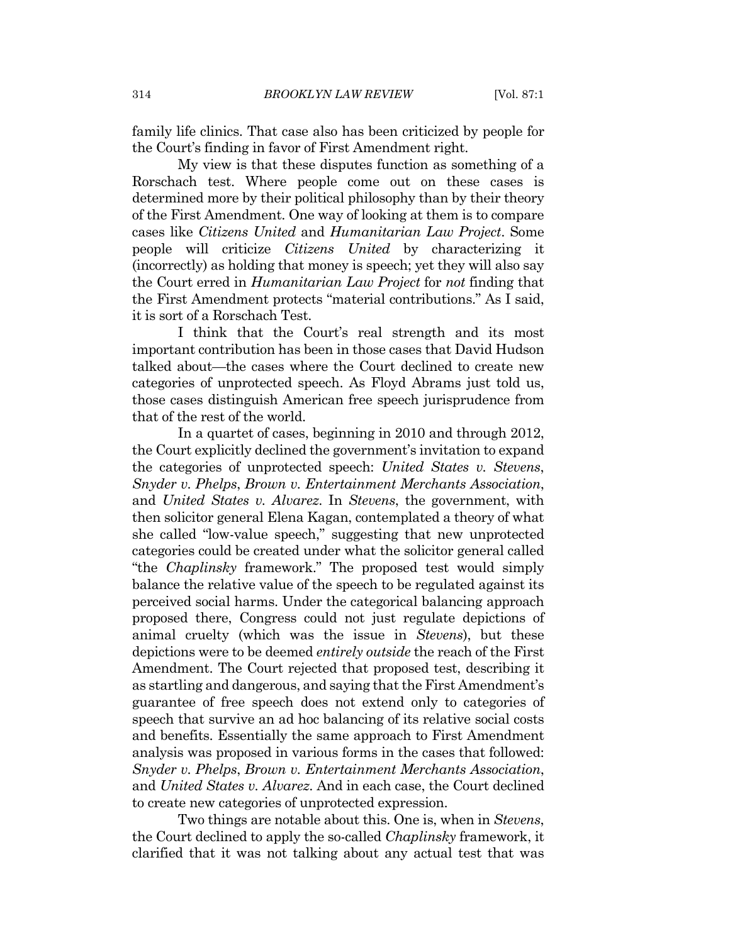family life clinics. That case also has been criticized by people for the Court's finding in favor of First Amendment right.

My view is that these disputes function as something of a Rorschach test. Where people come out on these cases is determined more by their political philosophy than by their theory of the First Amendment. One way of looking at them is to compare cases like Citizens United and Humanitarian Law Project. Some people will criticize *Citizens United* by characterizing it (incorrectly) as holding that money is speech; yet they will also say the Court erred in *Humanitarian Law Project* for *not* finding that the First Amendment protects "material contributions." As I said, it is sort of a Rorschach Test.

I think that the Court's real strength and its most important contribution has been in those cases that David Hudson talked about—the cases where the Court declined to create new categories of unprotected speech. As Floyd Abrams just told us, those cases distinguish American free speech jurisprudence from that of the rest of the world.

In a quartet of cases, beginning in 2010 and through 2012, the Court explicitly declined the government's invitation to expand the categories of unprotected speech: United States v. Stevens, Snyder v. Phelps, Brown v. Entertainment Merchants Association, and United States v. Alvarez. In Stevens, the government, with then solicitor general Elena Kagan, contemplated a theory of what she called "low-value speech," suggesting that new unprotected categories could be created under what the solicitor general called "the *Chaplinsky* framework." The proposed test would simply balance the relative value of the speech to be regulated against its perceived social harms. Under the categorical balancing approach proposed there, Congress could not just regulate depictions of animal cruelty (which was the issue in *Stevens*), but these depictions were to be deemed *entirely outside* the reach of the First Amendment. The Court rejected that proposed test, describing it as startling and dangerous, and saying that the First Amendment's guarantee of free speech does not extend only to categories of speech that survive an ad hoc balancing of its relative social costs and benefits. Essentially the same approach to First Amendment analysis was proposed in various forms in the cases that followed: Snyder v. Phelps, Brown v. Entertainment Merchants Association, and United States v. Alvarez. And in each case, the Court declined to create new categories of unprotected expression.

Two things are notable about this. One is, when in Stevens, the Court declined to apply the so-called *Chaplinsky* framework, it clarified that it was not talking about any actual test that was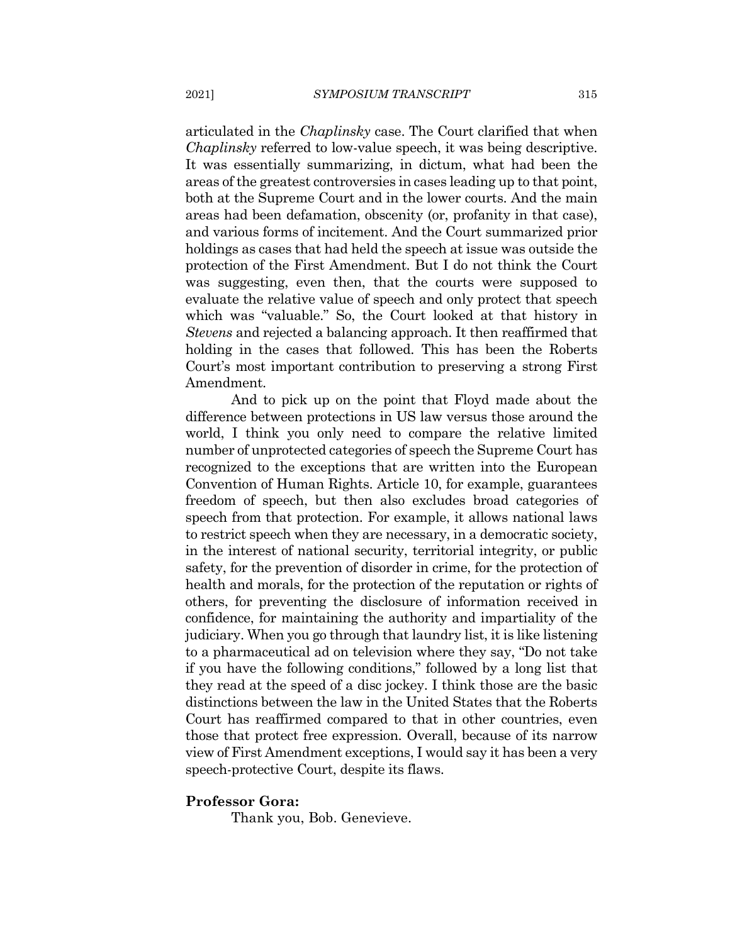articulated in the *Chaplinsky* case. The Court clarified that when *Chaplinsky* referred to low-value speech, it was being descriptive. It was essentially summarizing, in dictum, what had been the areas of the greatest controversies in cases leading up to that point, both at the Supreme Court and in the lower courts. And the main areas had been defamation, obscenity (or, profanity in that case), and various forms of incitement. And the Court summarized prior holdings as cases that had held the speech at issue was outside the protection of the First Amendment. But I do not think the Court was suggesting, even then, that the courts were supposed to evaluate the relative value of speech and only protect that speech which was "valuable." So, the Court looked at that history in *Stevens* and rejected a balancing approach. It then reaffirmed that holding in the cases that followed. This has been the Roberts Court's most important contribution to preserving a strong First Amendment.

And to pick up on the point that Floyd made about the difference between protections in US law versus those around the world, I think you only need to compare the relative limited number of unprotected categories of speech the Supreme Court has recognized to the exceptions that are written into the European Convention of Human Rights. Article 10, for example, guarantees freedom of speech, but then also excludes broad categories of speech from that protection. For example, it allows national laws to restrict speech when they are necessary, in a democratic society, in the interest of national security, territorial integrity, or public safety, for the prevention of disorder in crime, for the protection of health and morals, for the protection of the reputation or rights of others, for preventing the disclosure of information received in confidence, for maintaining the authority and impartiality of the judiciary. When you go through that laundry list, it is like listening to a pharmaceutical ad on television where they say, "Do not take if you have the following conditions," followed by a long list that they read at the speed of a disc jockey. I think those are the basic distinctions between the law in the United States that the Roberts Court has reaffirmed compared to that in other countries, even those that protect free expression. Overall, because of its narrow view of First Amendment exceptions, I would say it has been a very speech-protective Court, despite its flaws.

#### **Professor Gora:**

Thank you, Bob. Genevieve.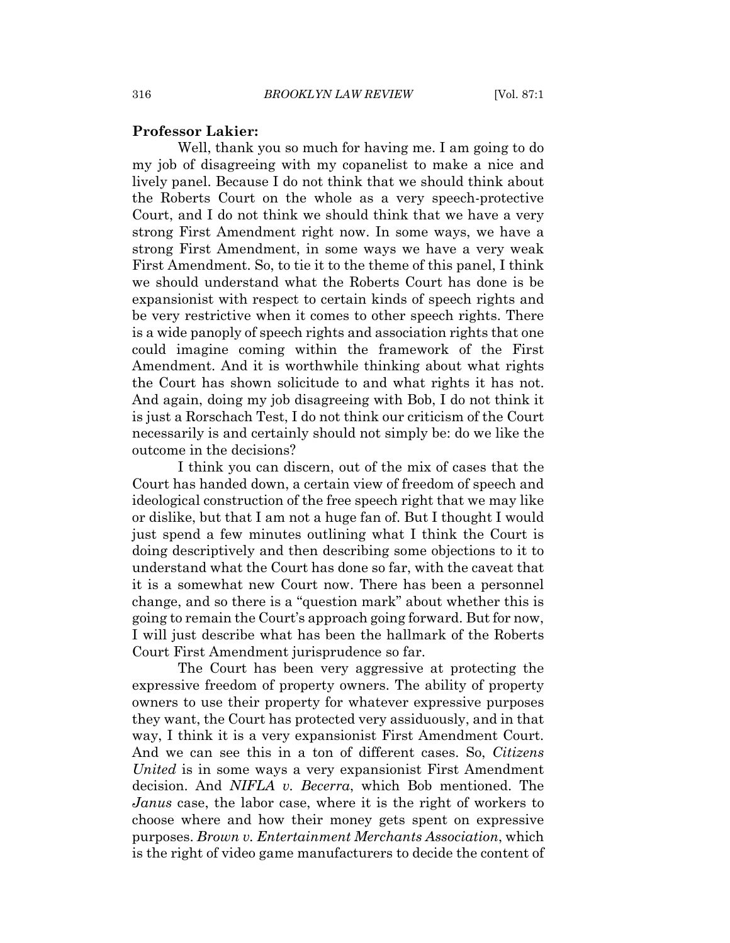#### **Professor Lakier:**

Well, thank you so much for having me. I am going to do my job of disagreeing with my copanelist to make a nice and lively panel. Because I do not think that we should think about the Roberts Court on the whole as a very speech-protective Court, and I do not think we should think that we have a very strong First Amendment right now. In some ways, we have a strong First Amendment, in some ways we have a very weak First Amendment. So, to tie it to the theme of this panel, I think we should understand what the Roberts Court has done is be expansion ist with respect to certain kinds of speech rights and be very restrictive when it comes to other speech rights. There is a wide panoply of speech rights and association rights that one could imagine coming within the framework of the First Amendment. And it is worthwhile thinking about what rights the Court has shown solicitude to and what rights it has not. And again, doing my job disagreeing with Bob, I do not think it is just a Rorschach Test, I do not think our criticism of the Court necessarily is and certainly should not simply be: do we like the outcome in the decisions?

I think you can discern, out of the mix of cases that the Court has handed down, a certain view of freedom of speech and ideological construction of the free speech right that we may like or dislike, but that I am not a huge fan of. But I thought I would just spend a few minutes outlining what I think the Court is doing descriptively and then describing some objections to it to understand what the Court has done so far, with the caveat that it is a somewhat new Court now. There has been a personnel change, and so there is a "question mark" about whether this is going to remain the Court's approach going forward. But for now, I will just describe what has been the hallmark of the Roberts Court First Amendment jurisprudence so far.

The Court has been very aggressive at protecting the expressive freedom of property owners. The ability of property owners to use their property for whatever expressive purposes they want, the Court has protected very assiduously, and in that way, I think it is a very expansionist First Amendment Court. And we can see this in a ton of different cases. So, Citizens *United* is in some ways a very expansionist First Amendment decision. And *NIFLA v. Becerra*, which Bob mentioned. The *Janus* case, the labor case, where it is the right of workers to choose where and how their money gets spent on expressive purposes. Brown v. Entertainment Merchants Association, which is the right of video game manufacturers to decide the content of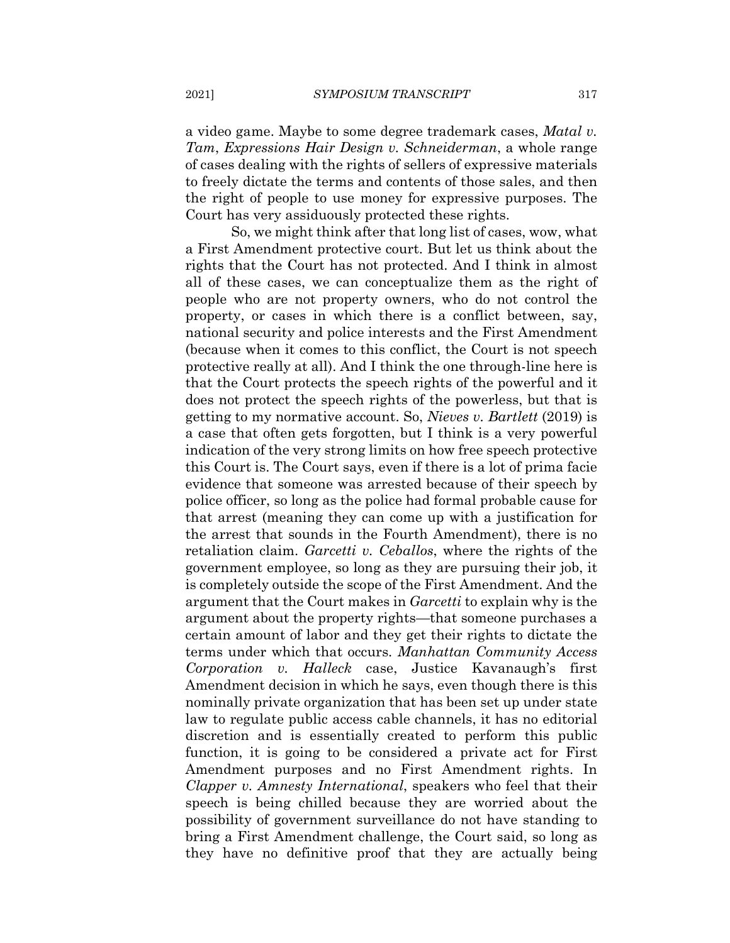a video game. Maybe to some degree trademark cases, *Matal v.* Tam, Expressions Hair Design v. Schneiderman, a whole range of cases dealing with the rights of sellers of expressive materials to freely dictate the terms and contents of those sales, and then the right of people to use money for expressive purposes. The Court has very assiduously protected these rights.

So, we might think after that long list of cases, wow, what a First Amendment protective court. But let us think about the rights that the Court has not protected. And I think in almost all of these cases, we can conceptualize them as the right of people who are not property owners, who do not control the property, or cases in which there is a conflict between, say, national security and police interests and the First Amendment (because when it comes to this conflict, the Court is not speech protective really at all). And I think the one through-line here is that the Court protects the speech rights of the powerful and it does not protect the speech rights of the powerless, but that is getting to my normative account. So, *Nieves v. Bartlett* (2019) is a case that often gets forgotten, but I think is a very powerful indication of the very strong limits on how free speech protective this Court is. The Court says, even if there is a lot of prima facie evidence that someone was arrested because of their speech by police officer, so long as the police had formal probable cause for that arrest (meaning they can come up with a justification for the arrest that sounds in the Fourth Amendment), there is no retaliation claim. Garcetti v. Ceballos, where the rights of the government employee, so long as they are pursuing their job, it is completely outside the scope of the First Amendment. And the argument that the Court makes in Garcetti to explain why is the argument about the property rights—that someone purchases a certain amount of labor and they get their rights to dictate the terms under which that occurs. Manhattan Community Access Corporation v. Halleck case, Justice Kavanaugh's first Amendment decision in which he says, even though there is this nominally private organization that has been set up under state law to regulate public access cable channels, it has no editorial discretion and is essentially created to perform this public function, it is going to be considered a private act for First Amendment purposes and no First Amendment rights. In Clapper v. Amnesty International, speakers who feel that their speech is being chilled because they are worried about the possibility of government surveillance do not have standing to bring a First Amendment challenge, the Court said, so long as they have no definitive proof that they are actually being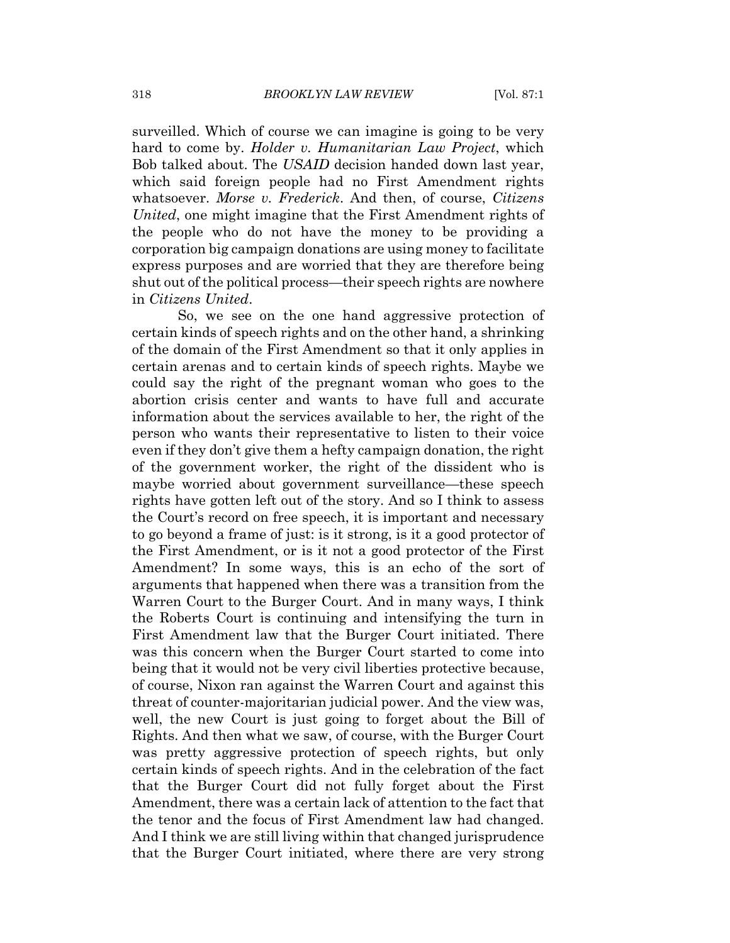surveilled. Which of course we can imagine is going to be very hard to come by. *Holder v. Humanitarian Law Project*, which Bob talked about. The USAID decision handed down last year, which said foreign people had no First Amendment rights whatsoever. Morse v. Frederick. And then, of course, Citizens United, one might imagine that the First Amendment rights of the people who do not have the money to be providing a corporation big campaign donations are using money to facilitate express purposes and are worried that they are therefore being shut out of the political process—their speech rights are nowhere in Citizens United.

So, we see on the one hand aggressive protection of certain kinds of speech rights and on the other hand, a shrinking of the domain of the First Amendment so that it only applies in certain arenas and to certain kinds of speech rights. Maybe we could say the right of the pregnant woman who goes to the abortion crisis center and wants to have full and accurate information about the services available to her, the right of the person who wants their representative to listen to their voice even if they don't give them a hefty campaign donation, the right of the government worker, the right of the dissident who is maybe worried about government surveillance—these speech rights have gotten left out of the story. And so I think to assess the Court's record on free speech, it is important and necessary to go beyond a frame of just: is it strong, is it a good protector of the First Amendment, or is it not a good protector of the First Amendment? In some ways, this is an echo of the sort of arguments that happened when there was a transition from the Warren Court to the Burger Court. And in many ways, I think the Roberts Court is continuing and intensifying the turn in First Amendment law that the Burger Court initiated. There was this concern when the Burger Court started to come into being that it would not be very civil liberties protective because, of course, Nixon ran against the Warren Court and against this threat of counter-majoritarian judicial power. And the view was, well, the new Court is just going to forget about the Bill of Rights. And then what we saw, of course, with the Burger Court was pretty aggressive protection of speech rights, but only certain kinds of speech rights. And in the celebration of the fact that the Burger Court did not fully forget about the First Amendment, there was a certain lack of attention to the fact that the tenor and the focus of First Amendment law had changed. And I think we are still living within that changed jurisprudence that the Burger Court initiated, where there are very strong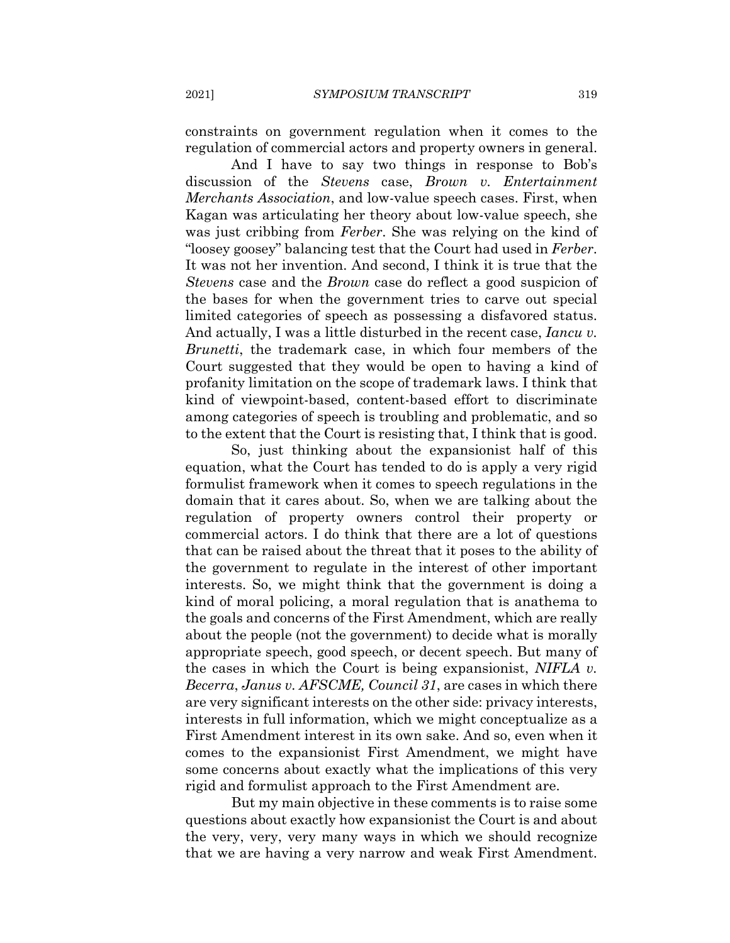constraints on government regulation when it comes to the regulation of commercial actors and property owners in general.

And I have to say two things in response to Bob's discussion of the Stevens case, Brown v. Entertainment *Merchants Association*, and low-value speech cases. First, when Kagan was articulating her theory about low-value speech, she was just cribbing from *Ferber*. She was relying on the kind of "loosey goosey" balancing test that the Court had used in Ferber. It was not her invention. And second, I think it is true that the *Stevens* case and the *Brown* case do reflect a good suspicion of the bases for when the government tries to carve out special limited categories of speech as possessing a disfavored status. And actually, I was a little disturbed in the recent case, *Iancu v. Brunetti*, the trademark case, in which four members of the Court suggested that they would be open to having a kind of profanity limitation on the scope of trademark laws. I think that kind of viewpoint-based, content-based effort to discriminate among categories of speech is troubling and problematic, and so to the extent that the Court is resisting that, I think that is good.

So, just thinking about the expansionist half of this equation, what the Court has tended to do is apply a very rigid formulist framework when it comes to speech regulations in the domain that it cares about. So, when we are talking about the regulation of property owners control their property or commercial actors. I do think that there are a lot of questions that can be raised about the threat that it poses to the ability of the government to regulate in the interest of other important interests. So, we might think that the government is doing a kind of moral policing, a moral regulation that is anathema to the goals and concerns of the First Amendment, which are really about the people (not the government) to decide what is morally appropriate speech, good speech, or decent speech. But many of the cases in which the Court is being expansionist, NIFLA v. *Becerra, Janus v. AFSCME, Council 31, are cases in which there* are very significant interests on the other side: privacy interests, interests in full information, which we might conceptualize as a First Amendment interest in its own sake. And so, even when it comes to the expansionist First Amendment, we might have some concerns about exactly what the implications of this very rigid and formulist approach to the First Amendment are.

But my main objective in these comments is to raise some questions about exactly how expansion is the Court is and about the very, very, very many ways in which we should recognize that we are having a very narrow and weak First Amendment.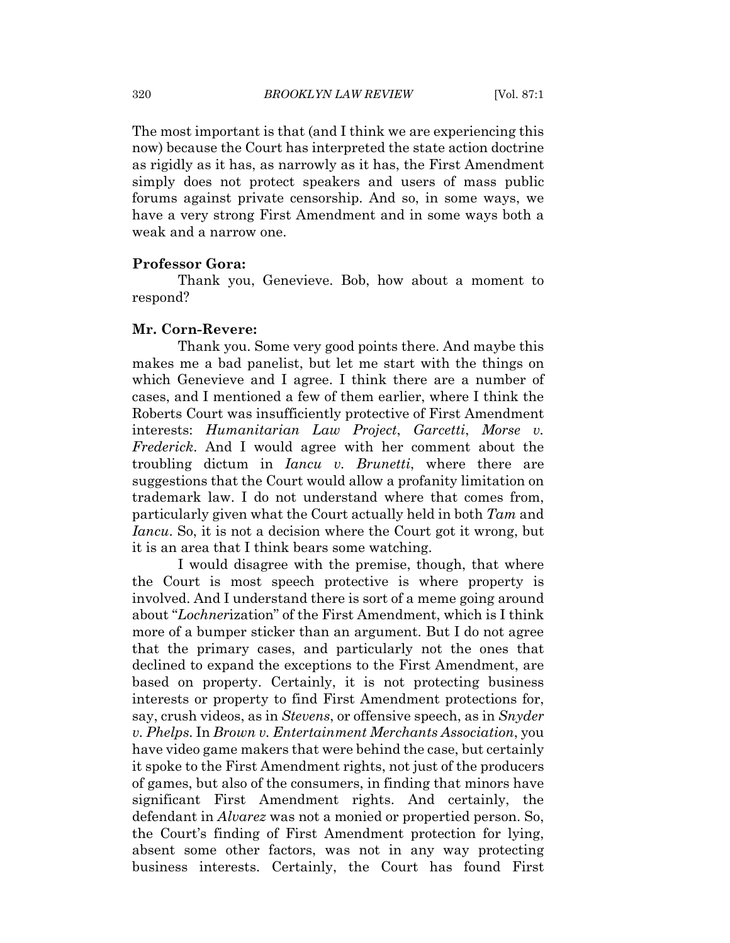The most important is that (and I think we are experiencing this now) because the Court has interpreted the state action doctrine as rigidly as it has, as narrowly as it has, the First Amendment simply does not protect speakers and users of mass public forums against private censorship. And so, in some ways, we have a very strong First Amendment and in some ways both a weak and a narrow one.

#### **Professor Gora:**

Thank you, Genevieve. Bob, how about a moment to respond?

#### Mr. Corn-Revere:

Thank you. Some very good points there. And maybe this makes me a bad panelist, but let me start with the things on which Genevieve and I agree. I think there are a number of cases, and I mentioned a few of them earlier, where I think the Roberts Court was insufficiently protective of First Amendment interests: Humanitarian Law Project, Garcetti, Morse v. *Frederick*. And I would agree with her comment about the troubling dictum in *Iancu v. Brunetti*, where there are suggestions that the Court would allow a profanity limitation on trademark law. I do not understand where that comes from, particularly given what the Court actually held in both Tam and *Iancu*. So, it is not a decision where the Court got it wrong, but it is an area that I think bears some watching.

I would disagree with the premise, though, that where the Court is most speech protective is where property is involved. And I understand there is sort of a meme going around about "Lochnerization" of the First Amendment, which is I think more of a bumper sticker than an argument. But I do not agree that the primary cases, and particularly not the ones that declined to expand the exceptions to the First Amendment, are based on property. Certainly, it is not protecting business interests or property to find First Amendment protections for, say, crush videos, as in *Stevens*, or offensive speech, as in *Snyder* v. Phelps. In Brown v. Entertainment Merchants Association, you have video game makers that were behind the case, but certainly it spoke to the First Amendment rights, not just of the producers of games, but also of the consumers, in finding that minors have significant First Amendment rights. And certainly, the defendant in *Alvarez* was not a monied or propertied person. So, the Court's finding of First Amendment protection for lying, absent some other factors, was not in any way protecting business interests. Certainly, the Court has found First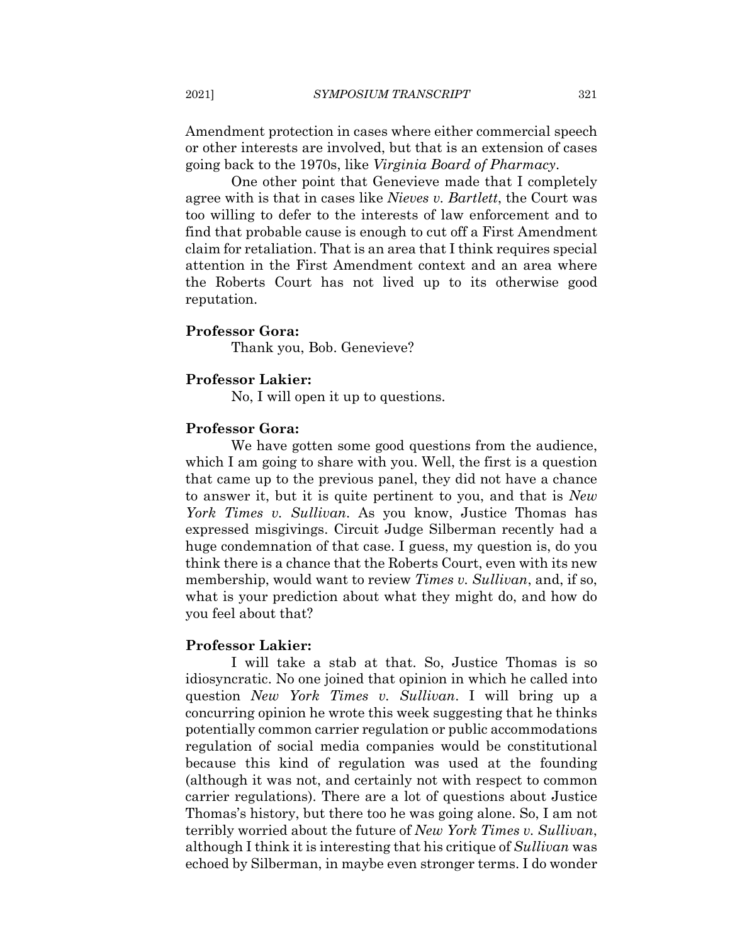Amendment protection in cases where either commercial speech or other interests are involved, but that is an extension of cases going back to the 1970s, like Virginia Board of Pharmacy.

One other point that Genevieve made that I completely agree with is that in cases like Nieves v. Bartlett, the Court was too willing to defer to the interests of law enforcement and to find that probable cause is enough to cut off a First Amendment claim for retaliation. That is an area that I think requires special attention in the First Amendment context and an area where the Roberts Court has not lived up to its otherwise good reputation.

## **Professor Gora:**

Thank you, Bob. Genevieve?

#### **Professor Lakier:**

No, I will open it up to questions.

#### **Professor Gora:**

We have gotten some good questions from the audience, which I am going to share with you. Well, the first is a question that came up to the previous panel, they did not have a chance to answer it, but it is quite pertinent to you, and that is New York Times v. Sullivan. As you know, Justice Thomas has expressed misgivings. Circuit Judge Silberman recently had a huge condemnation of that case. I guess, my question is, do you think there is a chance that the Roberts Court, even with its new membership, would want to review *Times v. Sullivan*, and, if so, what is your prediction about what they might do, and how do you feel about that?

#### **Professor Lakier:**

I will take a stab at that. So, Justice Thomas is so idiosyncratic. No one joined that opinion in which he called into question New York Times v. Sullivan. I will bring up a concurring opinion he wrote this week suggesting that he thinks potentially common carrier regulation or public accommodations regulation of social media companies would be constitutional because this kind of regulation was used at the founding (although it was not, and certainly not with respect to common carrier regulations). There are a lot of questions about Justice Thomas's history, but there too he was going alone. So, I am not terribly worried about the future of *New York Times v. Sullivan*, although I think it is interesting that his critique of Sullivan was echoed by Silberman, in maybe even stronger terms. I do wonder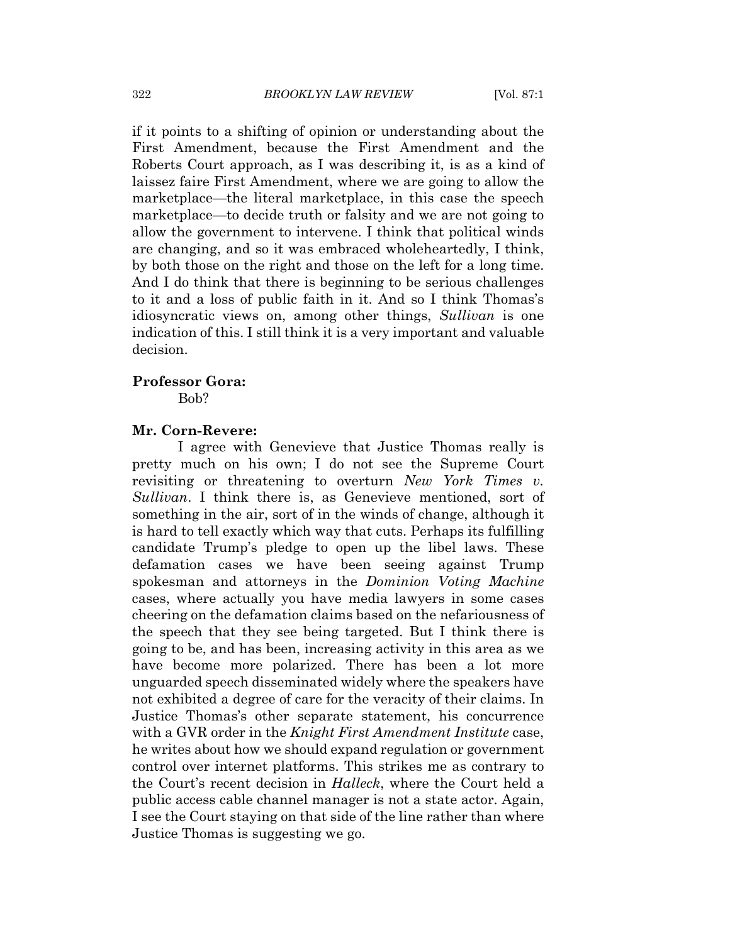if it points to a shifting of opinion or understanding about the First Amendment, because the First Amendment and the Roberts Court approach, as I was describing it, is as a kind of laissez faire First Amendment, where we are going to allow the marketplace—the literal marketplace, in this case the speech marketplace—to decide truth or falsity and we are not going to allow the government to intervene. I think that political winds are changing, and so it was embraced wholeheartedly, I think, by both those on the right and those on the left for a long time. And I do think that there is beginning to be serious challenges to it and a loss of public faith in it. And so I think Thomas's idiosyncratic views on, among other things, *Sullivan* is one indication of this. I still think it is a very important and valuable decision.

#### **Professor Gora:**

Bob?

#### Mr. Corn-Revere:

I agree with Genevieve that Justice Thomas really is pretty much on his own; I do not see the Supreme Court revisiting or threatening to overturn New York Times v. Sullivan. I think there is, as Genevieve mentioned, sort of something in the air, sort of in the winds of change, although it is hard to tell exactly which way that cuts. Perhaps its fulfilling candidate Trump's pledge to open up the libel laws. These defamation cases we have been seeing against Trump spokesman and attorneys in the Dominion Voting Machine cases, where actually you have media lawyers in some cases cheering on the defamation claims based on the nefariousness of the speech that they see being targeted. But I think there is going to be, and has been, increasing activity in this area as we have become more polarized. There has been a lot more unguarded speech disseminated widely where the speakers have not exhibited a degree of care for the veracity of their claims. In Justice Thomas's other separate statement, his concurrence with a GVR order in the *Knight First Amendment Institute* case, he writes about how we should expand regulation or government control over internet platforms. This strikes me as contrary to the Court's recent decision in *Halleck*, where the Court held a public access cable channel manager is not a state actor. Again, I see the Court staying on that side of the line rather than where Justice Thomas is suggesting we go.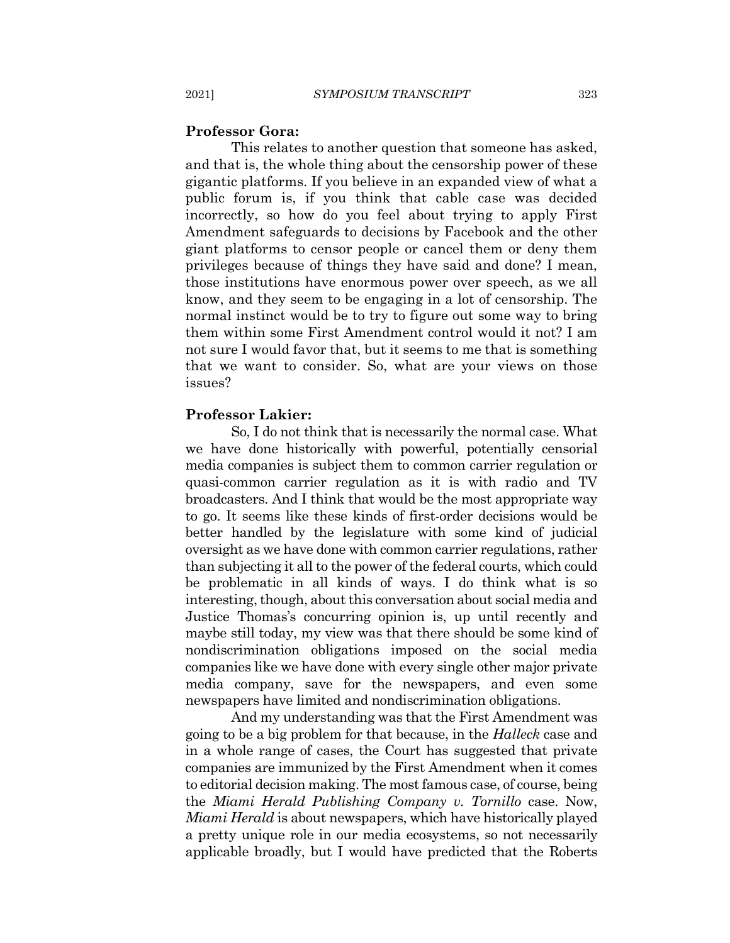#### **Professor Gora:**

This relates to another question that someone has asked, and that is, the whole thing about the censorship power of these gigantic platforms. If you believe in an expanded view of what a public forum is, if you think that cable case was decided incorrectly, so how do you feel about trying to apply First Amendment safeguards to decisions by Facebook and the other giant platforms to censor people or cancel them or deny them privileges because of things they have said and done? I mean, those institutions have enormous power over speech, as we all know, and they seem to be engaging in a lot of censorship. The normal instinct would be to try to figure out some way to bring them within some First Amendment control would it not? I am not sure I would favor that, but it seems to me that is something that we want to consider. So, what are your views on those issues?

#### **Professor Lakier:**

So, I do not think that is necessarily the normal case. What we have done historically with powerful, potentially censorial media companies is subject them to common carrier regulation or quasi-common carrier regulation as it is with radio and TV broadcasters. And I think that would be the most appropriate way to go. It seems like these kinds of first-order decisions would be better handled by the legislature with some kind of judicial oversight as we have done with common carrier regulations, rather than subjecting it all to the power of the federal courts, which could be problematic in all kinds of ways. I do think what is so interesting, though, about this conversation about social media and Justice Thomas's concurring opinion is, up until recently and maybe still today, my view was that there should be some kind of nondiscrimination obligations imposed on the social media companies like we have done with every single other major private media company, save for the newspapers, and even some newspapers have limited and nondiscrimination obligations.

And my understanding was that the First Amendment was going to be a big problem for that because, in the *Halleck* case and in a whole range of cases, the Court has suggested that private companies are immunized by the First Amendment when it comes to editorial decision making. The most famous case, of course, being the Miami Herald Publishing Company v. Tornillo case. Now, *Miami Herald* is about newspapers, which have historically played a pretty unique role in our media ecosystems, so not necessarily applicable broadly, but I would have predicted that the Roberts

2021]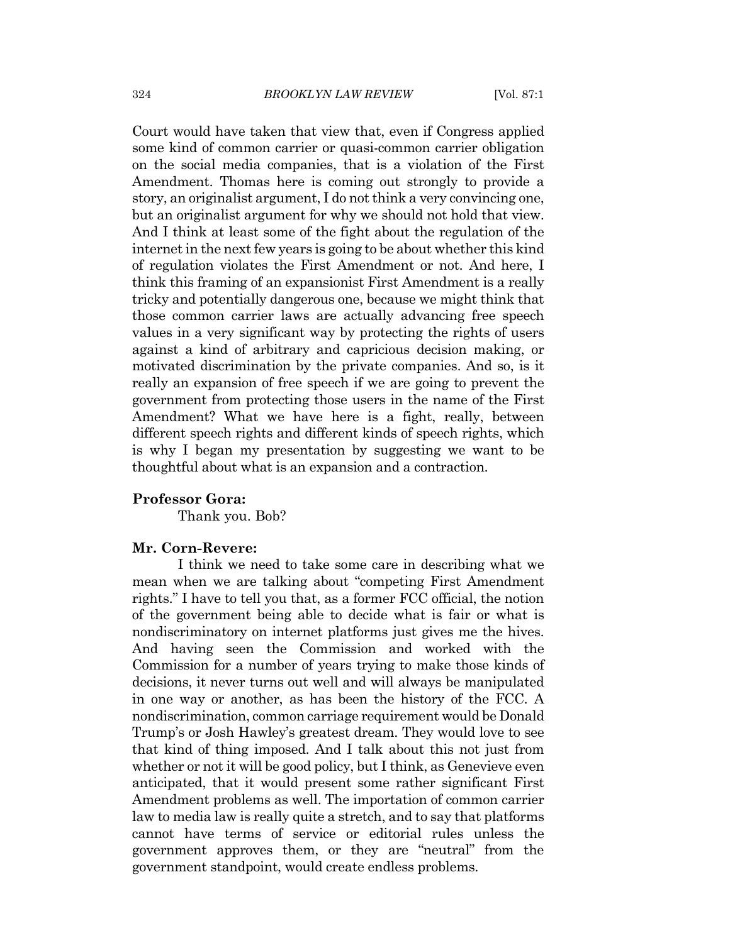Court would have taken that view that, even if Congress applied some kind of common carrier or quasi-common carrier obligation on the social media companies, that is a violation of the First Amendment. Thomas here is coming out strongly to provide a story, an originalist argument, I do not think a very convincing one, but an originalist argument for why we should not hold that view. And I think at least some of the fight about the regulation of the internet in the next few years is going to be about whether this kind of regulation violates the First Amendment or not. And here, I think this framing of an expansionist First Amendment is a really tricky and potentially dangerous one, because we might think that those common carrier laws are actually advancing free speech values in a very significant way by protecting the rights of users against a kind of arbitrary and capricious decision making, or motivated discrimination by the private companies. And so, is it really an expansion of free speech if we are going to prevent the government from protecting those users in the name of the First Amendment? What we have here is a fight, really, between different speech rights and different kinds of speech rights, which is why I began my presentation by suggesting we want to be thoughtful about what is an expansion and a contraction.

#### **Professor Gora:**

Thank you. Bob?

#### Mr. Corn-Revere:

I think we need to take some care in describing what we mean when we are talking about "competing First Amendment" rights." I have to tell you that, as a former FCC official, the notion of the government being able to decide what is fair or what is nondiscriminatory on internet platforms just gives me the hives. And having seen the Commission and worked with the Commission for a number of years trying to make those kinds of decisions, it never turns out well and will always be manipulated in one way or another, as has been the history of the FCC. A nondiscrimination, common carriage requirement would be Donald Trump's or Josh Hawley's greatest dream. They would love to see that kind of thing imposed. And I talk about this not just from whether or not it will be good policy, but I think, as Genevieve even anticipated, that it would present some rather significant First Amendment problems as well. The importation of common carrier law to media law is really quite a stretch, and to say that platforms cannot have terms of service or editorial rules unless the government approves them, or they are "neutral" from the government standpoint, would create endless problems.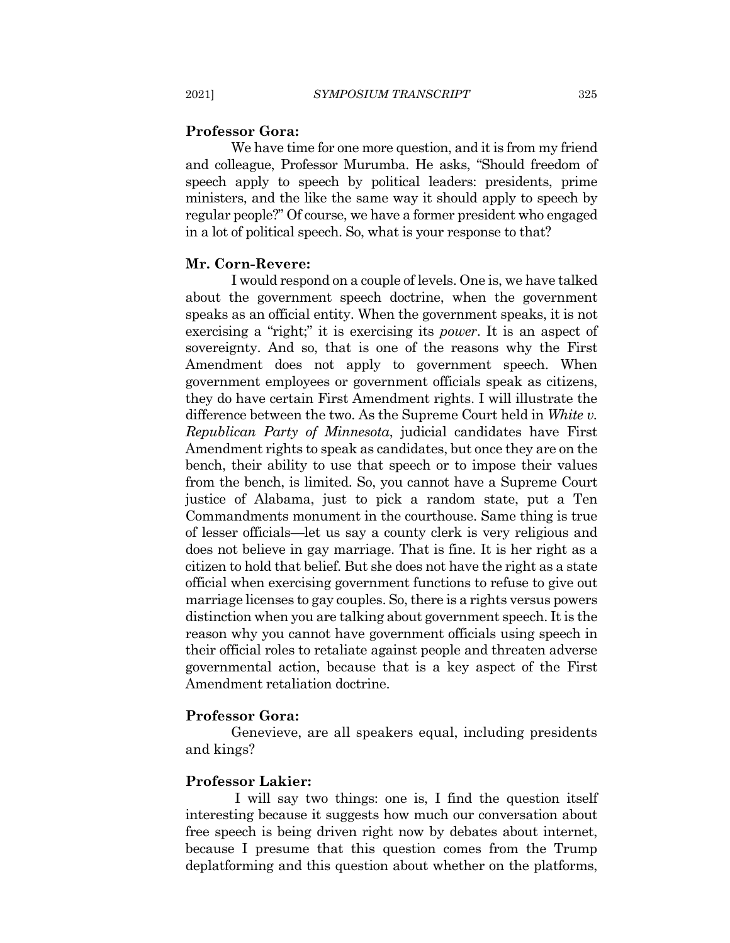#### **Professor Gora:**

We have time for one more question, and it is from my friend and colleague, Professor Murumba. He asks, "Should freedom of speech apply to speech by political leaders: presidents, prime ministers, and the like the same way it should apply to speech by regular people?" Of course, we have a former president who engaged in a lot of political speech. So, what is your response to that?

#### Mr. Corn-Revere:

I would respond on a couple of levels. One is, we have talked about the government speech doctrine, when the government speaks as an official entity. When the government speaks, it is not exercising a "right;" it is exercising its *power*. It is an aspect of sovereignty. And so, that is one of the reasons why the First Amendment does not apply to government speech. When government employees or government officials speak as citizens, they do have certain First Amendment rights. I will illustrate the difference between the two. As the Supreme Court held in White v. Republican Party of Minnesota, judicial candidates have First Amendment rights to speak as candidates, but once they are on the bench, their ability to use that speech or to impose their values from the bench, is limited. So, you cannot have a Supreme Court justice of Alabama, just to pick a random state, put a Ten Commandments monument in the courthouse. Same thing is true of lesser officials—let us say a county clerk is very religious and does not believe in gay marriage. That is fine. It is her right as a citizen to hold that belief. But she does not have the right as a state official when exercising government functions to refuse to give out marriage licenses to gay couples. So, there is a rights versus powers distinction when you are talking about government speech. It is the reason why you cannot have government officials using speech in their official roles to retaliate against people and threaten adverse governmental action, because that is a key aspect of the First Amendment retaliation doctrine.

#### **Professor Gora:**

Genevieve, are all speakers equal, including presidents and kings?

#### **Professor Lakier:**

I will say two things: one is, I find the question itself interesting because it suggests how much our conversation about free speech is being driven right now by debates about internet, because I presume that this question comes from the Trump deplatforming and this question about whether on the platforms,

2021]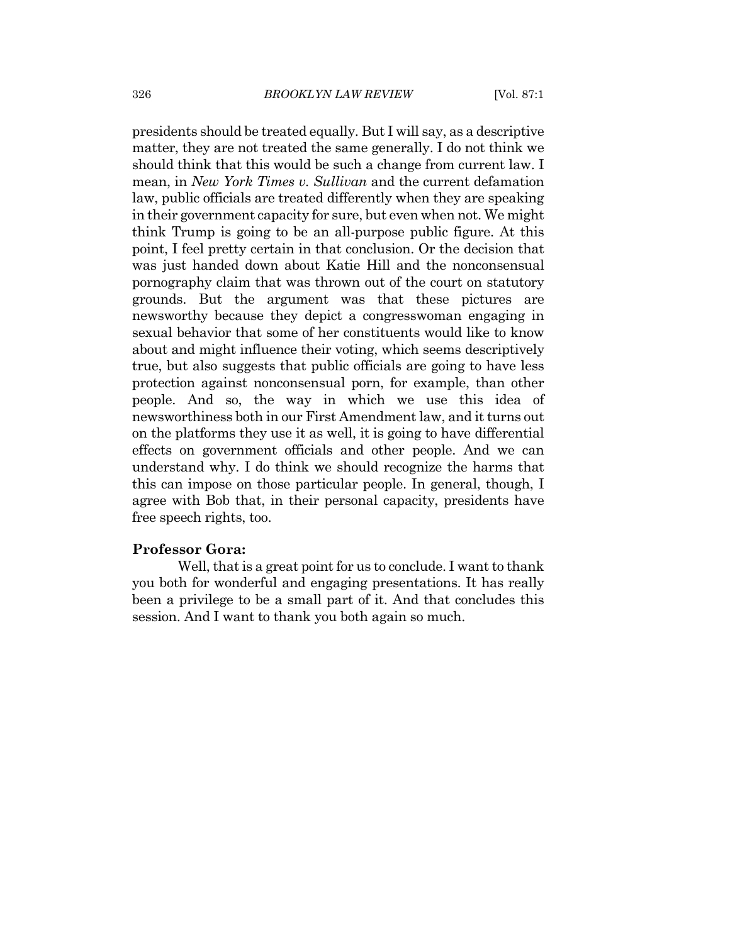presidents should be treated equally. But I will say, as a descriptive matter, they are not treated the same generally. I do not think we should think that this would be such a change from current law. I mean, in New York Times v. Sullivan and the current defamation law, public officials are treated differently when they are speaking in their government capacity for sure, but even when not. We might think Trump is going to be an all-purpose public figure. At this point, I feel pretty certain in that conclusion. Or the decision that was just handed down about Katie Hill and the nonconsensual pornography claim that was thrown out of the court on statutory grounds. But the argument was that these pictures are news worthy because they depict a congress woman engaging in sexual behavior that some of her constituents would like to know about and might influence their voting, which seems descriptively true, but also suggests that public officials are going to have less protection against nonconsensual porn, for example, than other people. And so, the way in which we use this idea of newsworthiness both in our First Amendment law, and it turns out on the platforms they use it as well, it is going to have differential effects on government officials and other people. And we can understand why. I do think we should recognize the harms that this can impose on those particular people. In general, though, I agree with Bob that, in their personal capacity, presidents have free speech rights, too.

#### **Professor Gora:**

Well, that is a great point for us to conclude. I want to thank you both for wonderful and engaging presentations. It has really been a privilege to be a small part of it. And that concludes this session. And I want to thank you both again so much.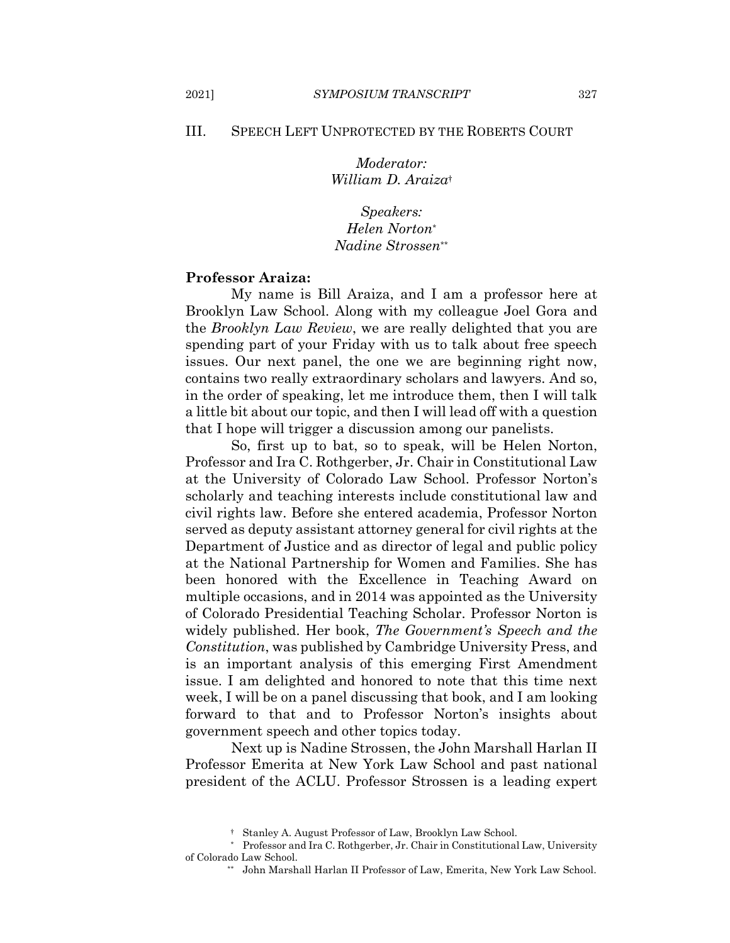#### III. **SPEECH LEFT UNPROTECTED BY THE ROBERTS COURT**

Moderator: William D. Araiza<sup>+</sup>

*Speakers:* Helen Norton\* Nadine Strossen\*\*

#### **Professor Araiza:**

My name is Bill Araiza, and I am a professor here at Brooklyn Law School. Along with my colleague Joel Gora and the *Brooklyn Law Review*, we are really delighted that you are spending part of your Friday with us to talk about free speech issues. Our next panel, the one we are beginning right now, contains two really extraordinary scholars and lawyers. And so, in the order of speaking, let me introduce them, then I will talk a little bit about our topic, and then I will lead off with a question that I hope will trigger a discussion among our panelists.

So, first up to bat, so to speak, will be Helen Norton, Professor and Ira C. Rothgerber, Jr. Chair in Constitutional Law at the University of Colorado Law School. Professor Norton's scholarly and teaching interests include constitutional law and civil rights law. Before she entered academia, Professor Norton served as deputy assistant attorney general for civil rights at the Department of Justice and as director of legal and public policy at the National Partnership for Women and Families. She has been honored with the Excellence in Teaching Award on multiple occasions, and in 2014 was appointed as the University of Colorado Presidential Teaching Scholar. Professor Norton is widely published. Her book, The Government's Speech and the Constitution, was published by Cambridge University Press, and is an important analysis of this emerging First Amendment issue. I am delighted and honored to note that this time next week, I will be on a panel discussing that book, and I am looking forward to that and to Professor Norton's insights about government speech and other topics today.

Next up is Nadine Strossen, the John Marshall Harlan II Professor Emerita at New York Law School and past national president of the ACLU. Professor Strossen is a leading expert

<sup>&</sup>lt;sup>†</sup> Stanley A. August Professor of Law, Brooklyn Law School.

<sup>\*</sup> Professor and Ira C. Rothgerber, Jr. Chair in Constitutional Law, University of Colorado Law School.

<sup>\*\*</sup> John Marshall Harlan II Professor of Law, Emerita, New York Law School.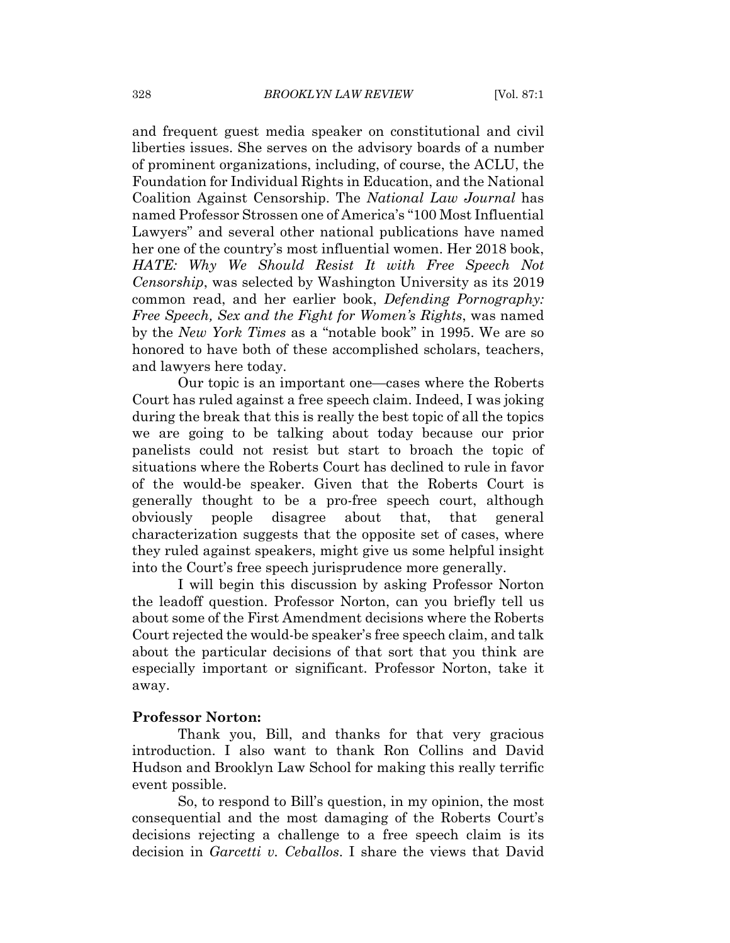and frequent guest media speaker on constitutional and civil liberties issues. She serves on the advisory boards of a number of prominent organizations, including, of course, the ACLU, the Foundation for Individual Rights in Education, and the National Coalition Against Censorship. The National Law Journal has named Professor Strossen one of America's "100 Most Influential Lawyers" and several other national publications have named her one of the country's most influential women. Her 2018 book, HATE: Why We Should Resist It with Free Speech Not *Censorship*, was selected by Washington University as its 2019 common read, and her earlier book, Defending Pornography: Free Speech, Sex and the Fight for Women's Rights, was named by the New York Times as a "notable book" in 1995. We are so honored to have both of these accomplished scholars, teachers, and lawyers here today.

Our topic is an important one—cases where the Roberts Court has ruled against a free speech claim. Indeed, I was joking during the break that this is really the best topic of all the topics we are going to be talking about today because our prior panelists could not resist but start to broach the topic of situations where the Roberts Court has declined to rule in favor of the would-be speaker. Given that the Roberts Court is generally thought to be a pro-free speech court, although obviously people disagree about that, that general characterization suggests that the opposite set of cases, where they ruled against speakers, might give us some helpful insight into the Court's free speech jurisprudence more generally.

I will begin this discussion by asking Professor Norton the leadoff question. Professor Norton, can you briefly tell us about some of the First Amendment decisions where the Roberts Court rejected the would-be speaker's free speech claim, and talk about the particular decisions of that sort that you think are especially important or significant. Professor Norton, take it away.

#### **Professor Norton:**

Thank you, Bill, and thanks for that very gracious introduction. I also want to thank Ron Collins and David Hudson and Brooklyn Law School for making this really terrific event possible.

So, to respond to Bill's question, in my opinion, the most consequential and the most damaging of the Roberts Court's decisions rejecting a challenge to a free speech claim is its decision in *Garcetti v. Ceballos*. I share the views that David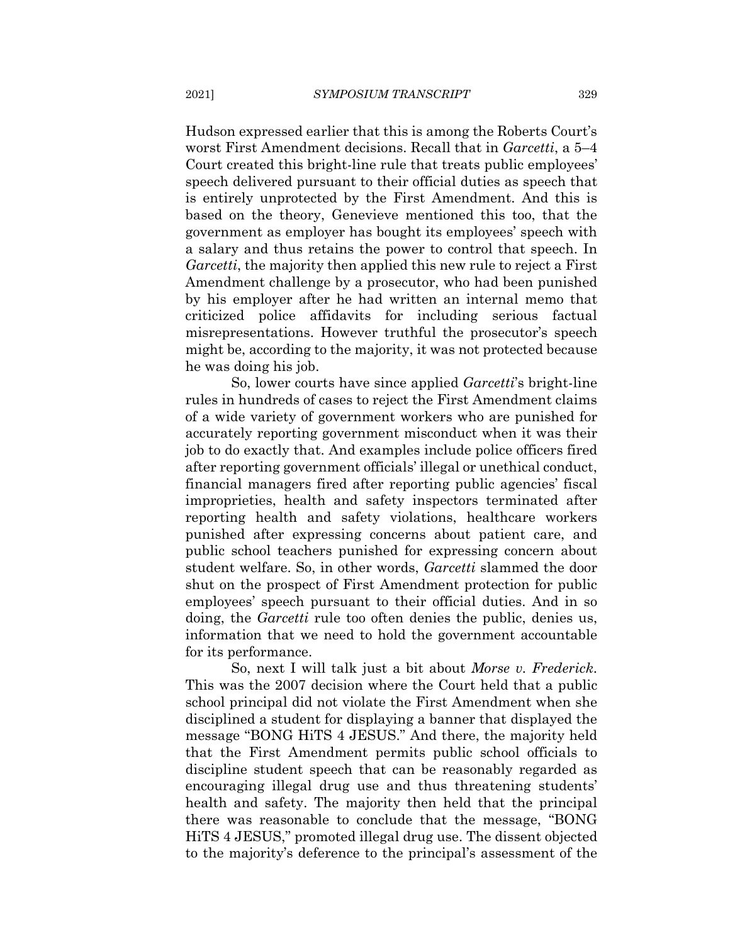Hudson expressed earlier that this is among the Roberts Court's worst First Amendment decisions. Recall that in *Garcetti*, a 5–4 Court created this bright-line rule that treats public employees' speech delivered pursuant to their official duties as speech that is entirely unprotected by the First Amendment. And this is based on the theory, Genevieve mentioned this too, that the government as employer has bought its employees' speech with a salary and thus retains the power to control that speech. In *Garcetti*, the majority then applied this new rule to reject a First Amendment challenge by a prosecutor, who had been punished by his employer after he had written an internal memo that criticized police affidavits for including serious factual misrepresentations. However truthful the prosecutor's speech might be, according to the majority, it was not protected because he was doing his job.

So, lower courts have since applied Garcetti's bright-line rules in hundreds of cases to reject the First Amendment claims of a wide variety of government workers who are punished for accurately reporting government misconduct when it was their job to do exactly that. And examples include police officers fired after reporting government officials' illegal or unethical conduct, financial managers fired after reporting public agencies' fiscal improprieties, health and safety inspectors terminated after reporting health and safety violations, healthcare workers punished after expressing concerns about patient care, and public school teachers punished for expressing concern about student welfare. So, in other words, Garcetti slammed the door shut on the prospect of First Amendment protection for public employees' speech pursuant to their official duties. And in so doing, the *Garcetti* rule too often denies the public, denies us, information that we need to hold the government accountable for its performance.

So, next I will talk just a bit about Morse v. Frederick. This was the 2007 decision where the Court held that a public school principal did not violate the First Amendment when she disciplined a student for displaying a banner that displayed the message "BONG HiTS 4 JESUS." And there, the majority held that the First Amendment permits public school officials to discipline student speech that can be reasonably regarded as encouraging illegal drug use and thus threatening students' health and safety. The majority then held that the principal there was reasonable to conclude that the message, "BONG" HiTS 4 JESUS," promoted illegal drug use. The dissent objected to the majority's deference to the principal's assessment of the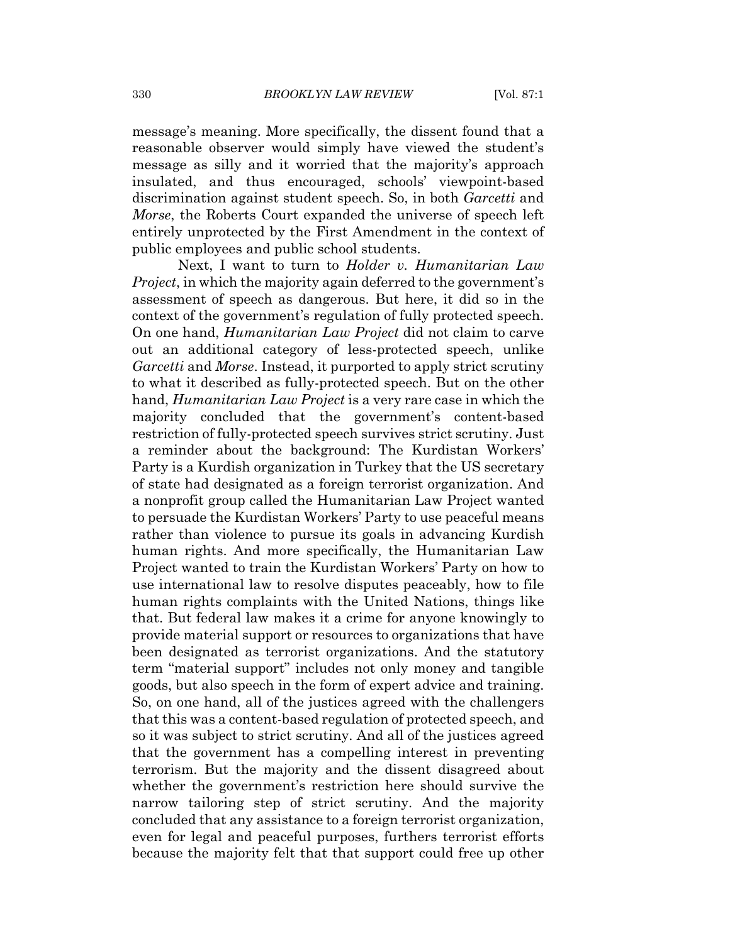message's meaning. More specifically, the dissent found that a reasonable observer would simply have viewed the student's message as silly and it worried that the majority's approach insulated, and thus encouraged, schools' viewpoint-based discrimination against student speech. So, in both *Garcetti* and Morse, the Roberts Court expanded the universe of speech left entirely unprotected by the First Amendment in the context of public employees and public school students.

Next, I want to turn to *Holder v. Humanitarian Law Project*, in which the majority again deferred to the government's assessment of speech as dangerous. But here, it did so in the context of the government's regulation of fully protected speech. On one hand, *Humanitarian Law Project* did not claim to carve out an additional category of less-protected speech, unlike *Garcetti* and *Morse*. Instead, it purported to apply strict scrutiny to what it described as fully-protected speech. But on the other hand, *Humanitarian Law Project* is a very rare case in which the majority concluded that the government's content-based restriction of fully-protected speech survives strict scrutiny. Just a reminder about the background: The Kurdistan Workers' Party is a Kurdish organization in Turkey that the US secretary of state had designated as a foreign terrorist organization. And a nonprofit group called the Humanitarian Law Project wanted to persuade the Kurdistan Workers' Party to use peaceful means rather than violence to pursue its goals in advancing Kurdish human rights. And more specifically, the Humanitarian Law Project wanted to train the Kurdistan Workers' Party on how to use international law to resolve disputes peaceably, how to file human rights complaints with the United Nations, things like that. But federal law makes it a crime for anyone knowingly to provide material support or resources to organizations that have been designated as terrorist organizations. And the statutory term "material support" includes not only money and tangible goods, but also speech in the form of expert advice and training. So, on one hand, all of the justices agreed with the challengers that this was a content-based regulation of protected speech, and so it was subject to strict scrutiny. And all of the justices agreed that the government has a compelling interest in preventing terrorism. But the majority and the dissent disagreed about whether the government's restriction here should survive the narrow tailoring step of strict scrutiny. And the majority concluded that any assistance to a foreign terrorist organization. even for legal and peaceful purposes, furthers terrorist efforts because the majority felt that that support could free up other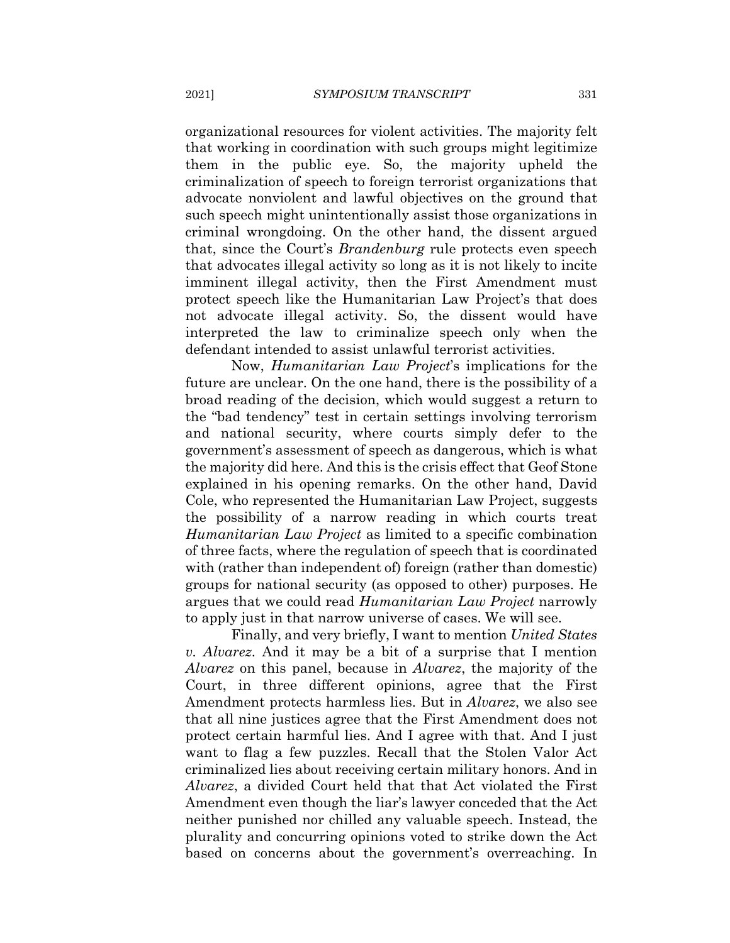organizational resources for violent activities. The majority felt that working in coordination with such groups might legitimize them in the public eye. So, the majority upheld the criminalization of speech to foreign terrorist organizations that advocate nonviolent and lawful objectives on the ground that such speech might unintentionally assist those organizations in criminal wrongdoing. On the other hand, the dissent argued that, since the Court's *Brandenburg* rule protects even speech that advocates illegal activity so long as it is not likely to incite imminent illegal activity, then the First Amendment must protect speech like the Humanitarian Law Project's that does not advocate illegal activity. So, the dissent would have interpreted the law to criminalize speech only when the defendant intended to assist unlawful terrorist activities.

Now, *Humanitarian Law Project's* implications for the future are unclear. On the one hand, there is the possibility of a broad reading of the decision, which would suggest a return to the "bad tendency" test in certain settings involving terrorism and national security, where courts simply defer to the government's assessment of speech as dangerous, which is what the majority did here. And this is the crisis effect that Geof Stone explained in his opening remarks. On the other hand, David Cole, who represented the Humanitarian Law Project, suggests the possibility of a narrow reading in which courts treat *Humanitarian Law Project* as limited to a specific combination of three facts, where the regulation of speech that is coordinated with (rather than independent of) foreign (rather than domestic) groups for national security (as opposed to other) purposes. He argues that we could read *Humanitarian Law Project* narrowly to apply just in that narrow universe of cases. We will see.

Finally, and very briefly, I want to mention United States v. Alvarez. And it may be a bit of a surprise that I mention *Alvarez* on this panel, because in *Alvarez*, the majority of the Court, in three different opinions, agree that the First Amendment protects harmless lies. But in *Alvarez*, we also see that all nine justices agree that the First Amendment does not protect certain harmful lies. And I agree with that. And I just want to flag a few puzzles. Recall that the Stolen Valor Act criminalized lies about receiving certain military honors. And in *Alvarez*, a divided Court held that that Act violated the First Amendment even though the liar's lawyer conceded that the Act neither punished nor chilled any valuable speech. Instead, the plurality and concurring opinions voted to strike down the Act based on concerns about the government's overreaching. In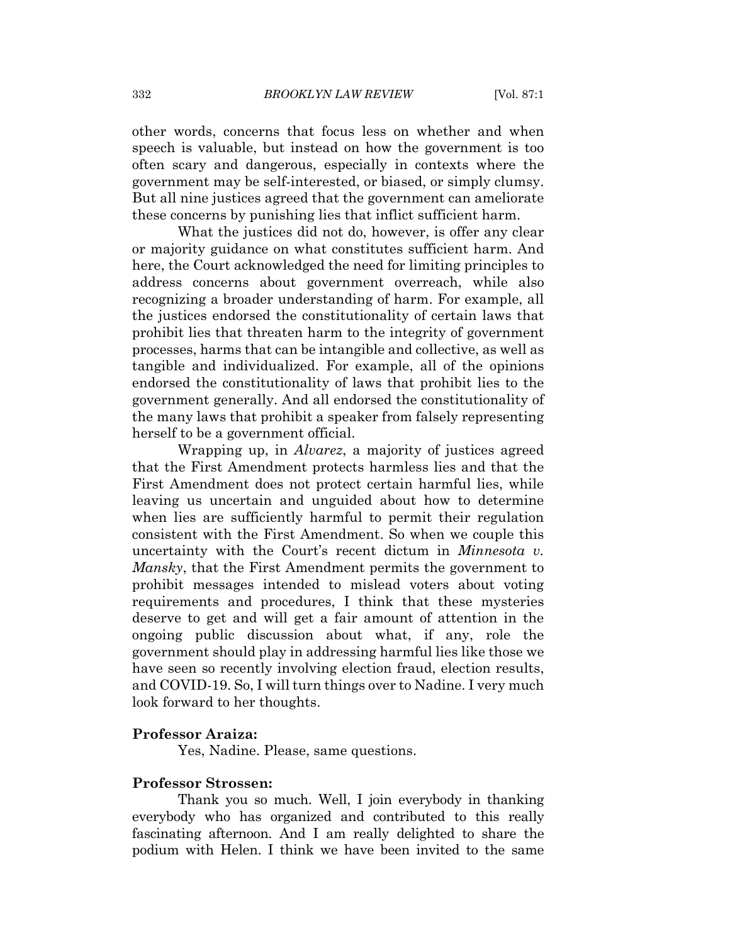other words, concerns that focus less on whether and when speech is valuable, but instead on how the government is too often scary and dangerous, especially in contexts where the government may be self-interested, or biased, or simply clumsy. But all nine justices agreed that the government can ameliorate these concerns by punishing lies that inflict sufficient harm.

What the justices did not do, however, is offer any clear or majority guidance on what constitutes sufficient harm. And here, the Court acknowledged the need for limiting principles to address concerns about government overreach, while also recognizing a broader understanding of harm. For example, all the justices endorsed the constitutionality of certain laws that prohibit lies that threaten harm to the integrity of government processes, harms that can be intangible and collective, as well as tangible and individualized. For example, all of the opinions endorsed the constitutionality of laws that prohibit lies to the government generally. And all endorsed the constitutionality of the many laws that prohibit a speaker from falsely representing herself to be a government official.

Wrapping up, in *Alvarez*, a majority of justices agreed that the First Amendment protects harmless lies and that the First Amendment does not protect certain harmful lies, while leaving us uncertain and unguided about how to determine when lies are sufficiently harmful to permit their regulation consistent with the First Amendment. So when we couple this uncertainty with the Court's recent dictum in *Minnesota v*. *Mansky*, that the First Amendment permits the government to prohibit messages intended to mislead voters about voting requirements and procedures, I think that these mysteries deserve to get and will get a fair amount of attention in the ongoing public discussion about what, if any, role the government should play in addressing harmful lies like those we have seen so recently involving election fraud, election results, and COVID-19. So, I will turn things over to Nadine. I very much look forward to her thoughts.

#### **Professor Araiza:**

Yes, Nadine. Please, same questions.

## **Professor Strossen:**

Thank you so much. Well, I join everybody in thanking everybody who has organized and contributed to this really fascinating afternoon. And I am really delighted to share the podium with Helen. I think we have been invited to the same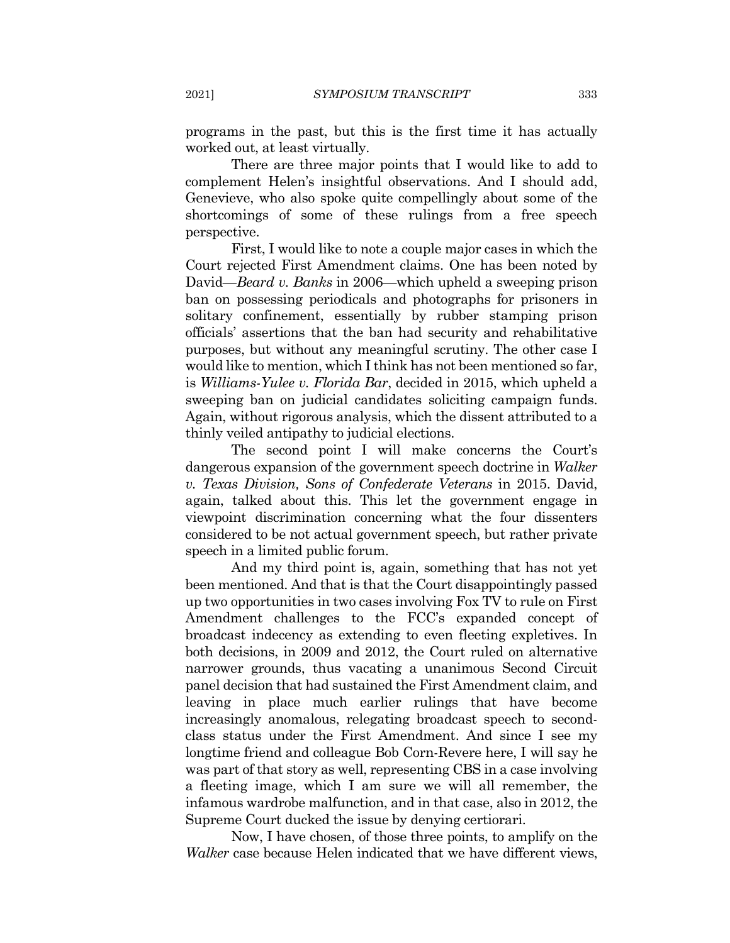programs in the past, but this is the first time it has actually worked out, at least virtually.

There are three major points that I would like to add to complement Helen's insightful observations. And I should add, Genevieve, who also spoke quite compellingly about some of the shortcomings of some of these rulings from a free speech perspective.

First, I would like to note a couple major cases in which the Court rejected First Amendment claims. One has been noted by David—Beard v. Banks in 2006—which upheld a sweeping prison ban on possessing periodicals and photographs for prisoners in solitary confinement, essentially by rubber stamping prison officials' assertions that the ban had security and rehabilitative purposes, but without any meaningful scrutiny. The other case I would like to mention, which I think has not been mentioned so far, is Williams-Yulee v. Florida Bar, decided in 2015, which upheld a sweeping ban on judicial candidates soliciting campaign funds. Again, without rigorous analysis, which the dissent attributed to a thinly veiled antipathy to judicial elections.

The second point I will make concerns the Court's dangerous expansion of the government speech doctrine in Walker v. Texas Division, Sons of Confederate Veterans in 2015. David, again, talked about this. This let the government engage in viewpoint discrimination concerning what the four dissenters considered to be not actual government speech, but rather private speech in a limited public forum.

And my third point is, again, something that has not yet been mentioned. And that is that the Court disappointingly passed up two opportunities in two cases involving Fox TV to rule on First Amendment challenges to the FCC's expanded concept of broadcast indecency as extending to even fleeting expletives. In both decisions, in 2009 and 2012, the Court ruled on alternative narrower grounds, thus vacating a unanimous Second Circuit panel decision that had sustained the First Amendment claim, and leaving in place much earlier rulings that have become increasingly anomalous, relegating broadcast speech to secondclass status under the First Amendment. And since I see my longtime friend and colleague Bob Corn-Revere here, I will say he was part of that story as well, representing CBS in a case involving a fleeting image, which I am sure we will all remember, the infamous wardrobe malfunction, and in that case, also in 2012, the Supreme Court ducked the issue by denying certiorari.

Now, I have chosen, of those three points, to amplify on the *Walker* case because Helen indicated that we have different views,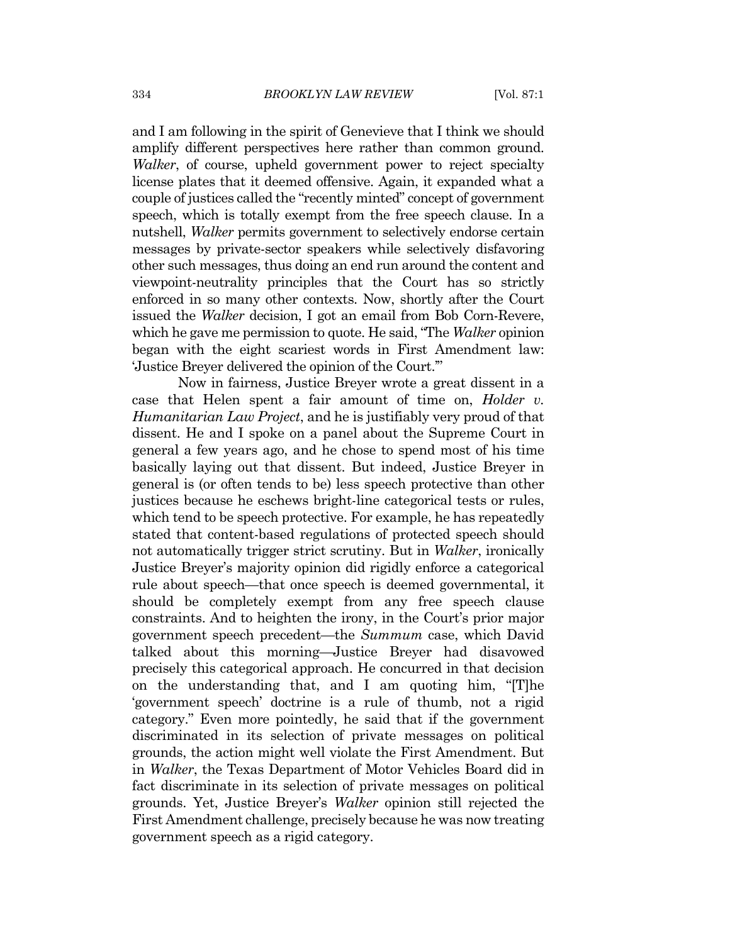and I am following in the spirit of Genevieve that I think we should amplify different perspectives here rather than common ground. *Walker*, of course, upheld government power to reject specialty license plates that it deemed offensive. Again, it expanded what a couple of justices called the "recently minted" concept of government speech, which is totally exempt from the free speech clause. In a nutshell, *Walker* permits government to selectively endorse certain messages by private-sector speakers while selectively disfavoring other such messages, thus doing an end run around the content and viewpoint-neutrality principles that the Court has so strictly enforced in so many other contexts. Now, shortly after the Court issued the *Walker* decision, I got an email from Bob Corn-Revere, which he gave me permission to quote. He said, "The Walker opinion" began with the eight scariest words in First Amendment law: 'Justice Breyer delivered the opinion of the Court."

Now in fairness, Justice Breyer wrote a great dissent in a case that Helen spent a fair amount of time on, *Holder v. Humanitarian Law Project*, and he is justifiably very proud of that dissent. He and I spoke on a panel about the Supreme Court in general a few years ago, and he chose to spend most of his time basically laying out that dissent. But indeed, Justice Breyer in general is (or often tends to be) less speech protective than other justices because he eschews bright-line categorical tests or rules, which tend to be speech protective. For example, he has repeatedly stated that content-based regulations of protected speech should not automatically trigger strict scrutiny. But in *Walker*, ironically Justice Breyer's majority opinion did rigidly enforce a categorical rule about speech—that once speech is deemed governmental, it should be completely exempt from any free speech clause constraints. And to heighten the irony, in the Court's prior major government speech precedent—the Summum case, which David talked about this morning—Justice Breyer had disavowed precisely this categorical approach. He concurred in that decision on the understanding that, and I am quoting him, "The 'government speech' doctrine is a rule of thumb, not a rigid category." Even more pointedly, he said that if the government discriminated in its selection of private messages on political grounds, the action might well violate the First Amendment. But in *Walker*, the Texas Department of Motor Vehicles Board did in fact discriminate in its selection of private messages on political grounds. Yet, Justice Breyer's Walker opinion still rejected the First Amendment challenge, precisely because he was now treating government speech as a rigid category.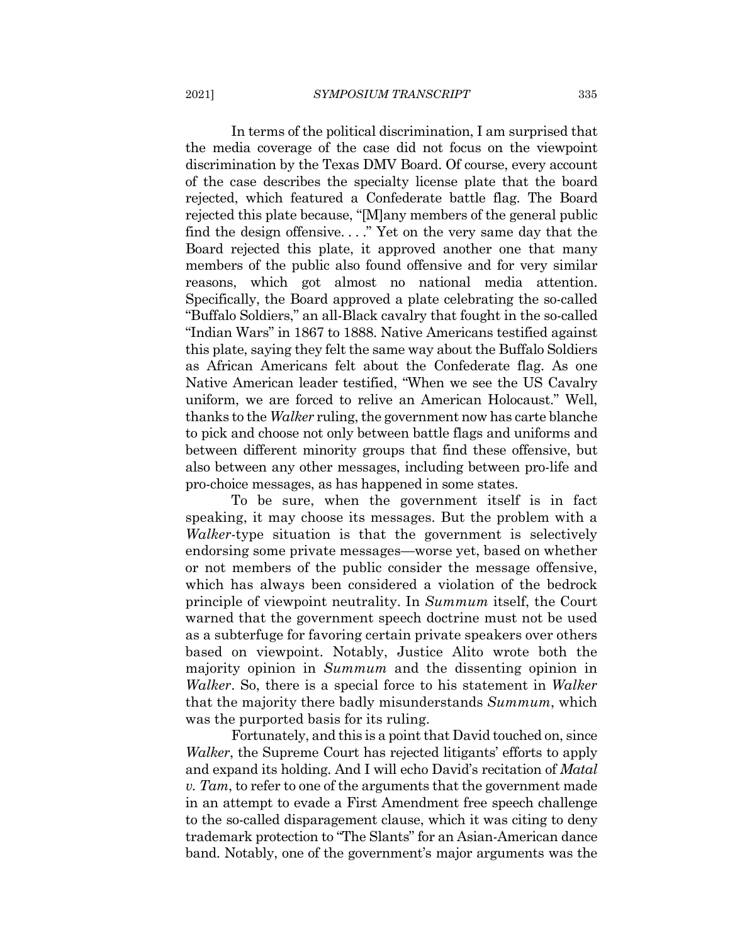In terms of the political discrimination, I am surprised that the media coverage of the case did not focus on the viewpoint discrimination by the Texas DMV Board. Of course, every account of the case describes the specialty license plate that the board rejected, which featured a Confederate battle flag. The Board rejected this plate because, " $[M]$ any members of the general public find the design offensive...." Yet on the very same day that the Board rejected this plate, it approved another one that many members of the public also found offensive and for very similar reasons, which got almost no national media attention. Specifically, the Board approved a plate celebrating the so-called "Buffalo Soldiers," an all-Black cavalry that fought in the so-called "Indian Wars" in 1867 to 1888. Native Americans testified against this plate, saying they felt the same way about the Buffalo Soldiers as African Americans felt about the Confederate flag. As one Native American leader testified, "When we see the US Cavalry uniform, we are forced to relive an American Holocaust." Well, thanks to the *Walker* ruling, the government now has carte blanche to pick and choose not only between battle flags and uniforms and between different minority groups that find these offensive, but also between any other messages, including between pro-life and pro-choice messages, as has happened in some states.

To be sure, when the government itself is in fact speaking, it may choose its messages. But the problem with a *Walker-type* situation is that the government is selectively endorsing some private messages—worse yet, based on whether or not members of the public consider the message offensive, which has always been considered a violation of the bedrock principle of viewpoint neutrality. In Summum itself, the Court warned that the government speech doctrine must not be used as a subterfuge for favoring certain private speakers over others based on viewpoint. Notably, Justice Alito wrote both the majority opinion in Summum and the dissenting opinion in *Walker.* So, there is a special force to his statement in *Walker* that the majority there badly misunderstands  $Summum$ , which was the purported basis for its ruling.

Fortunately, and this is a point that David touched on, since Walker, the Supreme Court has rejected litigants' efforts to apply and expand its holding. And I will echo David's recitation of *Matal* v. Tam, to refer to one of the arguments that the government made in an attempt to evade a First Amendment free speech challenge to the so-called disparagement clause, which it was citing to deny trademark protection to "The Slants" for an Asian-American dance band. Notably, one of the government's major arguments was the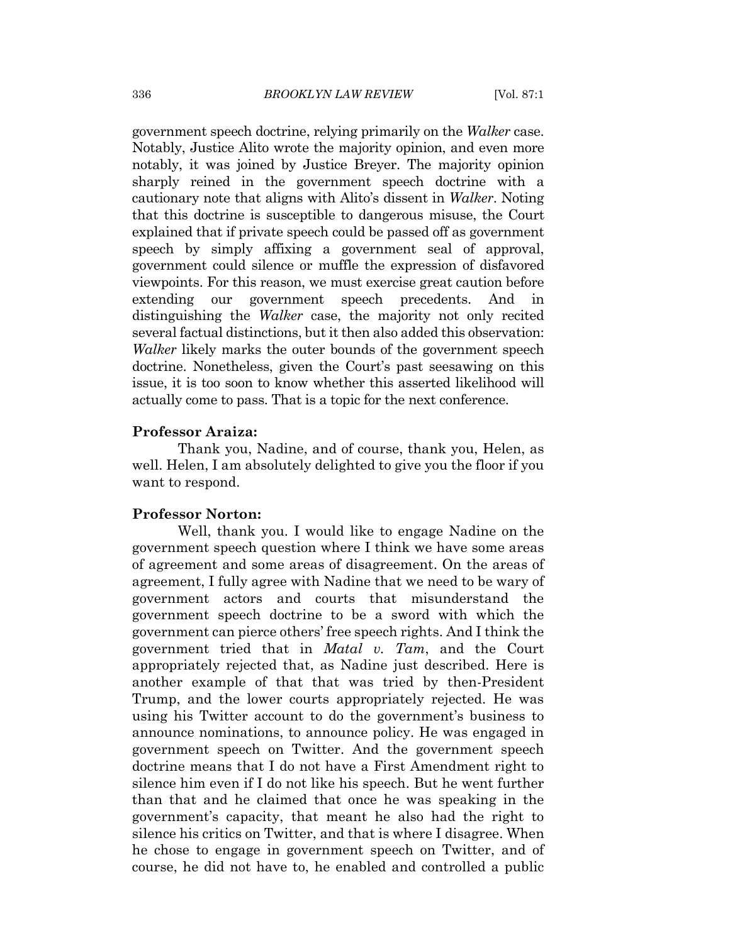government speech doctrine, relying primarily on the Walker case. Notably, Justice Alito wrote the majority opinion, and even more notably, it was joined by Justice Breyer. The majority opinion sharply reined in the government speech doctrine with a cautionary note that aligns with Alito's dissent in Walker. Noting that this doctrine is susceptible to dangerous misuse, the Court explained that if private speech could be passed off as government speech by simply affixing a government seal of approval, government could silence or muffle the expression of disfavored viewpoints. For this reason, we must exercise great caution before extending our government speech precedents. And in distinguishing the *Walker* case, the majority not only recited several factual distinctions, but it then also added this observation: *Walker* likely marks the outer bounds of the government speech doctrine. Nonetheless, given the Court's past seesawing on this issue, it is too soon to know whether this asserted likelihood will actually come to pass. That is a topic for the next conference.

#### **Professor Araiza:**

Thank you, Nadine, and of course, thank you, Helen, as well. Helen, I am absolutely delighted to give you the floor if you want to respond.

#### **Professor Norton:**

Well, thank you. I would like to engage Nadine on the government speech question where I think we have some areas of agreement and some areas of disagreement. On the areas of agreement, I fully agree with Nadine that we need to be wary of government actors and courts that misunderstand the government speech doctrine to be a sword with which the government can pierce others' free speech rights. And I think the government tried that in *Matal v. Tam*, and the Court appropriately rejected that, as Nadine just described. Here is another example of that that was tried by then-President Trump, and the lower courts appropriately rejected. He was using his Twitter account to do the government's business to announce nominations, to announce policy. He was engaged in government speech on Twitter. And the government speech doctrine means that I do not have a First Amendment right to silence him even if I do not like his speech. But he went further than that and he claimed that once he was speaking in the government's capacity, that meant he also had the right to silence his critics on Twitter, and that is where I disagree. When he chose to engage in government speech on Twitter, and of course, he did not have to, he enabled and controlled a public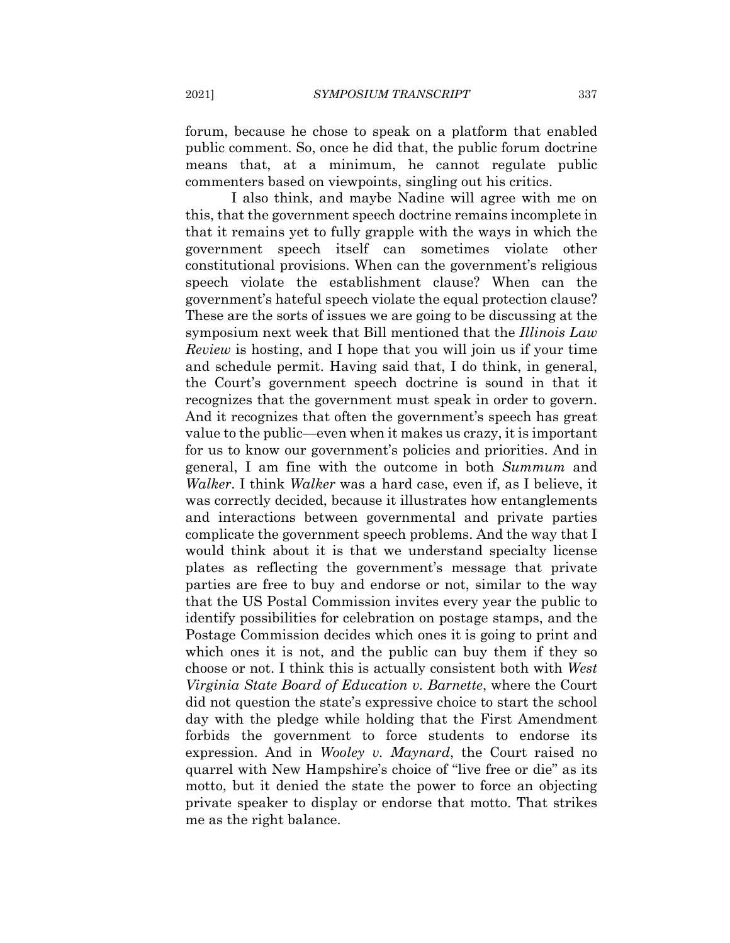forum, because he chose to speak on a platform that enabled public comment. So, once he did that, the public forum doctrine means that, at a minimum, he cannot regulate public commenters based on viewpoints, singling out his critics.

I also think, and maybe Nadine will agree with me on this, that the government speech doctrine remains incomplete in that it remains yet to fully grapple with the ways in which the government speech itself can sometimes violate other constitutional provisions. When can the government's religious speech violate the establishment clause? When can the government's hateful speech violate the equal protection clause? These are the sorts of issues we are going to be discussing at the symposium next week that Bill mentioned that the Illinois Law *Review* is hosting, and I hope that you will join us if your time and schedule permit. Having said that, I do think, in general, the Court's government speech doctrine is sound in that it recognizes that the government must speak in order to govern. And it recognizes that often the government's speech has great value to the public—even when it makes us crazy, it is important for us to know our government's policies and priorities. And in general, I am fine with the outcome in both Summum and Walker. I think Walker was a hard case, even if, as I believe, it was correctly decided, because it illustrates how entanglements and interactions between governmental and private parties complicate the government speech problems. And the way that I would think about it is that we understand specialty license plates as reflecting the government's message that private parties are free to buy and endorse or not, similar to the way that the US Postal Commission invites every year the public to identify possibilities for celebration on postage stamps, and the Postage Commission decides which ones it is going to print and which ones it is not, and the public can buy them if they so choose or not. I think this is actually consistent both with West *Virginia State Board of Education v. Barnette, where the Court* did not question the state's expressive choice to start the school day with the pledge while holding that the First Amendment forbids the government to force students to endorse its expression. And in Wooley v. Maynard, the Court raised no quarrel with New Hampshire's choice of "live free or die" as its motto, but it denied the state the power to force an objecting private speaker to display or endorse that motto. That strikes me as the right balance.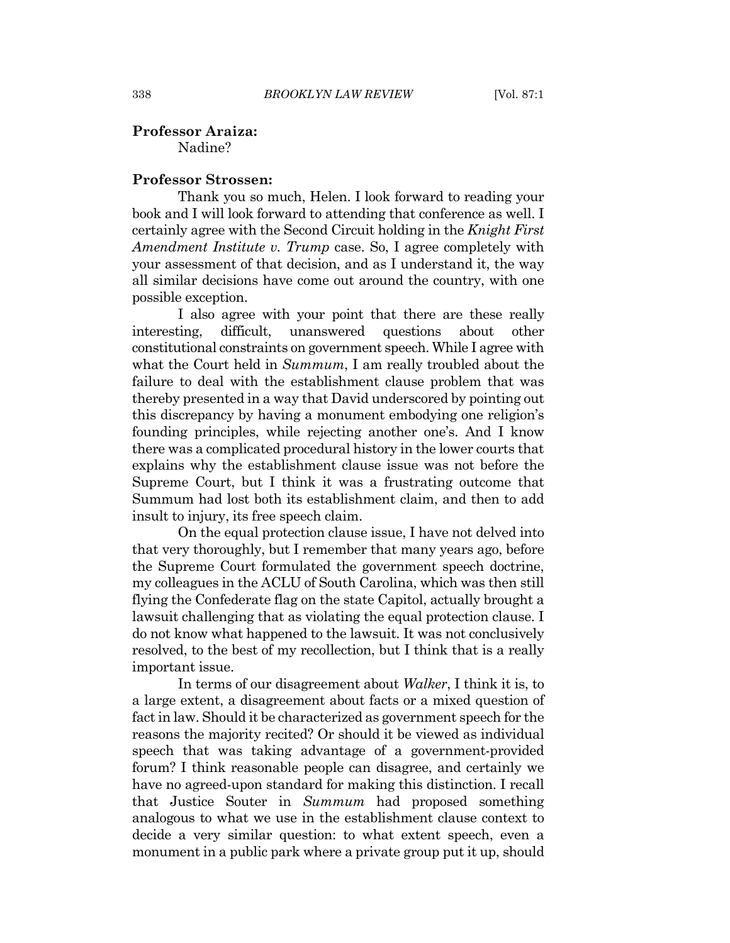#### **Professor Araiza:**

Nadine?

#### **Professor Strossen:**

Thank you so much, Helen. I look forward to reading your book and I will look forward to attending that conference as well. I certainly agree with the Second Circuit holding in the Knight First *Amendment Institute v. Trump* case. So, I agree completely with your assessment of that decision, and as I understand it, the way all similar decisions have come out around the country, with one possible exception.

I also agree with your point that there are these really interesting. difficult. unanswered questions about other constitutional constraints on government speech. While I agree with what the Court held in Summum, I am really troubled about the failure to deal with the establishment clause problem that was thereby presented in a way that David underscored by pointing out this discrepancy by having a monument embodying one religion's founding principles, while rejecting another one's. And I know there was a complicated procedural history in the lower courts that explains why the establishment clause issue was not before the Supreme Court, but I think it was a frustrating outcome that Summum had lost both its establishment claim, and then to add insult to injury, its free speech claim.

On the equal protection clause issue, I have not delved into that very thoroughly, but I remember that many years ago, before the Supreme Court formulated the government speech doctrine, my colleagues in the ACLU of South Carolina, which was then still flying the Confederate flag on the state Capitol, actually brought a lawsuit challenging that as violating the equal protection clause. I do not know what happened to the lawsuit. It was not conclusively resolved, to the best of my recollection, but I think that is a really important issue.

In terms of our disagreement about *Walker*, I think it is, to a large extent, a disagreement about facts or a mixed question of fact in law. Should it be characterized as government speech for the reasons the majority recited? Or should it be viewed as individual speech that was taking advantage of a government-provided forum? I think reasonable people can disagree, and certainly we have no agreed-upon standard for making this distinction. I recall that Justice Souter in Summum had proposed something analogous to what we use in the establishment clause context to decide a very similar question: to what extent speech, even a monument in a public park where a private group put it up, should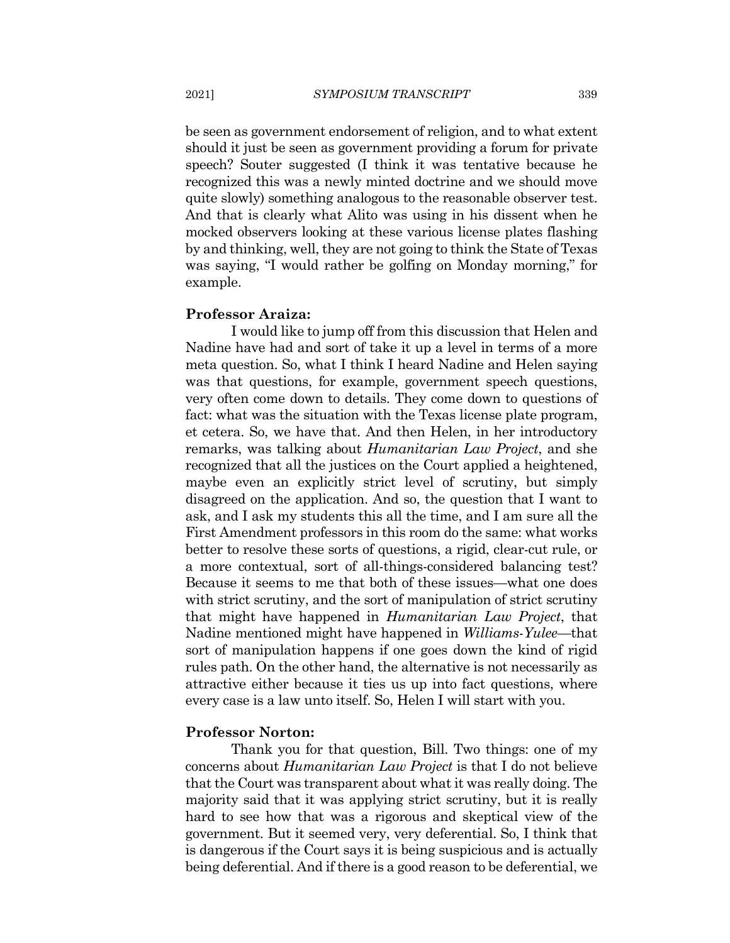be seen as government endorsement of religion, and to what extent should it just be seen as government providing a forum for private speech? Souter suggested (I think it was tentative because he recognized this was a newly minted doctrine and we should move quite slowly) something analogous to the reasonable observer test. And that is clearly what Alito was using in his dissent when he mocked observers looking at these various license plates flashing by and thinking, well, they are not going to think the State of Texas was saying, "I would rather be golfing on Monday morning," for example.

#### **Professor Araiza:**

I would like to jump off from this discussion that Helen and Nadine have had and sort of take it up a level in terms of a more meta question. So, what I think I heard Nadine and Helen saying was that questions, for example, government speech questions, very often come down to details. They come down to questions of fact: what was the situation with the Texas license plate program, et cetera. So, we have that. And then Helen, in her introductory remarks, was talking about *Humanitarian Law Project*, and she recognized that all the justices on the Court applied a heightened, maybe even an explicitly strict level of scrutiny, but simply disagreed on the application. And so, the question that I want to ask, and I ask my students this all the time, and I am sure all the First Amendment professors in this room do the same: what works better to resolve these sorts of questions, a rigid, clear-cut rule, or a more contextual, sort of all-things-considered balancing test? Because it seems to me that both of these issues—what one does with strict scrutiny, and the sort of manipulation of strict scrutiny that might have happened in *Humanitarian Law Project*, that Nadine mentioned might have happened in *Williams-Yulee*—that sort of manipulation happens if one goes down the kind of rigid rules path. On the other hand, the alternative is not necessarily as attractive either because it ties us up into fact questions, where every case is a law unto itself. So, Helen I will start with you.

#### **Professor Norton:**

Thank you for that question, Bill. Two things: one of my concerns about *Humanitarian Law Project* is that I do not believe that the Court was transparent about what it was really doing. The majority said that it was applying strict scrutiny, but it is really hard to see how that was a rigorous and skeptical view of the government. But it seemed very, very deferential. So, I think that is dangerous if the Court says it is being suspicious and is actually being deferential. And if there is a good reason to be deferential, we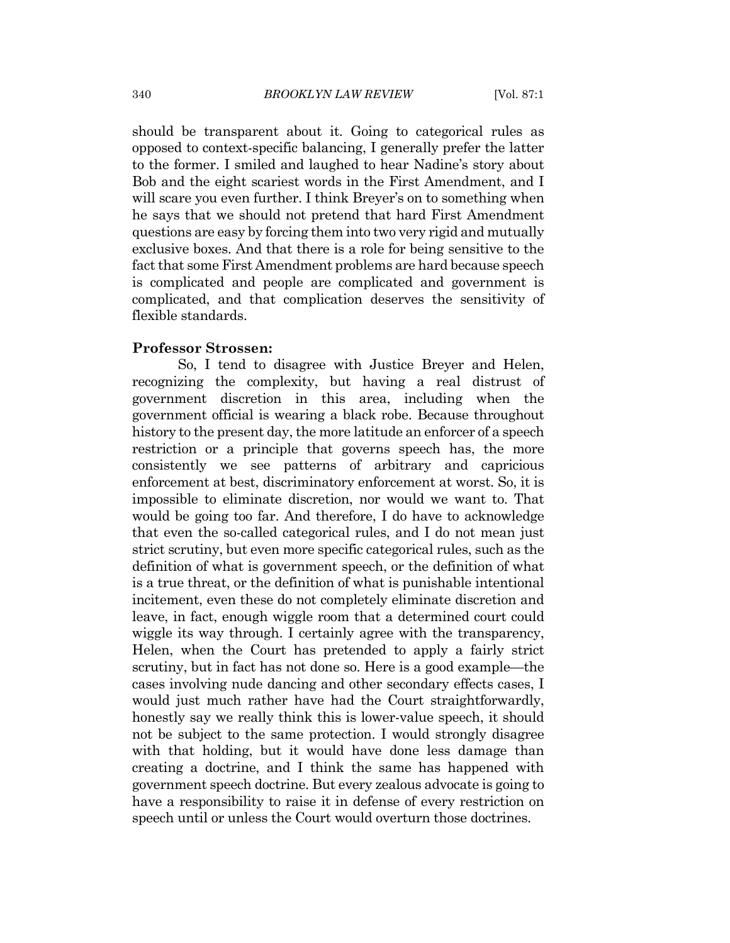should be transparent about it. Going to categorical rules as opposed to context-specific balancing, I generally prefer the latter to the former. I smiled and laughed to hear Nadine's story about Bob and the eight scariest words in the First Amendment, and I will scare you even further. I think Breyer's on to something when he says that we should not pretend that hard First Amendment questions are easy by forcing them into two very rigid and mutually exclusive boxes. And that there is a role for being sensitive to the fact that some First Amendment problems are hard because speech is complicated and people are complicated and government is complicated, and that complication deserves the sensitivity of flexible standards.

#### **Professor Strossen:**

So, I tend to disagree with Justice Breyer and Helen, recognizing the complexity, but having a real distrust of government discretion in this area, including when the government official is wearing a black robe. Because throughout history to the present day, the more latitude an enforcer of a speech restriction or a principle that governs speech has, the more consistently we see patterns of arbitrary and capricious enforcement at best, discriminatory enforcement at worst. So, it is impossible to eliminate discretion, nor would we want to. That would be going too far. And therefore, I do have to acknowledge that even the so-called categorical rules, and I do not mean just strict scrutiny, but even more specific categorical rules, such as the definition of what is government speech, or the definition of what is a true threat, or the definition of what is punishable intentional incitement, even these do not completely eliminate discretion and leave, in fact, enough wiggle room that a determined court could wiggle its way through. I certainly agree with the transparency, Helen, when the Court has pretended to apply a fairly strict scrutiny, but in fact has not done so. Here is a good example—the cases involving nude dancing and other secondary effects cases. I would just much rather have had the Court straightforwardly, honestly say we really think this is lower-value speech, it should not be subject to the same protection. I would strongly disagree with that holding, but it would have done less damage than creating a doctrine, and I think the same has happened with government speech doctrine. But every zealous advocate is going to have a responsibility to raise it in defense of every restriction on speech until or unless the Court would overturn those doctrines.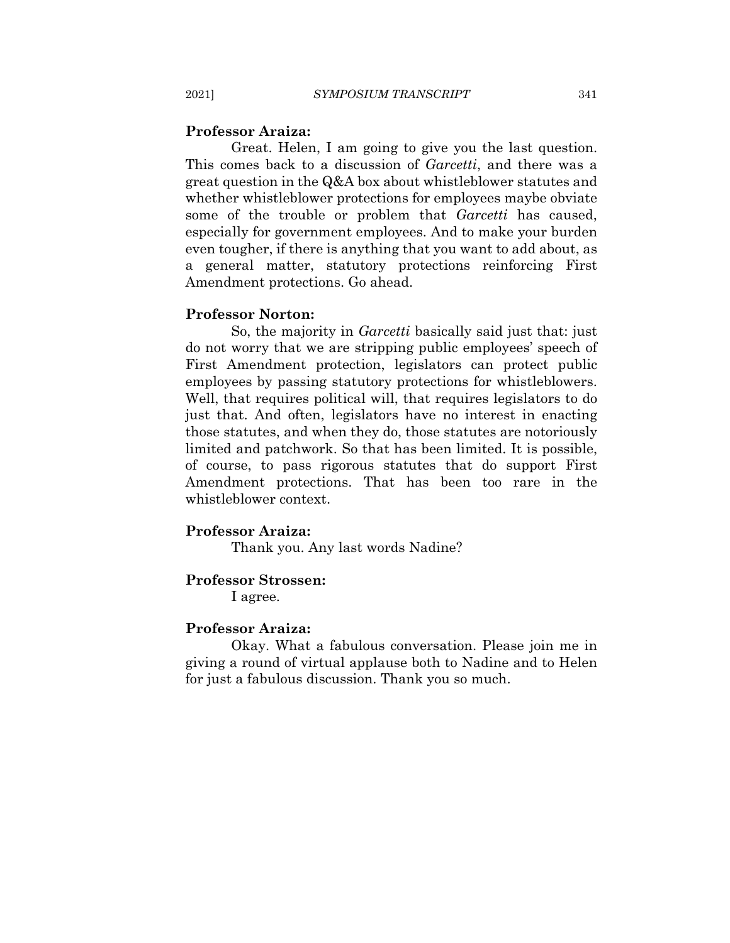#### **Professor Araiza:**

Great. Helen, I am going to give you the last question. This comes back to a discussion of *Garcetti*, and there was a great question in the  $Q&A$  box about whistleblower statutes and whether whistleblower protections for employees maybe obviate some of the trouble or problem that Garcetti has caused, especially for government employees. And to make your burden even tougher, if there is anything that you want to add about, as a general matter, statutory protections reinforcing First Amendment protections. Go ahead.

#### **Professor Norton:**

So, the majority in *Garcetti* basically said just that: just do not worry that we are stripping public employees' speech of First Amendment protection, legislators can protect public employees by passing statutory protections for whistleblowers. Well, that requires political will, that requires legislators to do just that. And often, legislators have no interest in enacting those statutes, and when they do, those statutes are notoriously limited and patchwork. So that has been limited. It is possible, of course, to pass rigorous statutes that do support First Amendment protections. That has been too rare in the whistleblower context.

#### **Professor Araiza:**

Thank you. Any last words Nadine?

#### **Professor Strossen:**

I agree.

#### **Professor Araiza:**

Okay. What a fabulous conversation. Please join me in giving a round of virtual applause both to Nadine and to Helen for just a fabulous discussion. Thank you so much.

2021]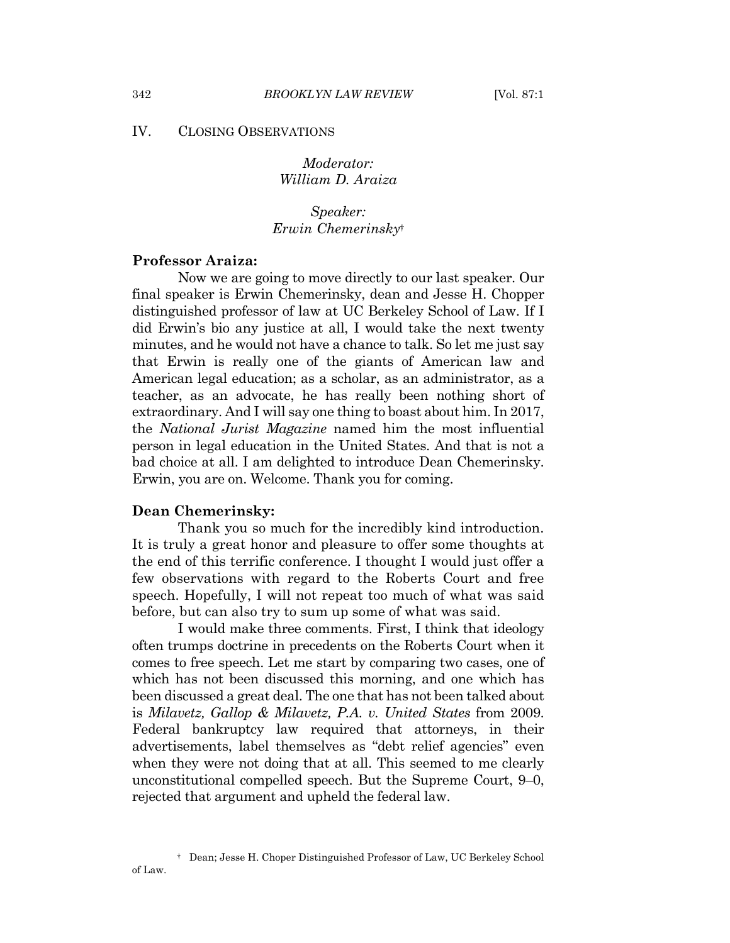#### IV. **CLOSING OBSERVATIONS**

Moderator: William D. Araiza

Speaker: Erwin Chemerinskyt

## **Professor Araiza:**

Now we are going to move directly to our last speaker. Our final speaker is Erwin Chemerinsky, dean and Jesse H. Chopper distinguished professor of law at UC Berkeley School of Law. If I did Erwin's bio any justice at all, I would take the next twenty minutes, and he would not have a chance to talk. So let me just say that Erwin is really one of the giants of American law and American legal education; as a scholar, as an administrator, as a teacher, as an advocate, he has really been nothing short of extraordinary. And I will say one thing to boast about him. In 2017, the *National Jurist Magazine* named him the most influential person in legal education in the United States. And that is not a bad choice at all. I am delighted to introduce Dean Chemerinsky. Erwin, you are on. Welcome. Thank you for coming.

#### **Dean Chemerinsky:**

Thank you so much for the incredibly kind introduction. It is truly a great honor and pleasure to offer some thoughts at the end of this terrific conference. I thought I would just offer a few observations with regard to the Roberts Court and free speech. Hopefully, I will not repeat too much of what was said before, but can also try to sum up some of what was said.

I would make three comments. First, I think that ideology often trumps doctrine in precedents on the Roberts Court when it comes to free speech. Let me start by comparing two cases, one of which has not been discussed this morning, and one which has been discussed a great deal. The one that has not been talked about is Milavetz, Gallop & Milavetz, P.A. v. United States from 2009. Federal bankruptcy law required that attorneys, in their advertisements, label themselves as "debt relief agencies" even when they were not doing that at all. This seemed to me clearly unconstitutional compelled speech. But the Supreme Court, 9–0, rejected that argument and upheld the federal law.

<sup>&</sup>lt;sup>†</sup> Dean; Jesse H. Choper Distinguished Professor of Law, UC Berkeley School of Law.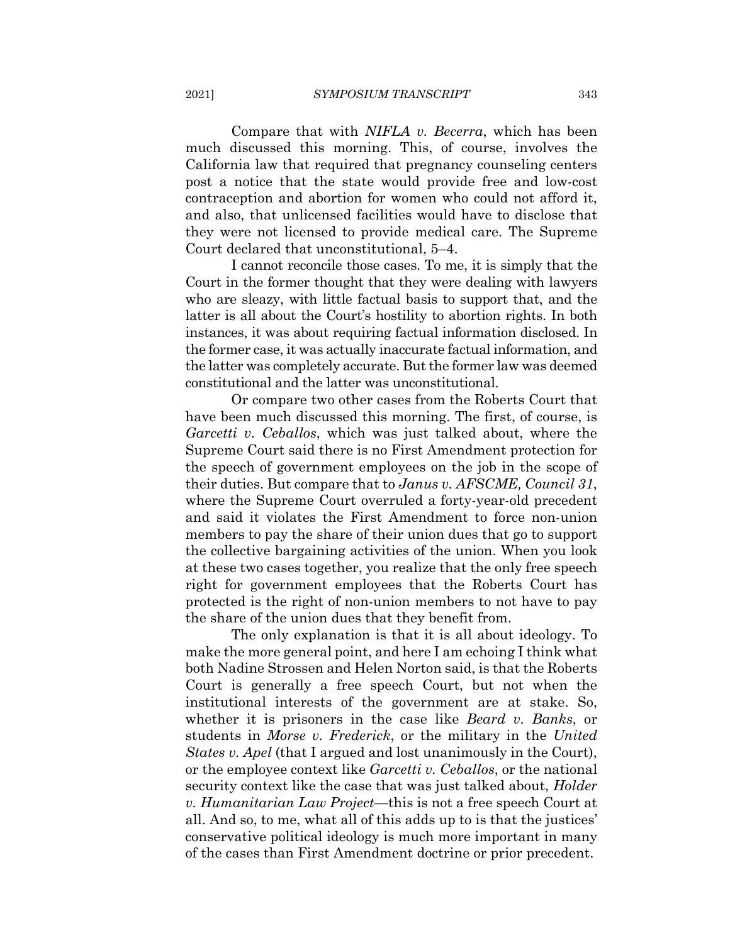Compare that with *NIFLA v. Becerra*, which has been much discussed this morning. This, of course, involves the California law that required that pregnancy counseling centers post a notice that the state would provide free and low-cost contraception and abortion for women who could not afford it, and also, that unlicensed facilities would have to disclose that they were not licensed to provide medical care. The Supreme Court declared that unconstitutional, 5–4.

I cannot reconcile those cases. To me, it is simply that the Court in the former thought that they were dealing with lawyers who are sleazy, with little factual basis to support that, and the latter is all about the Court's hostility to abortion rights. In both instances, it was about requiring factual information disclosed. In the former case, it was actually inaccurate factual information, and the latter was completely accurate. But the former law was deemed constitutional and the latter was unconstitutional.

Or compare two other cases from the Roberts Court that have been much discussed this morning. The first, of course, is Garcetti v. Ceballos, which was just talked about, where the Supreme Court said there is no First Amendment protection for the speech of government employees on the job in the scope of their duties. But compare that to Janus v. AFSCME, Council 31, where the Supreme Court overruled a forty-year-old precedent and said it violates the First Amendment to force non-union members to pay the share of their union dues that go to support the collective bargaining activities of the union. When you look at these two cases together, you realize that the only free speech right for government employees that the Roberts Court has protected is the right of non-union members to not have to pay the share of the union dues that they benefit from.

The only explanation is that it is all about ideology. To make the more general point, and here I am echoing I think what both Nadine Strossen and Helen Norton said, is that the Roberts Court is generally a free speech Court, but not when the institutional interests of the government are at stake. So, whether it is prisoners in the case like *Beard v. Banks*, or students in *Morse v. Frederick*, or the military in the *United States v. Apel* (that I argued and lost unanimously in the Court), or the employee context like *Garcetti v. Ceballos*, or the national security context like the case that was just talked about, *Holder* v. Humanitarian Law Project—this is not a free speech Court at all. And so, to me, what all of this adds up to is that the justices' conservative political ideology is much more important in many of the cases than First Amendment doctrine or prior precedent.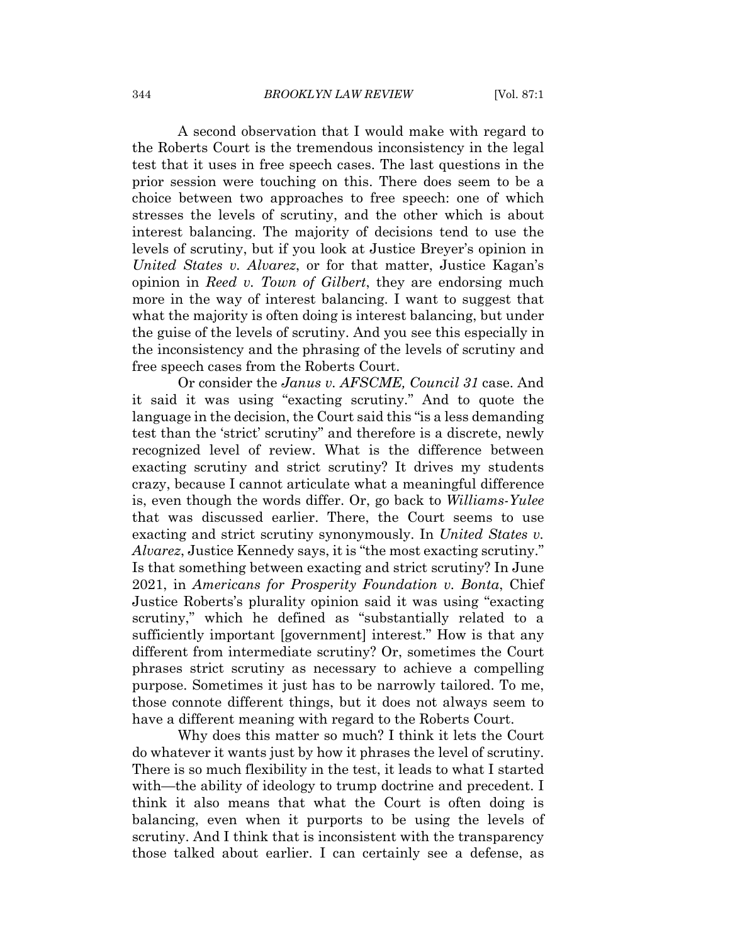A second observation that I would make with regard to the Roberts Court is the tremendous inconsistency in the legal test that it uses in free speech cases. The last questions in the prior session were touching on this. There does seem to be a choice between two approaches to free speech: one of which stresses the levels of scrutiny, and the other which is about interest balancing. The majority of decisions tend to use the levels of scrutiny, but if you look at Justice Breyer's opinion in United States v. Alvarez, or for that matter, Justice Kagan's opinion in Reed v. Town of Gilbert, they are endorsing much more in the way of interest balancing. I want to suggest that what the majority is often doing is interest balancing, but under the guise of the levels of scrutiny. And you see this especially in the inconsistency and the phrasing of the levels of scrutiny and free speech cases from the Roberts Court.

Or consider the Janus v. AFSCME, Council 31 case. And it said it was using "exacting scrutiny." And to quote the language in the decision, the Court said this "is a less demanding" test than the 'strict' scrutiny" and therefore is a discrete, newly recognized level of review. What is the difference between exacting scrutiny and strict scrutiny? It drives my students crazy, because I cannot articulate what a meaningful difference is, even though the words differ. Or, go back to *Williams-Yulee* that was discussed earlier. There, the Court seems to use exacting and strict scrutiny synonymously. In United States v. *Alvarez*, Justice Kennedy says, it is "the most exacting scrutiny." Is that something between exacting and strict scrutiny? In June 2021, in Americans for Prosperity Foundation v. Bonta, Chief Justice Roberts's plurality opinion said it was using "exacting" scrutiny," which he defined as "substantially related to a sufficiently important [government] interest." How is that any different from intermediate scrutiny? Or, sometimes the Court phrases strict scrutiny as necessary to achieve a compelling purpose. Sometimes it just has to be narrowly tailored. To me, those connote different things, but it does not always seem to have a different meaning with regard to the Roberts Court.

Why does this matter so much? I think it lets the Court do whatever it wants just by how it phrases the level of scrutiny. There is so much flexibility in the test, it leads to what I started with—the ability of ideology to trump doctrine and precedent. I think it also means that what the Court is often doing is balancing, even when it purports to be using the levels of scrutiny. And I think that is inconsistent with the transparency those talked about earlier. I can certainly see a defense, as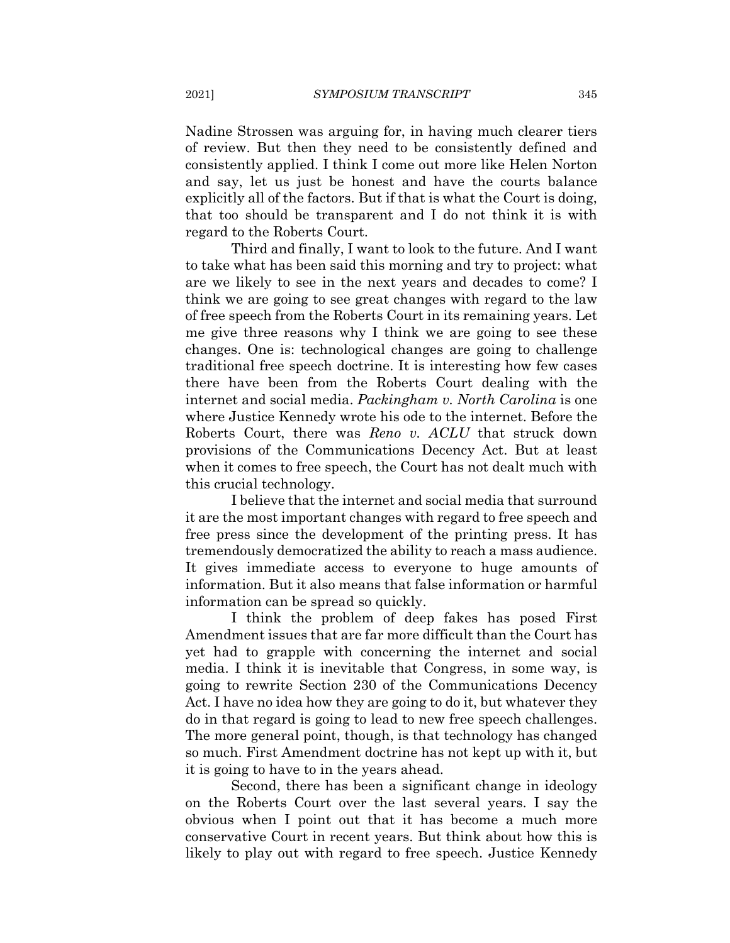Nadine Strossen was arguing for, in having much clearer tiers of review. But then they need to be consistently defined and consistently applied. I think I come out more like Helen Norton and say, let us just be honest and have the courts balance explicitly all of the factors. But if that is what the Court is doing, that too should be transparent and I do not think it is with regard to the Roberts Court.

Third and finally, I want to look to the future. And I want to take what has been said this morning and try to project: what are we likely to see in the next years and decades to come? I think we are going to see great changes with regard to the law of free speech from the Roberts Court in its remaining years. Let me give three reasons why I think we are going to see these changes. One is: technological changes are going to challenge traditional free speech doctrine. It is interesting how few cases there have been from the Roberts Court dealing with the internet and social media. Packingham v. North Carolina is one where Justice Kennedy wrote his ode to the internet. Before the Roberts Court, there was Reno v. ACLU that struck down provisions of the Communications Decency Act. But at least when it comes to free speech, the Court has not dealt much with this crucial technology.

I believe that the internet and social media that surround it are the most important changes with regard to free speech and free press since the development of the printing press. It has tremendously democratized the ability to reach a mass audience. It gives immediate access to everyone to huge amounts of information. But it also means that false information or harmful information can be spread so quickly.

I think the problem of deep fakes has posed First Amendment issues that are far more difficult than the Court has yet had to grapple with concerning the internet and social media. I think it is inevitable that Congress, in some way, is going to rewrite Section 230 of the Communications Decency Act. I have no idea how they are going to do it, but whatever they do in that regard is going to lead to new free speech challenges. The more general point, though, is that technology has changed so much. First Amendment doctrine has not kept up with it, but it is going to have to in the years ahead.

Second, there has been a significant change in ideology on the Roberts Court over the last several years. I say the obvious when I point out that it has become a much more conservative Court in recent years. But think about how this is likely to play out with regard to free speech. Justice Kennedy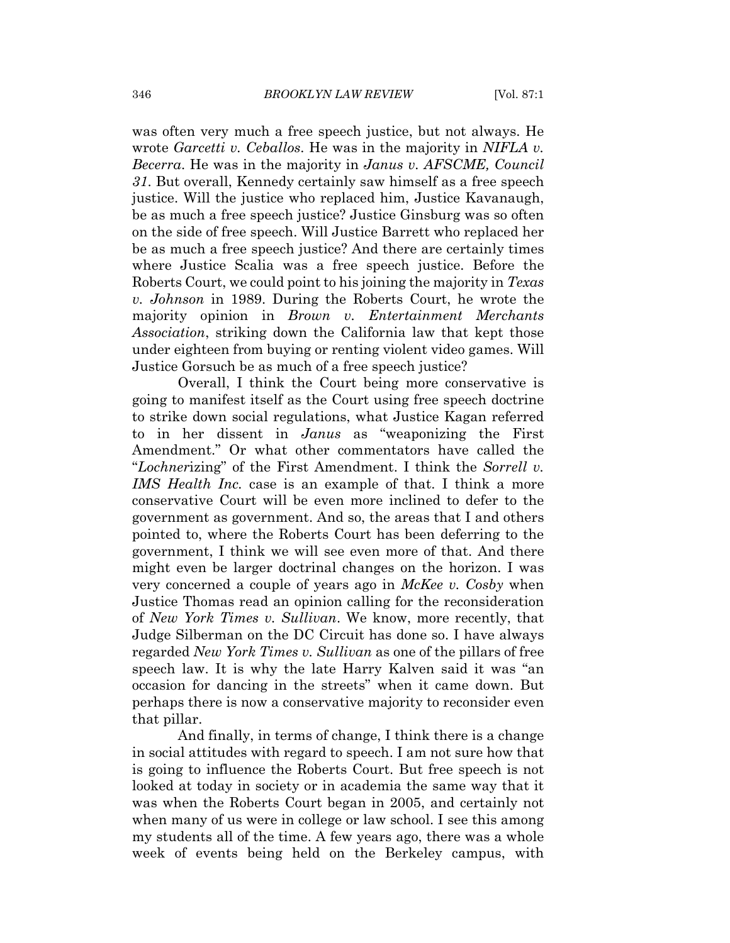was often very much a free speech justice, but not always. He wrote *Garcetti v. Ceballos*. He was in the majority in *NIFLA v. Becerra.* He was in the majority in *Janus v. AFSCME*, *Council* 31. But overall, Kennedy certainly saw himself as a free speech justice. Will the justice who replaced him, Justice Kavanaugh, be as much a free speech justice? Justice Ginsburg was so often on the side of free speech. Will Justice Barrett who replaced her be as much a free speech justice? And there are certainly times where Justice Scalia was a free speech justice. Before the Roberts Court, we could point to his joining the majority in Texas v. Johnson in 1989. During the Roberts Court, he wrote the majority opinion in Brown v. Entertainment Merchants *Association*, striking down the California law that kept those under eighteen from buying or renting violent video games. Will Justice Gorsuch be as much of a free speech justice?

Overall, I think the Court being more conservative is going to manifest itself as the Court using free speech doctrine to strike down social regulations, what Justice Kagan referred to in her dissent in *Janus* as "weaponizing the First Amendment." Or what other commentators have called the "Lochnerizing" of the First Amendment. I think the Sorrell v. *IMS Health Inc.* case is an example of that. I think a more conservative Court will be even more inclined to defer to the government as government. And so, the areas that I and others pointed to, where the Roberts Court has been deferring to the government, I think we will see even more of that. And there might even be larger doctrinal changes on the horizon. I was very concerned a couple of years ago in *McKee v. Cosby* when Justice Thomas read an opinion calling for the reconsideration of New York Times v. Sullivan. We know, more recently, that Judge Silberman on the DC Circuit has done so. I have always regarded New York Times v. Sullivan as one of the pillars of free speech law. It is why the late Harry Kalven said it was "an occasion for dancing in the streets" when it came down. But perhaps there is now a conservative majority to reconsider even that pillar.

And finally, in terms of change, I think there is a change in social attitudes with regard to speech. I am not sure how that is going to influence the Roberts Court. But free speech is not looked at today in society or in academia the same way that it was when the Roberts Court began in 2005, and certainly not when many of us were in college or law school. I see this among my students all of the time. A few years ago, there was a whole week of events being held on the Berkeley campus, with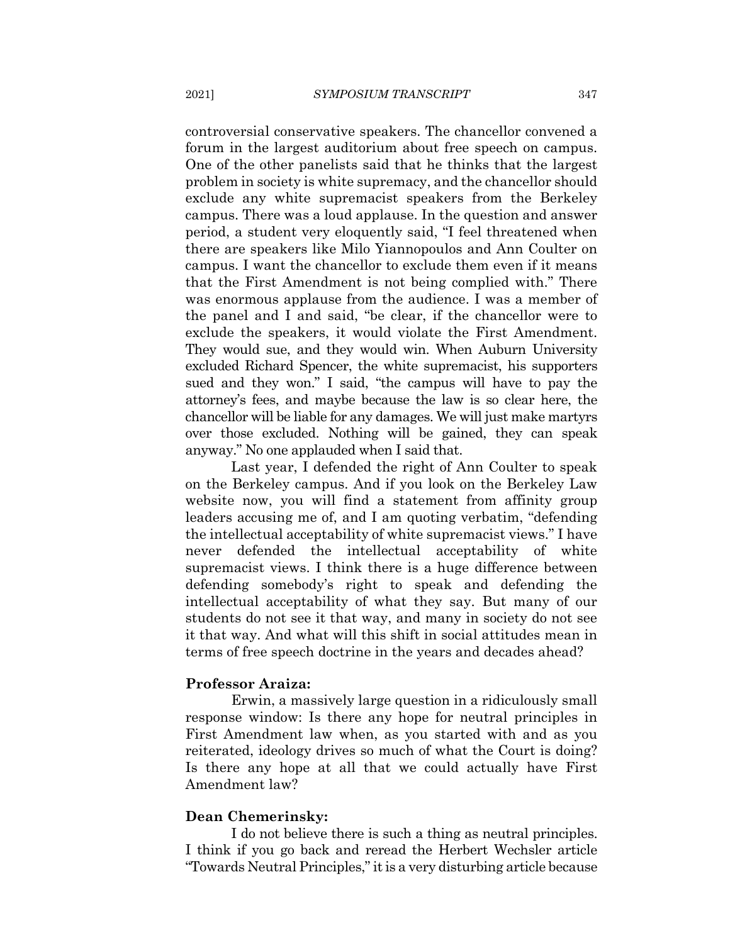controversial conservative speakers. The chancellor convened a forum in the largest auditorium about free speech on campus. One of the other panelists said that he thinks that the largest problem in society is white supremacy, and the chancellor should exclude any white supremacist speakers from the Berkeley campus. There was a loud applause. In the question and answer period, a student very eloquently said, "I feel threatened when there are speakers like Milo Yiannopoulos and Ann Coulter on campus. I want the chancellor to exclude them even if it means that the First Amendment is not being complied with." There was enormous applause from the audience. I was a member of the panel and I and said, "be clear, if the chancellor were to exclude the speakers, it would violate the First Amendment. They would sue, and they would win. When Auburn University excluded Richard Spencer, the white supremacist, his supporters sued and they won." I said, "the campus will have to pay the attorney's fees, and maybe because the law is so clear here, the chancellor will be liable for any damages. We will just make martyrs over those excluded. Nothing will be gained, they can speak anyway." No one applauded when I said that.

Last year, I defended the right of Ann Coulter to speak on the Berkeley campus. And if you look on the Berkeley Law website now, you will find a statement from affinity group leaders accusing me of, and I am quoting verbatim, "defending" the intellectual acceptability of white supremacist views." I have defended the intellectual acceptability of white never supremacist views. I think there is a huge difference between defending somebody's right to speak and defending the intellectual acceptability of what they say. But many of our students do not see it that way, and many in society do not see it that way. And what will this shift in social attitudes mean in terms of free speech doctrine in the years and decades ahead?

#### **Professor Araiza:**

Erwin, a massively large question in a ridiculously small response window: Is there any hope for neutral principles in First Amendment law when, as you started with and as you reiterated, ideology drives so much of what the Court is doing? Is there any hope at all that we could actually have First Amendment law?

#### **Dean Chemerinsky:**

I do not believe there is such a thing as neutral principles. I think if you go back and reread the Herbert Wechsler article "Towards Neutral Principles," it is a very disturbing article because